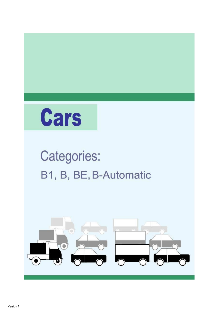

## **Categories:** B1, B, BE, B-Automatic

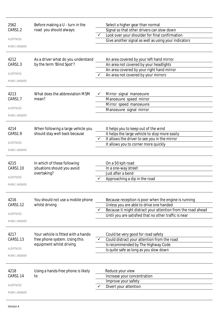| 2562                 | Before making a U - turn in the                            |              | Select a higher gear than normal                                                  |
|----------------------|------------------------------------------------------------|--------------|-----------------------------------------------------------------------------------|
| CARS1.2              | road you should always:                                    |              | Signal so that other drivers can slow down                                        |
|                      |                                                            |              | Look over your shoulder for final confirmation                                    |
| <b>ALERTNESS</b>     |                                                            |              | Give another signal as well as using your indicators                              |
| <b>MARK 1 ANSWER</b> |                                                            |              |                                                                                   |
|                      |                                                            |              |                                                                                   |
| 4212                 | As a driver what do you understand                         |              | An area covered by your left hand mirror                                          |
| CARS1.3              | by the term 'Blind Spot'?                                  |              | An area not covered by your headlights                                            |
| <b>ALERTNESS</b>     |                                                            |              | An area covered by your right hand mirror                                         |
|                      |                                                            | ✓            | An area not covered by your mirrors                                               |
| <b>MARK 1 ANSWER</b> |                                                            |              |                                                                                   |
| 4213                 | What does the abbreviation MSM                             |              | Mirror signal manoeuvre                                                           |
| CARS1.7              | mean?                                                      |              | Manoeuvre speed mirror                                                            |
|                      |                                                            |              | Mirror speed manoeuvre                                                            |
| <b>ALERTNESS</b>     |                                                            |              | Manoeuvre signal mirror                                                           |
| <b>MARK 1 ANSWER</b> |                                                            |              |                                                                                   |
|                      |                                                            |              |                                                                                   |
| 4214                 | When following a large vehicle you                         |              | It helps you to keep out of the wind                                              |
| CARS1.9              | should stay well back because                              |              | It helps the large vehicle to stop more easily                                    |
|                      |                                                            | $\checkmark$ | It allows the driver to see you in the mirror                                     |
| <b>ALERTNESS</b>     |                                                            |              | It allows you to corner more quickly                                              |
| <b>MARK 1 ANSWER</b> |                                                            |              |                                                                                   |
| 4215                 |                                                            |              |                                                                                   |
| CARS1.10             | In which of these following<br>situations should you avoid |              | On a 50 kph road<br>In a one-way street                                           |
|                      | overtaking?                                                |              | Just after a bend                                                                 |
| ALERTNESS            |                                                            |              | Approaching a dip in the road                                                     |
| <b>MARK 1 ANSWER</b> |                                                            |              |                                                                                   |
|                      |                                                            |              |                                                                                   |
| 4216                 | You should not use a mobile phone                          |              | Because reception is poor when the engine is running                              |
| CARS1.12             | whilst driving                                             |              | Unless you are able to drive one handed                                           |
|                      |                                                            |              | Because it might distract your attention from the road ahead                      |
| <b>ALERTNESS</b>     |                                                            |              | Until you are satisfied that no other traffic is near                             |
| <b>MARK 1 ANSWER</b> |                                                            |              |                                                                                   |
|                      |                                                            |              |                                                                                   |
| 4217                 | Your vehicle is fitted with a hands-                       |              | Could be very good for road safety                                                |
| CARS1.13             | free phone system. Using this<br>equipment whilst driving  |              | Could distract your attention from the road<br>Is recommended by The Highway Code |
| ALERTNESS            |                                                            |              | Is quite safe as long as you slow down                                            |
|                      |                                                            |              |                                                                                   |
| <b>MARK 1 ANSWER</b> |                                                            |              |                                                                                   |
| 4218                 | Using a hands-free phone is likely                         |              | Reduce your view                                                                  |
| CARS1.14             | to                                                         |              | Increase your concentration                                                       |
|                      |                                                            |              | Improve your safety                                                               |
| <b>ALERTNESS</b>     |                                                            |              | Divert your attention                                                             |
| <b>MARK 1 ANSWER</b> |                                                            |              |                                                                                   |
|                      |                                                            |              |                                                                                   |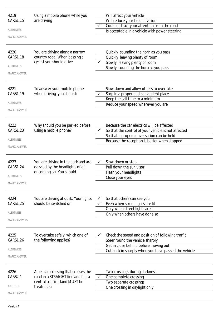| 4219                  | Using a mobile phone while you                                      | Will affect your vehicle                                                             |
|-----------------------|---------------------------------------------------------------------|--------------------------------------------------------------------------------------|
| CARS1.15              | are driving                                                         | Will reduce your field of vision                                                     |
|                       |                                                                     | Could distract your attention from the road                                          |
| <b>ALERTNESS</b>      |                                                                     | Is acceptable in a vehicle with power steering                                       |
| <b>MARK 1 ANSWER</b>  |                                                                     |                                                                                      |
| 4220                  | You are driving along a narrow                                      | Quickly sounding the horn as you pass                                                |
| CARS1.18              | country road. When passing a<br>cyclist you should drive            | Quickly leaving plenty of room                                                       |
| <b>ALERTNESS</b>      |                                                                     | Slowly leaving plenty of room<br>Slowly sounding the horn as you pass                |
| <b>MARK 1 ANSWER</b>  |                                                                     |                                                                                      |
|                       |                                                                     |                                                                                      |
| 4221                  | To answer your mobile phone                                         | Slow down and allow others to overtake                                               |
| CARS1.19              | when driving you should:                                            | Stop in a proper and convenient place                                                |
| <b>ALERTNESS</b>      |                                                                     | Keep the call time to a minimum                                                      |
|                       |                                                                     | Reduce your speed wherever you are                                                   |
| <b>MARK 1 ANSWER</b>  |                                                                     |                                                                                      |
| 4222                  | Why should you be parked before                                     | Because the car electrics will be affected                                           |
| CARS1.23              | using a mobile phone?                                               | So that the control of your vehicle is not affected                                  |
|                       |                                                                     | So that a proper conversation can be held                                            |
| <b>ALERTNESS</b>      |                                                                     | Because the reception is better when stopped                                         |
| <b>MARK 1 ANSWER</b>  |                                                                     |                                                                                      |
| 4223                  | You are driving in the dark and are                                 | Slow down or stop                                                                    |
| CARS1.24              | dazzled by the headlights of an                                     | Pull down the sun visor                                                              |
|                       | oncoming car. You should                                            | Flash your headlights                                                                |
| <b>ALERTNESS</b>      |                                                                     | Close your eyes                                                                      |
| <b>MARK 1 ANSWER</b>  |                                                                     |                                                                                      |
| 4224                  | You are driving at dusk. Your lights                                | So that others can see you                                                           |
| <b>CARS1.25</b>       | should be switched on                                               | Even when street lights are lit                                                      |
|                       |                                                                     | Only when street lights are lit                                                      |
| <b>ALERTNESS</b>      |                                                                     | Only when others have done so                                                        |
| <b>MARK 2 ANSWERS</b> |                                                                     |                                                                                      |
|                       |                                                                     |                                                                                      |
| 4225<br>CARS1.26      | To overtake safely which one of<br>the following applies?           | Check the speed and position of following traffic<br>Steer round the vehicle sharply |
|                       |                                                                     | Get in close behind before moving out                                                |
| <b>ALERTNESS</b>      |                                                                     | Cut back in sharply when you have passed the vehicle                                 |
| <b>MARK 1 ANSWER</b>  |                                                                     |                                                                                      |
|                       |                                                                     |                                                                                      |
| 4226                  | A pelican crossing that crosses the                                 | Two crossings during darkness                                                        |
| CARS2.1               | road in a STRAIGHT line and has a<br>central traffic island MUST be | One complete crossing<br>Two separate crossings                                      |
| ATTITUDE              | treated as:                                                         | One crossing in daylight only                                                        |
|                       |                                                                     |                                                                                      |
| <b>MARK 1 ANSWER</b>  |                                                                     |                                                                                      |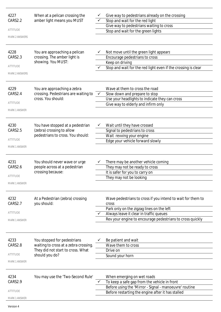| 4227<br>CARS2.2<br><b>ATTITUDE</b><br><b>MARK 2 ANSWERS</b><br>4228<br>CARS2.3<br>ATTITUDE<br><b>MARK 2 ANSWERS</b> | When at a pelican crossing the<br>amber light means you MUST<br>You are approaching a pelican<br>crossing. The amber light is<br>showing. You MUST: |   | Give way to pedestrians already on the crossing<br>Stop and wait for the red light<br>Give way to pedestrians waiting to cross<br>Stop and wait for the green lights<br>Not move until the green light appears<br>Encourage pedestrians to cross<br>Keep on driving<br>Stop and wait for the red light even if the crossing is clear |
|---------------------------------------------------------------------------------------------------------------------|-----------------------------------------------------------------------------------------------------------------------------------------------------|---|--------------------------------------------------------------------------------------------------------------------------------------------------------------------------------------------------------------------------------------------------------------------------------------------------------------------------------------|
| 4229<br>CARS2.4<br><b>ATTITUDE</b><br><b>MARK 1 ANSWER</b>                                                          | You are approaching a zebra<br>crossing. Pedestrians are waiting to<br>cross. You should:                                                           | ✓ | Wave at them to cross the road<br>Slow down and prepare to stop<br>Use your headlights to indicate they can cross<br>Give way to elderly and infirm only                                                                                                                                                                             |
| 4230<br>CARS2.5<br><b>ATTITUDE</b><br><b>MARK 1 ANSWER</b>                                                          | You have stopped at a pedestrian<br>(zebra) crossing to allow<br>pedestrians to cross. You should:                                                  |   | Wait until they have crossed<br>Signal to pedestrians to cross<br>Wait revving your engine<br>Edge your vehicle forward slowly                                                                                                                                                                                                       |
| 4231<br>CARS2.6<br>ATTITUDE<br><b>MARK 1 ANSWER</b>                                                                 | You should never wave or urge<br>people across at a pedestrian<br>crossing because:                                                                 |   | There may be another vehicle coming<br>They may not be ready to cross<br>It is safer for you to carry on<br>They may not be looking                                                                                                                                                                                                  |
| 4232<br>CARS2.7<br><b>ATTITUDE</b><br><b>MARK 1 ANSWER</b>                                                          | At a Pedestrian (zebra) crossing<br>you should:                                                                                                     |   | Wave pedestrians to cross if you intend to wait for them to<br>cross<br>Park only on the zigzag lines on the left<br>Always leave it clear in traffic queues<br>Rev your engine to encourage pedestrians to cross quickly                                                                                                            |
| 4233<br>CARS2.8<br>ATTITUDE<br><b>MARK 1 ANSWER</b>                                                                 | You stopped for pedestrians<br>waiting to cross at a zebra crossing.<br>They did not start to cross. What<br>should you do?                         |   | Be patient and wait<br>Wave them to cross<br>Drive on<br>Sound your horn                                                                                                                                                                                                                                                             |
| 4234<br>CARS2.9<br>ATTITUDE<br><b>MARK 1 ANSWER</b>                                                                 | You may use the 'Two-Second Rule'                                                                                                                   |   | When emerging on wet roads<br>To keep a safe gap from the vehicle in front<br>Before using the 'Mirror - Signal - manoeuvre' routine<br>Before restarting the engine after it has stalled                                                                                                                                            |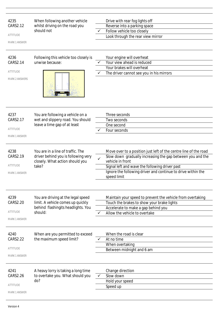| 4235<br>CARS2.12<br><b>ATTITUDE</b><br><b>MARK 1 ANSWER</b>         | When following another vehicle<br>whilst driving on the road you<br>should not                                           |              | Drive with rear fog lights off<br>Reverse into a parking space<br>Follow vehicle too closely<br>Look through the rear view mirror                                                                                                                                                   |
|---------------------------------------------------------------------|--------------------------------------------------------------------------------------------------------------------------|--------------|-------------------------------------------------------------------------------------------------------------------------------------------------------------------------------------------------------------------------------------------------------------------------------------|
| 4236<br><b>CARS2.14</b><br><b>ATTITUDE</b><br><b>MARK 2 ANSWERS</b> | Following this vehicle too closely is<br>unwise because:                                                                 | $\checkmark$ | Your engine will overheat<br>Your view ahead is reduced<br>Your brakes will overheat<br>The driver cannot see you in his mirrors                                                                                                                                                    |
| 4237<br>CARS2.17<br><b>ATTITUDE</b><br><b>MARK 1 ANSWER</b>         | You are following a vehicle on a<br>wet and slippery road. You should<br>leave a time gap of at least                    |              | Three seconds<br>Two seconds<br>One second<br>Four seconds                                                                                                                                                                                                                          |
| 4238<br>CARS2.19<br><b>ATTITUDE</b><br><b>MARK 1 ANSWER</b>         | You are in a line of traffic. The<br>driver behind you is following very<br>closely. What action should you<br>take?     | $\checkmark$ | Move over to a position just left of the centre line of the road<br>Slow down gradually increasing the gap between you and the<br>vehicle in front<br>Signal left and wave the following driver past<br>Ignore the following driver and continue to drive within the<br>speed limit |
| 4239<br>CARS2.20<br>ATTITUDE<br><b>MARK 1 ANSWER</b>                | You are driving at the legal speed<br>limit. A vehicle comes up quickly<br>behind flashingits headlights. You<br>should: | ✓            | Maintain your speed to prevent the vehicle from overtaking<br>Touch the brakes to show your brake lights<br>Accelerate to make a gap behind you<br>Allow the vehicle to overtake                                                                                                    |
| 4240<br><b>CARS2.22</b><br><b>ATTITUDE</b><br><b>MARK 1 ANSWER</b>  | When are you permitted to exceed<br>the maximum speed limit?                                                             |              | When the road is clear<br>At no time<br>When overtaking<br>Between midnight and 6 am                                                                                                                                                                                                |
| 4241<br>CARS2.26<br>ATTITUDE<br><b>MARK 1 ANSWER</b>                | A heavy lorry is taking a long time<br>to overtake you. What should you<br>do?                                           | ✓            | Change direction<br>Slow down<br>Hold your speed<br>Speed up                                                                                                                                                                                                                        |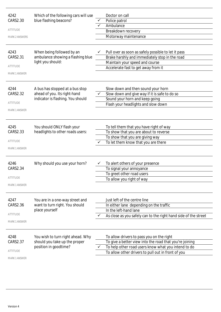| blue flashing beacons?<br>CARS2.30<br>Police patrol<br>Ambulance<br><b>ATTITUDE</b><br>Breakdown recovery<br>Motorway maintenance<br><b>MARK 2 ANSWERS</b><br>When being followed by an<br>Pull over as soon as safely possible to let it pass<br>4243<br>ambulance showing a flashing blue<br>Brake harshly and immediately stop in the road<br>CARS2.31<br>light you should:<br>Maintain your speed and course<br><b>ATTITUDE</b><br>Accelerate fast to get away from it<br><b>MARK 1 ANSWER</b><br>4244<br>Slow down and then sound your horn<br>A bus has stopped at a bus stop<br>ahead of you. Its right-hand<br>Slow down and give way if it is safe to do so<br>CARS2.32<br>indicator is flashing. You should<br>Sound your horn and keep going<br>ATTITUDE<br>Flash your headlights and slow down<br><b>MARK 1 ANSWER</b><br>You should ONLY flash your<br>To tell them that you have right of way<br>4245<br>headlights to other roads users:<br>CARS2.33<br>To show that you are about to reverse<br>To show that you are giving way<br><b>ATTITUDE</b><br>To let them know that you are there<br><b>MARK 1 ANSWER</b><br>4246<br>Why should you use your horn?<br>To alert others of your presence<br>To signal your annoyance<br>CARS2.34<br>To greet other road users<br>ATTITUDE<br>To allow you right of way<br><b>MARK 1 ANSWER</b><br>4247<br>You are in a one-way street and<br>Just left of the centre line<br>CARS2.36<br>want to turn right. You should<br>In either lane depending on the traffic<br>place yourself<br>In the left-hand lane<br><b>ATTITUDE</b><br>As close as you safely can to the right hand side of the street<br>✓<br><b>MARK 1 ANSWER</b><br>To allow drivers to pass you on the right<br>4248<br>You wish to turn right ahead. Why<br>CARS2.37<br>should you take up the proper<br>To give a better view into the road that you're joining<br>position in goodtime?<br>To help other road users know what you intend to do<br>ATTITUDE<br>To allow other drivers to pull out in front of you<br><b>MARK 1 ANSWER</b> | 4242 | Which of the following cars will use | Doctor on call |
|--------------------------------------------------------------------------------------------------------------------------------------------------------------------------------------------------------------------------------------------------------------------------------------------------------------------------------------------------------------------------------------------------------------------------------------------------------------------------------------------------------------------------------------------------------------------------------------------------------------------------------------------------------------------------------------------------------------------------------------------------------------------------------------------------------------------------------------------------------------------------------------------------------------------------------------------------------------------------------------------------------------------------------------------------------------------------------------------------------------------------------------------------------------------------------------------------------------------------------------------------------------------------------------------------------------------------------------------------------------------------------------------------------------------------------------------------------------------------------------------------------------------------------------------------------------------------------------------------------------------------------------------------------------------------------------------------------------------------------------------------------------------------------------------------------------------------------------------------------------------------------------------------------------------------------------------------------------------------------------------------------------------------------------------------------------------|------|--------------------------------------|----------------|
|                                                                                                                                                                                                                                                                                                                                                                                                                                                                                                                                                                                                                                                                                                                                                                                                                                                                                                                                                                                                                                                                                                                                                                                                                                                                                                                                                                                                                                                                                                                                                                                                                                                                                                                                                                                                                                                                                                                                                                                                                                                                    |      |                                      |                |
|                                                                                                                                                                                                                                                                                                                                                                                                                                                                                                                                                                                                                                                                                                                                                                                                                                                                                                                                                                                                                                                                                                                                                                                                                                                                                                                                                                                                                                                                                                                                                                                                                                                                                                                                                                                                                                                                                                                                                                                                                                                                    |      |                                      |                |
|                                                                                                                                                                                                                                                                                                                                                                                                                                                                                                                                                                                                                                                                                                                                                                                                                                                                                                                                                                                                                                                                                                                                                                                                                                                                                                                                                                                                                                                                                                                                                                                                                                                                                                                                                                                                                                                                                                                                                                                                                                                                    |      |                                      |                |
|                                                                                                                                                                                                                                                                                                                                                                                                                                                                                                                                                                                                                                                                                                                                                                                                                                                                                                                                                                                                                                                                                                                                                                                                                                                                                                                                                                                                                                                                                                                                                                                                                                                                                                                                                                                                                                                                                                                                                                                                                                                                    |      |                                      |                |
|                                                                                                                                                                                                                                                                                                                                                                                                                                                                                                                                                                                                                                                                                                                                                                                                                                                                                                                                                                                                                                                                                                                                                                                                                                                                                                                                                                                                                                                                                                                                                                                                                                                                                                                                                                                                                                                                                                                                                                                                                                                                    |      |                                      |                |
|                                                                                                                                                                                                                                                                                                                                                                                                                                                                                                                                                                                                                                                                                                                                                                                                                                                                                                                                                                                                                                                                                                                                                                                                                                                                                                                                                                                                                                                                                                                                                                                                                                                                                                                                                                                                                                                                                                                                                                                                                                                                    |      |                                      |                |
|                                                                                                                                                                                                                                                                                                                                                                                                                                                                                                                                                                                                                                                                                                                                                                                                                                                                                                                                                                                                                                                                                                                                                                                                                                                                                                                                                                                                                                                                                                                                                                                                                                                                                                                                                                                                                                                                                                                                                                                                                                                                    |      |                                      |                |
|                                                                                                                                                                                                                                                                                                                                                                                                                                                                                                                                                                                                                                                                                                                                                                                                                                                                                                                                                                                                                                                                                                                                                                                                                                                                                                                                                                                                                                                                                                                                                                                                                                                                                                                                                                                                                                                                                                                                                                                                                                                                    |      |                                      |                |
|                                                                                                                                                                                                                                                                                                                                                                                                                                                                                                                                                                                                                                                                                                                                                                                                                                                                                                                                                                                                                                                                                                                                                                                                                                                                                                                                                                                                                                                                                                                                                                                                                                                                                                                                                                                                                                                                                                                                                                                                                                                                    |      |                                      |                |
|                                                                                                                                                                                                                                                                                                                                                                                                                                                                                                                                                                                                                                                                                                                                                                                                                                                                                                                                                                                                                                                                                                                                                                                                                                                                                                                                                                                                                                                                                                                                                                                                                                                                                                                                                                                                                                                                                                                                                                                                                                                                    |      |                                      |                |
|                                                                                                                                                                                                                                                                                                                                                                                                                                                                                                                                                                                                                                                                                                                                                                                                                                                                                                                                                                                                                                                                                                                                                                                                                                                                                                                                                                                                                                                                                                                                                                                                                                                                                                                                                                                                                                                                                                                                                                                                                                                                    |      |                                      |                |
|                                                                                                                                                                                                                                                                                                                                                                                                                                                                                                                                                                                                                                                                                                                                                                                                                                                                                                                                                                                                                                                                                                                                                                                                                                                                                                                                                                                                                                                                                                                                                                                                                                                                                                                                                                                                                                                                                                                                                                                                                                                                    |      |                                      |                |
|                                                                                                                                                                                                                                                                                                                                                                                                                                                                                                                                                                                                                                                                                                                                                                                                                                                                                                                                                                                                                                                                                                                                                                                                                                                                                                                                                                                                                                                                                                                                                                                                                                                                                                                                                                                                                                                                                                                                                                                                                                                                    |      |                                      |                |
|                                                                                                                                                                                                                                                                                                                                                                                                                                                                                                                                                                                                                                                                                                                                                                                                                                                                                                                                                                                                                                                                                                                                                                                                                                                                                                                                                                                                                                                                                                                                                                                                                                                                                                                                                                                                                                                                                                                                                                                                                                                                    |      |                                      |                |
|                                                                                                                                                                                                                                                                                                                                                                                                                                                                                                                                                                                                                                                                                                                                                                                                                                                                                                                                                                                                                                                                                                                                                                                                                                                                                                                                                                                                                                                                                                                                                                                                                                                                                                                                                                                                                                                                                                                                                                                                                                                                    |      |                                      |                |
|                                                                                                                                                                                                                                                                                                                                                                                                                                                                                                                                                                                                                                                                                                                                                                                                                                                                                                                                                                                                                                                                                                                                                                                                                                                                                                                                                                                                                                                                                                                                                                                                                                                                                                                                                                                                                                                                                                                                                                                                                                                                    |      |                                      |                |
|                                                                                                                                                                                                                                                                                                                                                                                                                                                                                                                                                                                                                                                                                                                                                                                                                                                                                                                                                                                                                                                                                                                                                                                                                                                                                                                                                                                                                                                                                                                                                                                                                                                                                                                                                                                                                                                                                                                                                                                                                                                                    |      |                                      |                |
|                                                                                                                                                                                                                                                                                                                                                                                                                                                                                                                                                                                                                                                                                                                                                                                                                                                                                                                                                                                                                                                                                                                                                                                                                                                                                                                                                                                                                                                                                                                                                                                                                                                                                                                                                                                                                                                                                                                                                                                                                                                                    |      |                                      |                |
|                                                                                                                                                                                                                                                                                                                                                                                                                                                                                                                                                                                                                                                                                                                                                                                                                                                                                                                                                                                                                                                                                                                                                                                                                                                                                                                                                                                                                                                                                                                                                                                                                                                                                                                                                                                                                                                                                                                                                                                                                                                                    |      |                                      |                |
|                                                                                                                                                                                                                                                                                                                                                                                                                                                                                                                                                                                                                                                                                                                                                                                                                                                                                                                                                                                                                                                                                                                                                                                                                                                                                                                                                                                                                                                                                                                                                                                                                                                                                                                                                                                                                                                                                                                                                                                                                                                                    |      |                                      |                |
|                                                                                                                                                                                                                                                                                                                                                                                                                                                                                                                                                                                                                                                                                                                                                                                                                                                                                                                                                                                                                                                                                                                                                                                                                                                                                                                                                                                                                                                                                                                                                                                                                                                                                                                                                                                                                                                                                                                                                                                                                                                                    |      |                                      |                |
|                                                                                                                                                                                                                                                                                                                                                                                                                                                                                                                                                                                                                                                                                                                                                                                                                                                                                                                                                                                                                                                                                                                                                                                                                                                                                                                                                                                                                                                                                                                                                                                                                                                                                                                                                                                                                                                                                                                                                                                                                                                                    |      |                                      |                |
|                                                                                                                                                                                                                                                                                                                                                                                                                                                                                                                                                                                                                                                                                                                                                                                                                                                                                                                                                                                                                                                                                                                                                                                                                                                                                                                                                                                                                                                                                                                                                                                                                                                                                                                                                                                                                                                                                                                                                                                                                                                                    |      |                                      |                |
|                                                                                                                                                                                                                                                                                                                                                                                                                                                                                                                                                                                                                                                                                                                                                                                                                                                                                                                                                                                                                                                                                                                                                                                                                                                                                                                                                                                                                                                                                                                                                                                                                                                                                                                                                                                                                                                                                                                                                                                                                                                                    |      |                                      |                |
|                                                                                                                                                                                                                                                                                                                                                                                                                                                                                                                                                                                                                                                                                                                                                                                                                                                                                                                                                                                                                                                                                                                                                                                                                                                                                                                                                                                                                                                                                                                                                                                                                                                                                                                                                                                                                                                                                                                                                                                                                                                                    |      |                                      |                |
|                                                                                                                                                                                                                                                                                                                                                                                                                                                                                                                                                                                                                                                                                                                                                                                                                                                                                                                                                                                                                                                                                                                                                                                                                                                                                                                                                                                                                                                                                                                                                                                                                                                                                                                                                                                                                                                                                                                                                                                                                                                                    |      |                                      |                |
|                                                                                                                                                                                                                                                                                                                                                                                                                                                                                                                                                                                                                                                                                                                                                                                                                                                                                                                                                                                                                                                                                                                                                                                                                                                                                                                                                                                                                                                                                                                                                                                                                                                                                                                                                                                                                                                                                                                                                                                                                                                                    |      |                                      |                |
|                                                                                                                                                                                                                                                                                                                                                                                                                                                                                                                                                                                                                                                                                                                                                                                                                                                                                                                                                                                                                                                                                                                                                                                                                                                                                                                                                                                                                                                                                                                                                                                                                                                                                                                                                                                                                                                                                                                                                                                                                                                                    |      |                                      |                |
|                                                                                                                                                                                                                                                                                                                                                                                                                                                                                                                                                                                                                                                                                                                                                                                                                                                                                                                                                                                                                                                                                                                                                                                                                                                                                                                                                                                                                                                                                                                                                                                                                                                                                                                                                                                                                                                                                                                                                                                                                                                                    |      |                                      |                |
|                                                                                                                                                                                                                                                                                                                                                                                                                                                                                                                                                                                                                                                                                                                                                                                                                                                                                                                                                                                                                                                                                                                                                                                                                                                                                                                                                                                                                                                                                                                                                                                                                                                                                                                                                                                                                                                                                                                                                                                                                                                                    |      |                                      |                |
|                                                                                                                                                                                                                                                                                                                                                                                                                                                                                                                                                                                                                                                                                                                                                                                                                                                                                                                                                                                                                                                                                                                                                                                                                                                                                                                                                                                                                                                                                                                                                                                                                                                                                                                                                                                                                                                                                                                                                                                                                                                                    |      |                                      |                |
|                                                                                                                                                                                                                                                                                                                                                                                                                                                                                                                                                                                                                                                                                                                                                                                                                                                                                                                                                                                                                                                                                                                                                                                                                                                                                                                                                                                                                                                                                                                                                                                                                                                                                                                                                                                                                                                                                                                                                                                                                                                                    |      |                                      |                |
|                                                                                                                                                                                                                                                                                                                                                                                                                                                                                                                                                                                                                                                                                                                                                                                                                                                                                                                                                                                                                                                                                                                                                                                                                                                                                                                                                                                                                                                                                                                                                                                                                                                                                                                                                                                                                                                                                                                                                                                                                                                                    |      |                                      |                |
|                                                                                                                                                                                                                                                                                                                                                                                                                                                                                                                                                                                                                                                                                                                                                                                                                                                                                                                                                                                                                                                                                                                                                                                                                                                                                                                                                                                                                                                                                                                                                                                                                                                                                                                                                                                                                                                                                                                                                                                                                                                                    |      |                                      |                |
|                                                                                                                                                                                                                                                                                                                                                                                                                                                                                                                                                                                                                                                                                                                                                                                                                                                                                                                                                                                                                                                                                                                                                                                                                                                                                                                                                                                                                                                                                                                                                                                                                                                                                                                                                                                                                                                                                                                                                                                                                                                                    |      |                                      |                |
|                                                                                                                                                                                                                                                                                                                                                                                                                                                                                                                                                                                                                                                                                                                                                                                                                                                                                                                                                                                                                                                                                                                                                                                                                                                                                                                                                                                                                                                                                                                                                                                                                                                                                                                                                                                                                                                                                                                                                                                                                                                                    |      |                                      |                |
|                                                                                                                                                                                                                                                                                                                                                                                                                                                                                                                                                                                                                                                                                                                                                                                                                                                                                                                                                                                                                                                                                                                                                                                                                                                                                                                                                                                                                                                                                                                                                                                                                                                                                                                                                                                                                                                                                                                                                                                                                                                                    |      |                                      |                |
|                                                                                                                                                                                                                                                                                                                                                                                                                                                                                                                                                                                                                                                                                                                                                                                                                                                                                                                                                                                                                                                                                                                                                                                                                                                                                                                                                                                                                                                                                                                                                                                                                                                                                                                                                                                                                                                                                                                                                                                                                                                                    |      |                                      |                |
|                                                                                                                                                                                                                                                                                                                                                                                                                                                                                                                                                                                                                                                                                                                                                                                                                                                                                                                                                                                                                                                                                                                                                                                                                                                                                                                                                                                                                                                                                                                                                                                                                                                                                                                                                                                                                                                                                                                                                                                                                                                                    |      |                                      |                |
|                                                                                                                                                                                                                                                                                                                                                                                                                                                                                                                                                                                                                                                                                                                                                                                                                                                                                                                                                                                                                                                                                                                                                                                                                                                                                                                                                                                                                                                                                                                                                                                                                                                                                                                                                                                                                                                                                                                                                                                                                                                                    |      |                                      |                |
|                                                                                                                                                                                                                                                                                                                                                                                                                                                                                                                                                                                                                                                                                                                                                                                                                                                                                                                                                                                                                                                                                                                                                                                                                                                                                                                                                                                                                                                                                                                                                                                                                                                                                                                                                                                                                                                                                                                                                                                                                                                                    |      |                                      |                |
|                                                                                                                                                                                                                                                                                                                                                                                                                                                                                                                                                                                                                                                                                                                                                                                                                                                                                                                                                                                                                                                                                                                                                                                                                                                                                                                                                                                                                                                                                                                                                                                                                                                                                                                                                                                                                                                                                                                                                                                                                                                                    |      |                                      |                |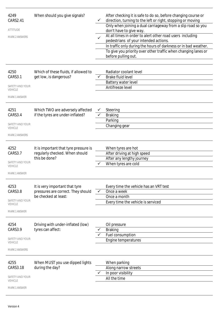| 4249<br>CARS2.41<br><b>ATTITUDE</b><br><b>MARK 2 ANSWERS</b>                  | When should you give signals?                                                                | $\checkmark$<br>$\checkmark$ | After checking it is safe to do so, before changing course or<br>direction, turning to the left or right, stopping or moving<br>Only when joining a dual carriageway from a slip road so you<br>don't have to give way.<br>At all times in order to alert other road users including<br>pedestrians of your intended actions.<br>In traffic only during the hours of darkness or in bad weather.<br>To give you priority over other traffic when changing lanes or<br>before pulling out. |
|-------------------------------------------------------------------------------|----------------------------------------------------------------------------------------------|------------------------------|-------------------------------------------------------------------------------------------------------------------------------------------------------------------------------------------------------------------------------------------------------------------------------------------------------------------------------------------------------------------------------------------------------------------------------------------------------------------------------------------|
| 4250<br>CARS3.1<br>SAFETY AND YOUR<br>VEHICLE<br><b>MARK 1 ANSWER</b>         | Which of these fluids, if allowed to<br>get low, is dangerous?                               |                              | Radiator coolant level<br><b>Brake fluid level</b><br>Battery water level<br>Antifreeze level                                                                                                                                                                                                                                                                                                                                                                                             |
| 4251<br>CARS3.4<br>SAFETY AND YOUR<br><b>VEHICLE</b><br><b>MARK 2 ANSWERS</b> | Which TWO are adversely affected<br>if the tyres are under-inflated?                         |                              | Steering<br><b>Braking</b><br>Parking<br>Changing gear                                                                                                                                                                                                                                                                                                                                                                                                                                    |
| 4252<br>CARS3.7<br>SAFETY AND YOUR<br><b>VEHICLE</b><br><b>MARK 1 ANSWER</b>  | It is important that tyre pressure is<br>regularly checked. When should<br>this be done?     |                              | When tyres are hot<br>After driving at high speed<br>After any lengthy journey<br>When tyres are cold                                                                                                                                                                                                                                                                                                                                                                                     |
| 4253<br>CARS3.8<br>SAFETY AND YOUR<br><b>VEHICLE</b><br><b>MARK 1 ANSWER</b>  | It is very important that tyre<br>pressures are correct. They should<br>be checked at least: |                              | Every time the vehicle has an VRT test<br>Once a week<br>Once a month<br>Every time the vehicle is serviced                                                                                                                                                                                                                                                                                                                                                                               |
| 4254<br>CARS3.9<br>SAFETY AND YOUR<br><b>VEHICLE</b><br><b>MARK 2 ANSWERS</b> | Driving with under-inflated (low)<br>tyres can affect:                                       |                              | Oil pressure<br><b>Braking</b><br>Fuel consumption<br>Engine temperatures                                                                                                                                                                                                                                                                                                                                                                                                                 |
| 4255<br>CARS3.18<br>SAFETY AND YOUR<br><b>VEHICLE</b><br><b>MARK 1 ANSWER</b> | When MUST you use dipped lights<br>during the day?                                           |                              | When parking<br>Along narrow streets<br>In poor visibility<br>All the time                                                                                                                                                                                                                                                                                                                                                                                                                |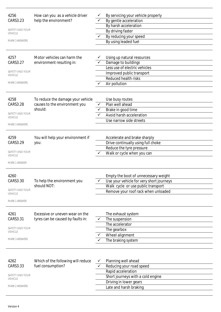| 4256<br>CARS3.23                  | How can you as a vehicle driver<br>help the environment? |   | By servicing your vehicle properly<br>By gentle acceleration |
|-----------------------------------|----------------------------------------------------------|---|--------------------------------------------------------------|
| SAFETY AND YOUR                   |                                                          |   | By harsh acceleration                                        |
| <b>VEHICLE</b>                    |                                                          |   | By driving faster                                            |
| <b>MARK 3 ANSWERS</b>             |                                                          |   | By reducing your speed                                       |
|                                   |                                                          |   | By using leaded fuel                                         |
|                                   |                                                          |   |                                                              |
| 4257                              | Motor vehicles can harm the                              |   | Using up natural resources                                   |
| CARS3.27                          | environment resulting in:                                |   | Damage to buildings                                          |
| SAFETY AND YOUR                   |                                                          |   | Less use of electric vehicles                                |
| <b>VEHICLE</b>                    |                                                          |   | Improved public transport                                    |
|                                   |                                                          |   | <b>Reduced health risks</b>                                  |
| <b>MARK 3 ANSWERS</b>             |                                                          | ✓ | Air pollution                                                |
|                                   |                                                          |   |                                                              |
| 4258                              | To reduce the damage your vehicle                        |   | Use busy routes                                              |
| CARS3.28                          | causes to the environment you                            | ✓ | Plan well ahead                                              |
|                                   | should:                                                  | ✓ | Brake in good time                                           |
| SAFETY AND YOUR                   |                                                          |   | Avoid harsh acceleration                                     |
| <b>VEHICLE</b>                    |                                                          |   | Use narrow side streets                                      |
| <b>MARK 3 ANSWERS</b>             |                                                          |   |                                                              |
|                                   |                                                          |   |                                                              |
| 4259                              | You will help your environment if                        |   | Accelerate and brake sharply                                 |
| CARS3.29                          | you:                                                     |   | Drive continually using full choke                           |
|                                   |                                                          |   | Reduce the tyre pressure                                     |
| SAFETY AND YOUR<br><b>VEHICLE</b> |                                                          |   | Walk or cycle when you can                                   |
|                                   |                                                          |   |                                                              |
| <b>MARK 1 ANSWER</b>              |                                                          |   |                                                              |
|                                   |                                                          |   |                                                              |
| 4260                              |                                                          |   | Empty the boot of unnecessary weight                         |
| CARS3.30                          | To help the environment you<br>should NOT:               |   | Use your vehicle for very short journeys                     |
| SAFETY AND YOUR                   |                                                          |   | Walk cycle or use public transport                           |
| <b>VEHICLE</b>                    |                                                          |   | Remove your roof rack when unloaded                          |
| <b>MARK 1 ANSWER</b>              |                                                          |   |                                                              |
|                                   |                                                          |   |                                                              |
| 4261                              | Excessive or uneven wear on the                          |   | The exhaust system                                           |
| CARS3.31                          | tyres can be caused by faults in:                        | ✓ | The suspension                                               |
|                                   |                                                          |   | The accelerator                                              |
| SAFETY AND YOUR<br><b>VEHICLE</b> |                                                          |   | The gearbox                                                  |
|                                   |                                                          |   | Wheel alignment                                              |
| <b>MARK 3 ANSWERS</b>             |                                                          |   | The braking system                                           |
|                                   |                                                          |   |                                                              |
|                                   |                                                          |   |                                                              |
|                                   |                                                          |   |                                                              |
| 4262                              | Which of the following will reduce                       |   | Planning well ahead                                          |
| CARS3.33                          | fuel consumption?                                        |   | Reducing your road speed                                     |
| SAFETY AND YOUR                   |                                                          |   | Rapid acceleration                                           |
| <b>VEHICLE</b>                    |                                                          |   | Short journeys with a cold engine                            |
| <b>MARK 2 ANSWERS</b>             |                                                          |   | Driving in lower gears                                       |
|                                   |                                                          |   | Late and harsh braking                                       |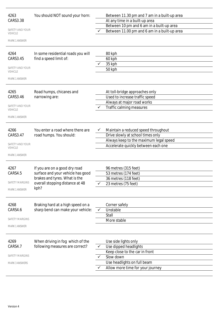| 4263                                     | You should NOT sound your horn:                                  |              | Between 11.30 pm and 7 am in a built-up area |  |
|------------------------------------------|------------------------------------------------------------------|--------------|----------------------------------------------|--|
| CARS3.38                                 |                                                                  |              | At any time in a built-up area               |  |
|                                          |                                                                  |              | Between 10 pm and 6 am in a built-up area    |  |
| <b>SAFETY AND YOUR</b><br><b>VEHICLE</b> |                                                                  |              | Between 11.00 pm and 6 am in a built-up area |  |
| <b>MARK 1 ANSWER</b>                     |                                                                  |              |                                              |  |
| 4264                                     | In some residential roads you will                               |              | 80 kph                                       |  |
| CARS3.45                                 | find a speed limit of:                                           |              | 60 kph                                       |  |
|                                          |                                                                  |              | 35 kph                                       |  |
| SAFETY AND YOUR<br><b>VEHICLE</b>        |                                                                  |              | 50 kph                                       |  |
| <b>MARK 1 ANSWER</b>                     |                                                                  |              |                                              |  |
| 4265                                     | Road humps, chicanes and                                         |              | At toll-bridge approaches only               |  |
| CARS3.46                                 | narrowing are:                                                   |              | Used to increase traffic speed               |  |
|                                          |                                                                  |              | Always at major road works                   |  |
| SAFETY AND YOUR<br><b>VEHICLE</b>        |                                                                  | $\checkmark$ | Traffic calming measures                     |  |
| MARK 1 ANSWER                            |                                                                  |              |                                              |  |
| 4266                                     | You enter a road where there are                                 |              | Maintain a reduced speed throughout          |  |
| CARS3.47                                 | road humps. You should:                                          |              | Drive slowly at school times only            |  |
|                                          |                                                                  |              | Always keep to the maximum legal speed       |  |
| SAFETY AND YOUR<br><b>VEHICLE</b>        |                                                                  |              | Accelerate quickly between each one          |  |
| MARK 1 ANSWER                            |                                                                  |              |                                              |  |
|                                          |                                                                  |              |                                              |  |
| 4267                                     | If you are on a good dry road                                    |              | 96 metres (315 feet)                         |  |
| CARS4.5                                  | surface and your vehicle has good                                |              | 53 metres (174 feet)                         |  |
| <b>SAFETY MARGINS</b>                    | brakes and tyres. What is the<br>overall stopping distance at 48 |              | 36 metres (118 feet)                         |  |
| <b>MARK 1 ANSWER</b>                     | kph?                                                             |              | 23 metres (75 feet)                          |  |
|                                          |                                                                  |              |                                              |  |
| 4268                                     | Braking hard at a high speed on a                                |              | Corner safely                                |  |
| CARS4.6                                  | sharp bend can make your vehicle:                                | $\checkmark$ | Unstable                                     |  |
|                                          |                                                                  |              | Stall                                        |  |
| SAFETY MARGINS                           |                                                                  |              | More stable                                  |  |
| MARK 1 ANSWER                            |                                                                  |              |                                              |  |
| 4269                                     | When driving in fog which of the                                 |              | Use side lights only                         |  |
| CARS4.7                                  | following measures are correct?                                  |              | Use dipped headlights                        |  |
|                                          |                                                                  |              | Keep close to the car in front               |  |
| SAFETY MARGINS                           |                                                                  |              | Slow down                                    |  |
| <b>MARK 3 ANSWERS</b>                    |                                                                  |              | Use headlights on full beam                  |  |
|                                          |                                                                  |              | Allow more time for your journey             |  |
|                                          |                                                                  |              |                                              |  |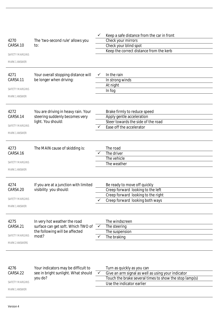|                       |                                       |              | Keep a safe distance from the car in front             |
|-----------------------|---------------------------------------|--------------|--------------------------------------------------------|
| 4270                  | The 'two-second rule' allows you      |              | Check your mirrors                                     |
| CARS4.10              | to:                                   |              | Check your blind spot                                  |
|                       |                                       |              | Keep the correct distance from the kerb                |
| <b>SAFETY MARGINS</b> |                                       |              |                                                        |
| <b>MARK 1 ANSWER</b>  |                                       |              |                                                        |
| 4271                  | Your overall stopping distance will   | $\checkmark$ | In the rain                                            |
| CARS4.11              | be longer when driving:               |              | In strong winds                                        |
|                       |                                       |              | At night                                               |
| <b>SAFETY MARGINS</b> |                                       |              | In fog                                                 |
| <b>MARK 1 ANSWER</b>  |                                       |              |                                                        |
| 4272                  | You are driving in heavy rain. Your   |              | Brake firmly to reduce speed                           |
| <b>CARS4.14</b>       | steering suddenly becomes very        |              | Apply gentle acceleration                              |
|                       | light. You should:                    |              | Steer towards the side of the road                     |
| <b>SAFETY MARGINS</b> |                                       | ✓            | Ease off the accelerator                               |
| <b>MARK 1 ANSWER</b>  |                                       |              |                                                        |
|                       |                                       |              |                                                        |
| 4273<br>CARS4.16      | The MAIN cause of skidding is:        |              | The road<br>The driver                                 |
|                       |                                       |              | The vehicle                                            |
| <b>SAFETY MARGINS</b> |                                       |              | The weather                                            |
| <b>MARK 1 ANSWER</b>  |                                       |              |                                                        |
|                       |                                       |              |                                                        |
| 4274                  | If you are at a junction with limited |              | Be ready to move off quickly                           |
| CARS4.20              | visibility you should:                |              | Creep forward looking to the left                      |
| SAFETY MARGINS        |                                       |              | Creep forward looking to the right                     |
|                       |                                       |              | Creep forward looking both ways                        |
| <b>MARK 1 ANSWER</b>  |                                       |              |                                                        |
| 4275                  | In very hot weather the road          |              | The windscreen                                         |
| CARS4.21              | surface can get soft. Which TWO of    | $\checkmark$ | The steering                                           |
|                       | the following will be affected        |              | The suspension                                         |
| <b>SAFETY MARGINS</b> | most?                                 |              | The braking                                            |
| <b>MARK 2 ANSWERS</b> |                                       |              |                                                        |
|                       |                                       |              |                                                        |
| 4276                  | Your indicators may be difficult to   |              | Turn as quickly as you can                             |
| CARS4.22              | see in bright sunlight. What should   |              | Give an arm signal as well as using your indicator     |
|                       | you do?                               |              | Touch the brake several times to show the stop lamp(s) |
| <b>SAFETY MARGINS</b> |                                       |              | Use the indicator earlier                              |
| <b>MARK 1 ANSWER</b>  |                                       |              |                                                        |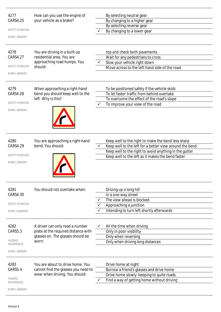| 4277                       | How can you use the engine of       |   | By selecting neutral gear                                |
|----------------------------|-------------------------------------|---|----------------------------------------------------------|
| CARS4.25                   | your vehicle as a brake?            |   | By changing to a higher gear                             |
| <b>SAFETY MARGINS</b>      |                                     |   | By selecting reverse gear<br>By changing to a lower gear |
| <b>MARK 1 ANSWER</b>       |                                     |   |                                                          |
|                            |                                     |   |                                                          |
| 4278                       | You are driving in a built-up       |   | top and check both pavements                             |
| CARS4.27                   | residential area. You are           |   | Wait for any pedestrians to cross                        |
|                            | approaching road humps. You         |   | Slow your vehicle right down                             |
| <b>SAFETY MARGINS</b>      | should:                             |   | Move across to the left-hand side of the road            |
| <b>MARK 1 ANSWER</b>       |                                     |   |                                                          |
| 4279                       | When approaching a right-hand       |   | To be positioned safely if the vehicle skids             |
| <b>CARS4.28</b>            | bend you should keep well to the    |   | To let faster traffic from behind overtake               |
|                            | left. Why is this?                  |   | To overcome the effect of the road's slope               |
| <b>SAFETY MARGINS</b>      |                                     |   | To improve your view of the road                         |
| <b>MARK 1 ANSWER</b>       |                                     |   |                                                          |
|                            |                                     |   |                                                          |
|                            |                                     |   |                                                          |
|                            |                                     |   |                                                          |
|                            |                                     |   |                                                          |
| 4280                       | You are approaching a right-hand    |   | Keep well to the right to make the bend less sharp       |
| CARS4.29                   | bend. You should:                   |   | Keep well to the left for a better view around the bend  |
|                            |                                     |   | Keep well to the right to avoid anything in the gutter   |
| <b>SAFETY MARGINS</b>      |                                     |   | Keep well to the left as it makes the bend faster        |
| <b>MARK 1 ANSWER</b>       |                                     |   |                                                          |
|                            |                                     |   |                                                          |
|                            |                                     |   |                                                          |
|                            |                                     |   |                                                          |
| 4281                       | You should not overtake when:       |   | Driving up a long hill                                   |
| CARS4.30                   |                                     |   | In a one-way street                                      |
|                            |                                     |   | The view ahead is blocked                                |
| <b>SAFETY MARGINS</b>      |                                     |   | Approaching a junction                                   |
| <b>MARK 3 ANSWERS</b>      |                                     |   | Intending to turn left shortly afterwards                |
|                            |                                     |   |                                                          |
| 4282                       | A driver can only read a number     | ✓ | All the time when driving                                |
| CARS5.3                    | plate at the required distance with |   | Only in poor visibility                                  |
|                            | glasses on. The glasses should be   |   | Only when reversing                                      |
| <b>HAZARD</b><br>AWARENESS | worn:                               |   | Only when driving long distances                         |
|                            |                                     |   |                                                          |
| <b>MARK 1 ANSWER</b>       |                                     |   |                                                          |
| 4283                       | You are about to drive home. You    |   | Drive home at night                                      |
| CARS5.4                    | cannot find the glasses you need to |   | Borrow a friend's glasses and drive home                 |
|                            | wear when driving. You should:      |   | Drive home slowly keeping to quite roads                 |
| <b>HAZARD</b><br>AWARENESS |                                     | ✓ | Find a way of getting home without driving               |
| MARK 1 ANSWER              |                                     |   |                                                          |
|                            |                                     |   |                                                          |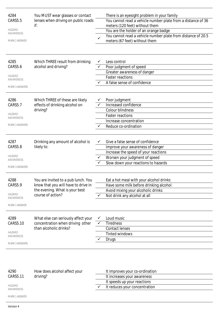| 4284<br><b>CARS5.5</b><br><b>HAZARD</b><br>AWARENESS<br><b>MARK 1 ANSWER</b> | You MUST wear glasses or contact<br>lenses when driving on public roads<br>if:                    |                   | There is an eyesight problem in your family<br>You cannot read a vehicle number plate from a distance of 36<br>meters (120 feet) without them<br>You are the holder of an orange badge<br>You cannot read a vehicle number plate from distance of 20.5<br>meters (67 feet) without them |
|------------------------------------------------------------------------------|---------------------------------------------------------------------------------------------------|-------------------|-----------------------------------------------------------------------------------------------------------------------------------------------------------------------------------------------------------------------------------------------------------------------------------------|
|                                                                              |                                                                                                   |                   |                                                                                                                                                                                                                                                                                         |
| 4285<br>CARS5.6                                                              | Which THREE result from drinking<br>alcohol and driving?                                          | ✓                 | Less control                                                                                                                                                                                                                                                                            |
|                                                                              |                                                                                                   |                   | Poor judgment of speed<br>Greater awareness of danger                                                                                                                                                                                                                                   |
| <b>HAZARD</b>                                                                |                                                                                                   |                   | <b>Faster reactions</b>                                                                                                                                                                                                                                                                 |
| AWARENESS                                                                    |                                                                                                   | ✓                 | A false sense of confidence                                                                                                                                                                                                                                                             |
| <b>MARK 3 ANSWERS</b>                                                        |                                                                                                   |                   |                                                                                                                                                                                                                                                                                         |
| 4286                                                                         | Which THREE of these are likely                                                                   |                   | Poor judgment                                                                                                                                                                                                                                                                           |
| CARS5.7                                                                      | effects of drinking alcohol on                                                                    |                   | Increased confidence                                                                                                                                                                                                                                                                    |
|                                                                              | driving?                                                                                          |                   | <b>Colour blindness</b>                                                                                                                                                                                                                                                                 |
| <b>HAZARD</b><br>AWARENESS                                                   |                                                                                                   |                   | <b>Faster reactions</b>                                                                                                                                                                                                                                                                 |
|                                                                              |                                                                                                   |                   | Increase concentration                                                                                                                                                                                                                                                                  |
| <b>MARK 3 ANSWERS</b>                                                        |                                                                                                   |                   | Reduce co-ordination                                                                                                                                                                                                                                                                    |
| 4287                                                                         | Drinking any amount of alcohol is                                                                 |                   | Give a false sense of confidence                                                                                                                                                                                                                                                        |
| CARS5.8                                                                      | likely to:                                                                                        |                   | Improve your awareness of danger                                                                                                                                                                                                                                                        |
| <b>HAZARD</b>                                                                |                                                                                                   |                   | Increase the speed of your reactions<br>Worsen your judgment of speed                                                                                                                                                                                                                   |
| AWARENESS                                                                    |                                                                                                   | ✓                 | Slow down your reactions to hazards                                                                                                                                                                                                                                                     |
| <b>MARK 3 ANSWERS</b>                                                        |                                                                                                   |                   |                                                                                                                                                                                                                                                                                         |
| 4288                                                                         | You are invited to a pub lunch. You                                                               |                   | Eat a hot meal with your alcohol drinks                                                                                                                                                                                                                                                 |
| CARS5.9                                                                      | know that you will have to drive in                                                               |                   | Have some milk before drinking alcohol                                                                                                                                                                                                                                                  |
| <b>HAZARD</b>                                                                | the evening. What is your best                                                                    |                   | Avoid mixing your alcoholic drinks                                                                                                                                                                                                                                                      |
| AWARENESS                                                                    | course of action?                                                                                 |                   | Not drink any alcohol at all                                                                                                                                                                                                                                                            |
| <b>MARK 1 ANSWER</b>                                                         |                                                                                                   |                   |                                                                                                                                                                                                                                                                                         |
| 4289<br>CARS5.10                                                             | What else can seriously affect your<br>concentration when driving other<br>than alcoholic drinks? | v<br>$\checkmark$ | Loud music<br><b>Tiredness</b>                                                                                                                                                                                                                                                          |
| <b>HAZARD</b>                                                                |                                                                                                   |                   | <b>Contact lenses</b><br><b>Tinted windows</b>                                                                                                                                                                                                                                          |
| AWARENESS                                                                    |                                                                                                   |                   |                                                                                                                                                                                                                                                                                         |
| <b>MARK 3 ANSWERS</b>                                                        |                                                                                                   |                   | Drugs                                                                                                                                                                                                                                                                                   |
|                                                                              |                                                                                                   |                   |                                                                                                                                                                                                                                                                                         |

| 4290                | How does alcohol affect your | It improves your co-ordination |                               |
|---------------------|------------------------------|--------------------------------|-------------------------------|
| CARS5.11            | driving?                     |                                | It increases your awareness   |
|                     |                              |                                | It speeds up your reactions   |
| HAZARD<br>AWARENESS |                              |                                | It reduces your concentration |
|                     |                              |                                |                               |

MARK 1 ANSWER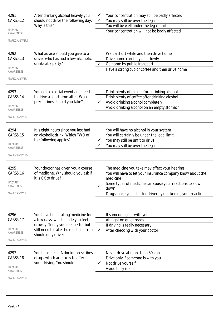| 4291                              | After drinking alcohol heavily you                       |              | Your concentration may still be badly affected                         |
|-----------------------------------|----------------------------------------------------------|--------------|------------------------------------------------------------------------|
| CARS5.12                          | should not drive the following day.<br>Why is this?      |              | You may still be over the legal limit                                  |
|                                   |                                                          |              | You will be well under the legal limit                                 |
| <b>HAZARD</b><br><b>AWARENESS</b> |                                                          |              | Your concentration will not be badly affected                          |
| <b>MARK 2 ANSWERS</b>             |                                                          |              |                                                                        |
| 4292                              | What advice should you give to a                         |              | Wait a short while and then drive home                                 |
| <b>CARS5.13</b>                   | driver who has had a few alcoholic                       |              | Drive home carefully and slowly                                        |
|                                   | drinks at a party?                                       | $\checkmark$ | Go home by public transport                                            |
| <b>HAZARD</b><br>AWARENESS        |                                                          |              | Have a strong cup of coffee and then drive home                        |
| <b>MARK 1 ANSWER</b>              |                                                          |              |                                                                        |
| 4293                              | You go to a social event and need                        |              | Drink plenty of milk before drinking alcohol                           |
| <b>CARS5.14</b>                   | to drive a short time after. What                        |              | Drink plenty of coffee after drinking alcohol                          |
|                                   | precautions should you take?                             |              | Avoid drinking alcohol completely                                      |
| <b>HAZARD</b><br>AWARENESS        |                                                          |              | Avoid drinking alcohol on an empty stomach                             |
| <b>MARK 1 ANSWER</b>              |                                                          |              |                                                                        |
|                                   |                                                          |              |                                                                        |
| 4294                              | It is eight hours since you last had                     |              | You will have no alcohol in your system                                |
| <b>CARS5.15</b>                   | an alcoholic drink. Which TWO of                         |              | You will certainly be under the legal limit                            |
| <b>HAZARD</b>                     | the following applies?                                   |              | You may still be unfit to drive                                        |
| AWARENESS                         |                                                          |              | You may still be over the legal limit                                  |
| <b>MARK 2 ANSWERS</b>             |                                                          |              |                                                                        |
| 4295                              | Your doctor has given you a course                       |              | The medicine you take may affect your hearing                          |
| CARS5.16                          | of medicine. Why should you ask if<br>it is OK to drive? |              | You will have to let your insurance company know about the<br>medicine |
| <b>HAZARD</b><br>AWARENESS        |                                                          |              | Some types of medicine can cause your reactions to slow<br>down        |
| MARK 1 ANSWER                     |                                                          |              | Drugs make you a better driver by quickening your reactions            |
|                                   |                                                          |              |                                                                        |
| 4296                              | You have been taking medicine for                        |              | If someone goes with you                                               |
| CARS5.17                          | a few days which made you feel                           |              | At night on quiet roads                                                |
|                                   | drowsy. Today you feel better but                        |              | If driving is really necessary                                         |
| <b>HAZARD</b>                     | still need to take the medicine. You                     | $\checkmark$ | After checking with your doctor                                        |
| AWARENESS                         | should only drive:                                       |              |                                                                        |
| <b>MARK 1 ANSWER</b>              |                                                          |              |                                                                        |
| 4297                              | You become ill. A doctor prescribes                      |              | Never drive at more than 30 kph                                        |
| <b>CARS5.18</b>                   | drugs which are likely to affect                         |              | Drive only if someone is with you                                      |
|                                   | your driving. You should:                                |              | Not drive yourself                                                     |
| <b>HAZARD</b><br>AWARENESS        |                                                          |              | Aviod busy roads                                                       |
| MARK 1 ANSWER                     |                                                          |              |                                                                        |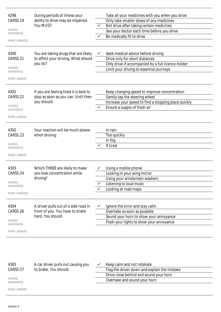| 4298<br>CARS5.19           | During periods of illness your<br>ability to drive may be impaired.<br>You MUST: |              | Take all your medicines with you when you drive<br>Only take smaller doses of any medicines |
|----------------------------|----------------------------------------------------------------------------------|--------------|---------------------------------------------------------------------------------------------|
|                            |                                                                                  | $\checkmark$ | Not drive after taking certain medicines                                                    |
| <b>HAZARD</b>              |                                                                                  |              | See your doctor each time before you drive                                                  |
| AWARENESS                  |                                                                                  |              | Be medically fit to drive                                                                   |
| <b>MARK 2 ANSWERS</b>      |                                                                                  |              |                                                                                             |
| 4300<br>CARS5.21           | You are taking drugs that are likely<br>to affect your driving. What should      | ✓            | Seek medical advice before driving<br>Drive only for short distances                        |
|                            | you do?                                                                          |              | Only drive if accompanied by a full licence-holder                                          |
| <b>HAZARD</b><br>AWARENESS |                                                                                  |              | Limit your driving to essential journeys                                                    |
| <b>MARK 1 ANSWER</b>       |                                                                                  |              |                                                                                             |
| 4301                       | If you are feeling tired it is best to                                           |              | Keep changing speed to improve concentration                                                |
| CARS5.22                   | stop as soon as you can. Until then                                              |              | Gently tap the steering wheel                                                               |
| <b>HAZARD</b>              | you should:                                                                      |              | Increase your speed to find a stopping place quickly                                        |
| AWARENESS                  |                                                                                  |              | Ensure a supply of fresh air                                                                |
| <b>MARK 1 ANSWER</b>       |                                                                                  |              |                                                                                             |
| 4302                       | Your reaction will be much slower                                                |              | In rain                                                                                     |
| CARS5.23                   | when driving:                                                                    |              | Too quickly                                                                                 |
| <b>HAZARD</b>              |                                                                                  |              | In fog<br>If tired                                                                          |
| AWARENESS                  |                                                                                  |              |                                                                                             |
| <b>MARK 1 ANSWER</b>       |                                                                                  |              |                                                                                             |
| 4303                       | Which THREE are likely to make                                                   |              | Using a mobile phone                                                                        |
| <b>CARS5.24</b>            | you lose concentration while                                                     |              | Looking in your wing mirror                                                                 |
|                            | driving?                                                                         |              | Using your windscreen washers                                                               |
| <b>HAZARD</b><br>AWARENESS |                                                                                  |              | Listening to loud music                                                                     |
|                            |                                                                                  |              | Looking at road maps                                                                        |
| <b>MARK 3 ANSWERS</b>      |                                                                                  |              |                                                                                             |
| 4304                       | A driver pulls out of a side road in                                             | ✓            | Ignore the error and stay calm                                                              |
| CARS5.26                   | front of you. You have to brake                                                  |              | Overtake as soon as possible                                                                |
|                            | hard. You should                                                                 |              | Sound your horn to show your annoyance                                                      |
| <b>HAZARD</b><br>AWARENESS |                                                                                  |              | Flash your lights to show your annoyance                                                    |
| <b>MARK 1 ANSWER</b>       |                                                                                  |              |                                                                                             |
|                            |                                                                                  |              |                                                                                             |

| 4305<br>CARS5.27    | A car driver pulls out causing you<br>to brake. You should: | Keep calm and not retaliate<br>Flag the driver down and explain the mistake |  |
|---------------------|-------------------------------------------------------------|-----------------------------------------------------------------------------|--|
|                     |                                                             | Drive close behind and sound your horn                                      |  |
| HAZARD<br>AWARENESS |                                                             | Overtake and sound your horn                                                |  |
| MARK 1 ANSWER       |                                                             |                                                                             |  |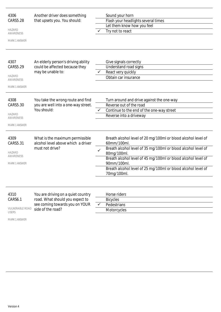| 4306<br><b>CARS5.28</b><br><b>HAZARD</b><br><b>AWARENESS</b><br><b>MARK 1 ANSWER</b> | Another driver does something<br>that upsets you. You should:                                                                |              | Sound your horn<br>Flash your headlights several times<br>Let them know how you feel<br>Try not to react                                                                                                                                                                                                                     |
|--------------------------------------------------------------------------------------|------------------------------------------------------------------------------------------------------------------------------|--------------|------------------------------------------------------------------------------------------------------------------------------------------------------------------------------------------------------------------------------------------------------------------------------------------------------------------------------|
| 4307<br>CARS5.29<br><b>HAZARD</b><br>AWARENESS<br><b>MARK 1 ANSWER</b>               | An elderly person's driving ability<br>could be affected because they<br>may be unable to:                                   |              | Give signals correctly<br>Understand road signs<br>React very quickly<br>Obtain car insurance                                                                                                                                                                                                                                |
| 4308<br>CARS5.30<br>HAZARD<br>AWARENESS<br><b>MARK 1 ANSWER</b>                      | You take the wrong route and find<br>you are well into a one-way street.<br>You should:                                      | $\checkmark$ | Turn around and drive against the one-way<br>Reverse out of the road<br>Continue to the end of the one-way street<br>Reverse into a driveway                                                                                                                                                                                 |
| 4309<br>CARS5.31<br><b>HAZARD</b><br>AWARENESS<br><b>MARK 1 ANSWER</b>               | What is the maximum permissible<br>alcohol level above which a driver<br>must not drive?                                     | $\checkmark$ | Breath alcohol level of 20 mg/100ml or blood alcohol level of<br>60mm/100ml.<br>Breath alcohol level of 35 mg/100ml or blood alcohol level of<br>80mg/100ml.<br>Breath alcohol level of 45 mg/100ml or blood alcohol level of<br>90mm/100ml.<br>Breath alcohol level of 25 mg/100ml or blood alcohol level of<br>70mg/100ml. |
| 4310<br>CARS6.1<br><b>VULNERABLE ROAD</b><br><b>USERS</b>                            | You are driving on a quiet country<br>road. What should you expect to<br>see coming towards you on YOUR<br>side of the road? | $\checkmark$ | Horse riders<br><b>Bicycles</b><br>Pedestrians<br>Motorcycles                                                                                                                                                                                                                                                                |

MARK 1 ANSWER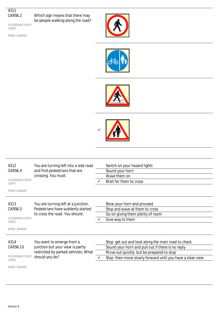## 4311 CARS6.2

VULNERABLE ROAD

USERS

Which sign means that there may be people walking along the road?

MARK 1 ANSWER









| 4312<br>CARS6.4<br><b>VULNERABLE ROAD</b><br><b>USERS</b><br><b>MARK 1 ANSWER</b>  | You are turning left into a side road<br>and find pedestrians that are<br>crossing. You must:                          | Switch on your hazard lights<br>Sound your horn<br>Wave them on<br>Wait for them to cross                                                                                                                        |
|------------------------------------------------------------------------------------|------------------------------------------------------------------------------------------------------------------------|------------------------------------------------------------------------------------------------------------------------------------------------------------------------------------------------------------------|
| 4313<br>CARS6.5<br><b>VULNERABLE ROAD</b><br><b>USERS</b><br><b>MARK 1 ANSWER</b>  | You are turning left at a junction.<br>Pedestrians have suddenly started<br>to cross the road. You should:             | Blow your horn and proceed<br>Stop and wave at them to cross<br>Go on giving them plenty of room<br>Give way to them                                                                                             |
| 4314<br>CARS6.10<br><b>VULNERABLE ROAD</b><br><b>USERS</b><br><b>MARK 1 ANSWER</b> | You want to emerge from a<br>junction but your view is partly<br>restricted by parked vehicles. What<br>should you do? | Stop get out and look along the main road to check<br>Sound your horn and pull out if there is no reply<br>Move out quickly but be prepared to stop<br>Stop then move slowly forward until you have a clear view |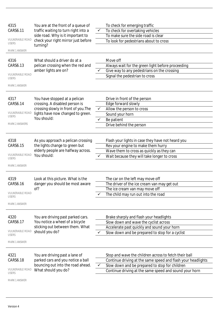| 4315                                   | You are at the front of a queue of<br>traffic waiting to turn right into a<br>side road. Why is it important to |              | To check for emerging traffic                                                        |
|----------------------------------------|-----------------------------------------------------------------------------------------------------------------|--------------|--------------------------------------------------------------------------------------|
| CARS6.11                               |                                                                                                                 |              | To check for overtaking vehicles                                                     |
|                                        |                                                                                                                 |              | To make sure the side road is clear                                                  |
| <b>VULNERABLE ROAD</b><br><b>USERS</b> | check your right mirror just before                                                                             |              | To look for pedestrians about to cross                                               |
| MARK 1 ANSWER                          | turning?                                                                                                        |              |                                                                                      |
|                                        |                                                                                                                 |              |                                                                                      |
| 4316                                   | What should a driver do at a                                                                                    |              | Move off                                                                             |
| CARS6.13                               | pelican crossing when the red and                                                                               |              | Always wait for the green light before proceeding                                    |
| <b>VULNERABLE ROAD</b>                 | amber lights are on?                                                                                            |              | Give way to any pedestrians on the crossing                                          |
| <b>USERS</b>                           |                                                                                                                 |              | Signal the pedestrian to cross                                                       |
| <b>MARK 1 ANSWER</b>                   |                                                                                                                 |              |                                                                                      |
|                                        |                                                                                                                 |              |                                                                                      |
| 4317                                   | You have stopped at a pelican                                                                                   |              | Drive in front of the person                                                         |
| CARS6.14                               | crossing. A disabled person is                                                                                  |              | Edge forward slowly                                                                  |
|                                        | crossing slowly in front of you. The                                                                            |              | Allow the person to cross                                                            |
| <b>VULNERABLE ROAD</b><br><b>USERS</b> | lights have now changed to green.                                                                               |              | Sound your horn                                                                      |
|                                        | You should:                                                                                                     |              | Be patient                                                                           |
| <b>MARK 2 ANSWERS</b>                  |                                                                                                                 |              | Drive behind the person                                                              |
|                                        |                                                                                                                 |              |                                                                                      |
| 4318                                   | As you approach a pelican crossing                                                                              |              | Flash your lights in case they have not heard you                                    |
| CARS6.15                               | the lights change to green but                                                                                  |              | Rev your engine to make them hurry                                                   |
|                                        | elderly people are halfway across.                                                                              |              | Wave them to cross as quickly as they can                                            |
| <b>VULNERABLE ROAD</b><br><b>USERS</b> | You should:                                                                                                     |              | Wait because they will take longer to cross                                          |
|                                        |                                                                                                                 |              |                                                                                      |
| <b>MARK 1 ANSWER</b>                   |                                                                                                                 |              |                                                                                      |
| 4319                                   | Look at this picture. What is the                                                                               |              | The car on the left may move off                                                     |
| CARS6.16                               | danger you should be most aware                                                                                 |              | The driver of the ice cream van may get out                                          |
|                                        | of?                                                                                                             |              | The ice cream van may move off                                                       |
| <b>VULNERABLE ROAD</b>                 |                                                                                                                 |              | The child may run out into the road                                                  |
| <b>USERS</b>                           |                                                                                                                 |              |                                                                                      |
| <b>MARK 1 ANSWER</b>                   |                                                                                                                 |              |                                                                                      |
|                                        |                                                                                                                 |              |                                                                                      |
| 4320                                   | You are driving past parked cars.                                                                               |              | Brake sharply and flash your headlights                                              |
| CARS6.17                               | You notice a wheel of a bicycle<br>sticking out between them. What                                              |              | Slow down and wave the cyclist across<br>Accelerate past quickly and sound your horn |
| <b>VULNERABLE ROAD</b>                 | should you do?                                                                                                  |              | Slow down and be prepared to stop for a cyclist                                      |
| <b>USERS</b>                           |                                                                                                                 |              |                                                                                      |
| <b>MARK 1 ANSWER</b>                   |                                                                                                                 |              |                                                                                      |
|                                        |                                                                                                                 |              |                                                                                      |
| 4321                                   | You are driving past a lane of                                                                                  |              | Stop and wave the children across to fetch their ball                                |
| CARS6.18                               | parked cars and you notice a ball                                                                               |              | Continue driving at the same speed and flash your headlights                         |
| <b>VULNERABLE ROAD</b>                 | bouncing out into the road ahead.                                                                               | $\checkmark$ | Slow down and be prepared to stop for children                                       |
| <b>USERS</b>                           | What should you do?                                                                                             |              | Continue driving at the same speed and sound your horn                               |
| <b>MARK 1 ANSWER</b>                   |                                                                                                                 |              |                                                                                      |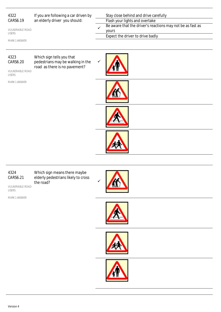| 4322<br>CARS6.19<br><b>VULNERABLE ROAD</b><br><b>USERS</b><br>MARK 1 ANSWER | If you are following a car driven by<br>an elderly driver you should:                           | Stay close behind and drive carefully<br>Flash your lights and overtake<br>Be aware that the driver's reactions may not be as fast as<br>yours<br>Expect the driver to drive badly |
|-----------------------------------------------------------------------------|-------------------------------------------------------------------------------------------------|------------------------------------------------------------------------------------------------------------------------------------------------------------------------------------|
| 4323<br>CARS6.20<br><b>VULNERABLE ROAD</b><br><b>USERS</b><br>MARK 1 ANSWER | Which sign tells you that<br>pedestrians may be walking in the<br>road as there is no pavement? |                                                                                                                                                                                    |
|                                                                             |                                                                                                 |                                                                                                                                                                                    |
|                                                                             |                                                                                                 |                                                                                                                                                                                    |

## 4324 CARS6.21

VULNERABLE ROAD USERS

MARK 1 ANSWER

Which sign means there maybe elderly pedestrians likely to cross the road?







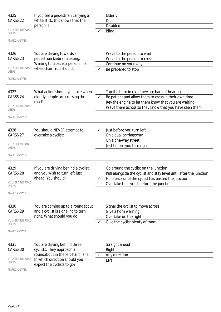| 4325<br>If you see a pedestrian carrying a |                                                              | Elderly      |                                                                    |
|--------------------------------------------|--------------------------------------------------------------|--------------|--------------------------------------------------------------------|
| CARS6.22                                   | white stick, this shows that the                             |              | Deaf                                                               |
|                                            | person is:                                                   |              | <b>Disabled</b>                                                    |
| <b>VULNERABLE ROAD</b><br><b>USERS</b>     |                                                              |              | <b>Blind</b>                                                       |
| <b>MARK 1 ANSWER</b>                       |                                                              |              |                                                                    |
| 4326                                       | You are driving towards a                                    |              | Wave to the person to wait                                         |
| CARS6.23                                   | pedestrian (zebra) crossing.                                 |              | Wave to the person to cross                                        |
| <b>VULNERABLE ROAD</b><br><b>USERS</b>     | Waiting to cross is a person in a<br>wheelchair. You should: |              | Continue on your way<br>Be prepared to stop                        |
| <b>MARK 1 ANSWER</b>                       |                                                              |              |                                                                    |
| 4327                                       | What action should you take when                             |              | Tap the horn in case they are hard of hearing                      |
| CARS6.24                                   | elderly people are crossing the                              | $\checkmark$ | Be patient and allow them to cross in their own time               |
|                                            | road?                                                        |              | Rev the engine to let them know that you are waiting               |
| <b>VULNERABLE ROAD</b><br><b>USERS</b>     |                                                              |              | Wave them across so they know that you have seen them              |
| MARK 1 ANSWER                              |                                                              |              |                                                                    |
| 4328                                       | You should NEVER attempt to                                  |              | Just before you turn left                                          |
| CARS6.27                                   | overtake a cyclist:                                          |              | On a dual carriageway                                              |
|                                            |                                                              |              | On a one-way street                                                |
| <b>VULNERABLE ROAD</b><br><b>USERS</b>     |                                                              |              | Just before you turn right                                         |
| <b>MARK 1 ANSWER</b>                       |                                                              |              |                                                                    |
| 4329                                       | If you are driving behind a cyclist                          |              | Go around the cyclist on the junction                              |
| CARS6.28                                   | and you wish to turn left just                               |              | Pull alongside the cyclist and stay level until after the junction |
|                                            | ahead. You should:                                           |              | Hold back until the cyclist has passed the junction                |
| <b>VULNERABLE ROAD</b><br><b>USERS</b>     |                                                              |              | Overtake the cyclist before the junction                           |
| <b>MARK 1 ANSWER</b>                       |                                                              |              |                                                                    |
| 4330                                       | You are coming up to a roundabout                            |              | Signal the cyclist to move across                                  |
| CARS6.29                                   | and a cyclist is signaling to turn                           |              | Give a horn warning                                                |
| <b>VULNERABLE ROAD</b>                     | right. What should you do:                                   |              | Overtake on the right                                              |
| <b>USERS</b>                               |                                                              |              | Give the cyclist plenty of room                                    |
| <b>MARK 1 ANSWER</b>                       |                                                              |              |                                                                    |
| 4331                                       | You are driving behind three                                 |              | Straight ahead                                                     |
| CARS6.30                                   | cyclists. They approach a                                    |              | Right                                                              |
| <b>VULNERABLE ROAD</b>                     | roundabout in the left-hand lane.                            |              | Any direction                                                      |
| <b>USERS</b>                               | In which direction should you<br>expect the cyclists to go?  |              | Left                                                               |
| <b>MARK 1 ANSWER</b>                       |                                                              |              |                                                                    |
|                                            |                                                              |              |                                                                    |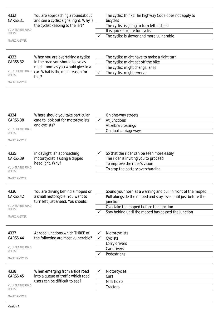| 4332<br>CARS6.31<br><b>VULNERABLE ROAD</b><br><b>USERS</b><br><b>MARK 1 ANSWER</b> | You are approaching a roundabout<br>and see a cyclist signal right. Why is<br>the cyclist keeping to the left? | The cyclist thinks The highway Code does not apply to<br>bicycles<br>The cyclist is going to turn left instead<br>It is quicker route for cyclist<br>The cyclist is slower and more vulnerable |
|------------------------------------------------------------------------------------|----------------------------------------------------------------------------------------------------------------|------------------------------------------------------------------------------------------------------------------------------------------------------------------------------------------------|
| 4333<br>CARS6.32                                                                   | When you are overtaking a cyclist<br>in the road you should leave as                                           | The cyclist might have to make a right turn<br>The cyclist might get off the bike                                                                                                              |
|                                                                                    | much room as you would give to a                                                                               | The cyclist might change lanes                                                                                                                                                                 |
| <b>VULNERABLE ROAD</b><br><b>USERS</b>                                             | car. What is the main reason for<br>this?                                                                      | The cyclist might swerve                                                                                                                                                                       |
| <b>MARK 1 ANSWER</b>                                                               |                                                                                                                |                                                                                                                                                                                                |
| 4334<br>CARS6.38<br><b>VULNERABLE ROAD</b><br><b>USERS</b><br><b>MARK 1 ANSWER</b> | Where should you take particular<br>care to look out for motorcyclists<br>and cyclists?                        | On one-way streets<br>At junctions<br>At zebra crossings<br>On dual carriageways                                                                                                               |
| 4335                                                                               | In daylight an approaching                                                                                     | So that the rider can be seen more easily                                                                                                                                                      |
| CARS6.39                                                                           | motorcyclist is using a dipped                                                                                 | The rider is inviting you to proceed                                                                                                                                                           |
|                                                                                    | headlight. Why?                                                                                                | To improve the rider's vision                                                                                                                                                                  |
| <b>VULNERABLE ROAD</b><br><b>USERS</b>                                             |                                                                                                                | To stop the battery overcharging                                                                                                                                                               |
| <b>MARK 1 ANSWER</b>                                                               |                                                                                                                |                                                                                                                                                                                                |
| 4336                                                                               | You are driving behind a moped or                                                                              | Sound your horn as a warning and pull in front of the moped                                                                                                                                    |
| CARS6.42                                                                           | a small motorcycle. You want to                                                                                | Pull alongside the moped and stay level until just before the                                                                                                                                  |
| <b>VULNERABLE ROAD</b>                                                             | turn left just ahead. You should:                                                                              | junction                                                                                                                                                                                       |
| <b>USERS</b>                                                                       |                                                                                                                | Overtake the moped before the junction                                                                                                                                                         |
| <b>MARK 1 ANSWER</b>                                                               |                                                                                                                | Stay behind until the moped has passed the junction                                                                                                                                            |
| 4337                                                                               | At road junctions which THREE of                                                                               | Motorcyclists                                                                                                                                                                                  |
| CARS6.44                                                                           | the following are most vulnerable?                                                                             | Cyclists                                                                                                                                                                                       |
|                                                                                    |                                                                                                                | Lorry drivers                                                                                                                                                                                  |
| <b>VULNERABLE ROAD</b>                                                             |                                                                                                                | Car drivers                                                                                                                                                                                    |
| <b>USERS</b>                                                                       |                                                                                                                | Pedestrians                                                                                                                                                                                    |
| <b>MARK 3 ANSWERS</b>                                                              |                                                                                                                |                                                                                                                                                                                                |
| 4338<br>CARS6.45<br><b>VULNERABLE ROAD</b><br><b>USERS</b>                         | When emerging from a side road<br>into a queue of traffic which road<br>users can be difficult to see?         | Motorcycles<br>Cars<br>Milk floats<br><b>Tractors</b>                                                                                                                                          |
| <b>MARK 1 ANSWER</b>                                                               |                                                                                                                |                                                                                                                                                                                                |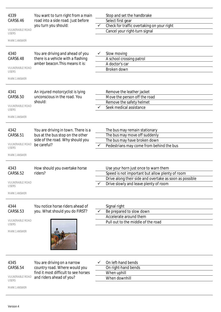| 4339                                   | You want to turn right from a main                                    |   | Stop and set the handbrake                                                                       |
|----------------------------------------|-----------------------------------------------------------------------|---|--------------------------------------------------------------------------------------------------|
| CARS6.46                               | road into a side road. Just before<br>you turn you should:            |   | Select first gear<br>Check for traffic overtaking on your right                                  |
| <b>VULNERABLE ROAD</b>                 |                                                                       |   | Cancel your right-turn signal                                                                    |
| <b>USERS</b>                           |                                                                       |   |                                                                                                  |
| <b>MARK 1 ANSWER</b>                   |                                                                       |   |                                                                                                  |
| 4340                                   | You are driving and ahead of you                                      | ✓ | Slow moving                                                                                      |
| CARS6.48                               | there is a vehicle with a flashing                                    |   | A school crossing patrol                                                                         |
|                                        | amber beacon. This means it is:                                       |   | A doctor's car                                                                                   |
| <b>VULNERABLE ROAD</b><br><b>USERS</b> |                                                                       |   | Broken down                                                                                      |
| <b>MARK 1 ANSWER</b>                   |                                                                       |   |                                                                                                  |
| 4341                                   | An injured motorcyclist is lying                                      |   | Remove the leather jacket                                                                        |
| CARS6.50                               | unconscious in the road. You                                          |   | Move the person off the road                                                                     |
|                                        | should:                                                               |   | Remove the safety helmet                                                                         |
| <b>VULNERABLE ROAD</b><br><b>USERS</b> |                                                                       |   | Seek medical assistance                                                                          |
|                                        |                                                                       |   |                                                                                                  |
| MARK 1 ANSWER                          |                                                                       |   |                                                                                                  |
| 4342                                   | You are driving in town. There is a                                   |   | The bus may remain stationary                                                                    |
| CARS6.51                               | bus at the bus stop on the other                                      |   | The bus may move off suddenly                                                                    |
|                                        | side of the road. Why should you                                      |   | The bus may have broken down                                                                     |
| <b>VULNERABLE ROAD</b><br><b>USERS</b> | be careful?                                                           | ✓ | Pedestrians may come from behind the bus                                                         |
|                                        |                                                                       |   |                                                                                                  |
| <b>MARK 1 ANSWER</b>                   |                                                                       |   |                                                                                                  |
|                                        |                                                                       |   |                                                                                                  |
| 4343                                   | How should you overtake horse                                         |   | Use your horn just once to warn them                                                             |
| CARS6.52                               | riders?                                                               |   | Speed is not important but allow plenty of room                                                  |
| <b>VULNERABLE ROAD</b>                 |                                                                       |   | Drive along their side and overtake as soon as possible<br>Drive slowly and leave plenty of room |
| <b>USERS</b><br><b>MARK 1 ANSWER</b>   |                                                                       |   |                                                                                                  |
|                                        |                                                                       |   |                                                                                                  |
| 4344                                   | You notice horse riders ahead of                                      |   | Signal right                                                                                     |
| CARS6.53                               | you. What should you do FIRST?                                        |   | Be prepared to slow down                                                                         |
|                                        |                                                                       |   | Accelerate around them                                                                           |
| <b>VULNERABLE ROAD</b><br><b>USERS</b> |                                                                       |   | Pull out to the middle of the road                                                               |
| <b>MARK 1 ANSWER</b>                   |                                                                       |   |                                                                                                  |
|                                        |                                                                       |   |                                                                                                  |
|                                        |                                                                       |   |                                                                                                  |
|                                        |                                                                       |   |                                                                                                  |
|                                        |                                                                       |   |                                                                                                  |
| 4345                                   | You are driving on a narrow                                           |   | On left-hand bends                                                                               |
| CARS6.54                               | country road. Where would you<br>find it most difficult to see horses |   | On right-hand bends<br>When uphill                                                               |
| <b>VULNERABLE ROAD</b>                 | and riders ahead of you?                                              |   | When downhill                                                                                    |
| <b>USERS</b><br>MARK 1 ANSWER          |                                                                       |   |                                                                                                  |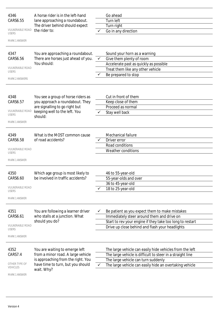| 4346<br>CARS6.55<br><b>VULNERABLE ROAD</b><br><b>USERS</b><br><b>MARK 1 ANSWER</b>  | A horse rider is in the left-hand<br>lane approaching a roundabout.<br>The driver behind should expect<br>the rider to:                                       |              | Go ahead<br><b>Turn left</b><br>Turn right<br>Go in any direction                                                                                                                                                        |
|-------------------------------------------------------------------------------------|---------------------------------------------------------------------------------------------------------------------------------------------------------------|--------------|--------------------------------------------------------------------------------------------------------------------------------------------------------------------------------------------------------------------------|
| 4347<br>CARS6.56<br><b>VULNERABLE ROAD</b><br><b>USERS</b><br><b>MARK 2 ANSWERS</b> | You are approaching a roundabout.<br>There are horses just ahead of you.<br>You should:                                                                       | $\checkmark$ | Sound your horn as a warning<br>Give them plenty of room<br>Accelerate past as quickly as possible<br>Treat them like any other vehicle<br>Be prepared to stop                                                           |
| 4348<br>CARS6.57<br><b>VULNERABLE ROAD</b><br><b>USERS</b><br><b>MARK 1 ANSWER</b>  | You see a group of horse riders as<br>you approach a roundabout. They<br>are signalling to go right but<br>keeping well to the left. You<br>should:           |              | Cut in front of them<br>Keep close of them<br>Proceed as normal<br>Stay well back                                                                                                                                        |
| 4349<br>CARS6.58<br><b>VULNERABLE ROAD</b><br><b>USERS</b><br><b>MARK 1 ANSWER</b>  | What is the MOST common cause<br>of road accidents?                                                                                                           |              | Mechanical failure<br>Driver error<br>Road conditions<br><b>Weather conditions</b>                                                                                                                                       |
| 4350<br>CARS6.60<br><b>VULNERABLE ROAD</b><br><b>USERS</b><br><b>MARK 1 ANSWER</b>  | Which age group is most likely to<br>be involved in traffic accidents?                                                                                        |              | 46 to 55-year-old<br>55-year-olds and over<br>36 to 45-year-old<br>18 to 25-year-old                                                                                                                                     |
| 4351<br>CARS6.61<br><b>VULNERABLE ROAD</b><br><b>USERS</b><br><b>MARK 1 ANSWER</b>  | You are following a learner driver<br>who stalls at a junction. What<br>should you do?                                                                        |              | Be patient as you expect them to make mistakes<br>Immediately steer around them and drive on<br>Start to rev your engine if they take too long to restart<br>Drive up close behind and flash your headlights             |
| 4352<br>CARS7.4<br>OTHER TYPE OF<br><b>VEHICLES</b><br>MARK 1 ANSWER                | You are waiting to emerge left<br>from a minor road. A large vehicle<br>is approaching from the right. You<br>have time to turn, but you should<br>wait. Why? |              | The large vehicle can easily hide vehicles from the left<br>The large vehicle is difficult to steer in a straight line<br>The large vehicle can turn suddenly<br>The large vehicle can easily hide an overtaking vehicle |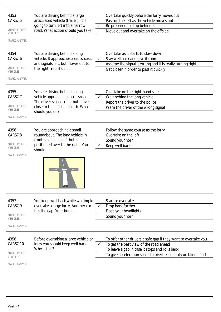| 4353                             | You are driving behind a large       |              | Overtake quickly before the lorry moves out                    |
|----------------------------------|--------------------------------------|--------------|----------------------------------------------------------------|
| CARS7.5                          | articulated vehicle (trailer). It is |              | Pass on the left as the vehicle moves out                      |
|                                  | going to turn left into a narrow     | ✓            | Be prepared to stop behind it                                  |
| OTHER TYPE OF<br><b>VEHICLES</b> | road. What action should you take?   |              | Move out and overtake on the offside                           |
| <b>MARK 1 ANSWER</b>             |                                      |              |                                                                |
|                                  |                                      |              |                                                                |
| 4354                             | You are driving behind a long        |              | Overtake as it starts to slow down                             |
| CARS7.6                          | vehicle. It approaches a crossroads  | $\checkmark$ | Stay well back and give it room                                |
|                                  | and signals left, but moves out to   |              | Assume the signal is wrong and it is really turning right      |
| OTHER TYPE OF<br><b>VEHICLES</b> | the right. You should:               |              | Get closer in order to pass it quickly                         |
| <b>MARK 1 ANSWER</b>             |                                      |              |                                                                |
|                                  |                                      |              |                                                                |
| 4355                             | You are driving behind a long        |              | Overtake on the right-hand side                                |
| CARS7.7                          | vehicle approaching a crossroad.     | $\checkmark$ | Wait behind the long vehicle                                   |
|                                  | The driver signals right but moves   |              | Report the driver to the police                                |
| OTHER TYPE OF<br><b>VEHICLES</b> | close to the left-hand kerb. What    |              | Warn the driver of the wrong signal                            |
| <b>MARK 1 ANSWER</b>             | should you do?                       |              |                                                                |
|                                  |                                      |              |                                                                |
| 4356                             | You are approaching a small          |              | Follow the same course as the lorry                            |
| CARS7.8                          | roundabout. The long vehicle in      |              | Overtake on the left                                           |
|                                  | front is signaling left but is       |              | Sound your horn                                                |
| OTHER TYPE OF<br><b>VEHICLES</b> | positioned over to the right. You    |              | Keep well back                                                 |
|                                  | should:                              |              |                                                                |
| <b>MARK 1 ANSWER</b>             | <b>AT VI</b>                         |              |                                                                |
| 4357                             | You keep well back while waiting to  |              | Start to overtake                                              |
| CARS7.9                          | overtake a large lorry. Another car  | ✓            | Drop back further                                              |
|                                  | fills the gap. You should:           |              | Flash your headlights                                          |
| OTHER TYPE OF<br><b>VEHICLES</b> |                                      |              | Sound your horn                                                |
| <b>MARK 1 ANSWER</b>             |                                      |              |                                                                |
|                                  |                                      |              |                                                                |
| 4358                             | Before overtaking a large vehicle or |              | To offer other drivers a safe gap if they want to overtake you |
| CARS7.10                         | lorry you should keep well back.     | ✓            | To get the best view of the road ahead                         |
|                                  | Why is this?                         |              | To leave a gap in case it stops and rolls back                 |
| OTHER TYPE OF<br><b>VEHICLES</b> |                                      |              | To give acceleration space to overtake quickly on blind bends  |
| <b>MARK 1 ANSWER</b>             |                                      |              |                                                                |
|                                  |                                      |              |                                                                |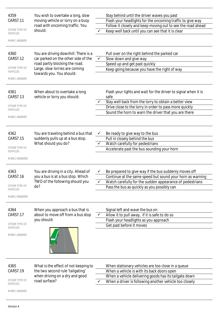| Flash your headlights for the oncoming traffic to give way<br>moving vehicle or lorry on a busy<br>CARS7.11<br>road with oncoming traffic. You<br>Follow it closely and keep moving out to see the road ahead<br>OTHER TYPE OF<br>should:<br>Keep well back until you can see that it is clear<br><b>VEHICLES</b><br><b>MARK 1 ANSWER</b><br>4360<br>You are driving downhill. There is a<br>Pull over on the right behind the parked car<br>CARS7.12<br>car parked on the other side of the<br>$\checkmark$<br>Slow down and give way<br>road partly blocking the road.<br>Speed up and get past quickly<br>OTHER TYPE OF<br>Large, slow lorries are coming<br>Keep going because you have the right of way<br><b>VEHICLES</b><br>towards you. You should:<br><b>MARK 1 ANSWER</b><br>When about to overtake a long<br>Flash your lights and wait for the driver to signal when it is<br>4361<br>vehicle or lorry you should:<br>CARS7.13<br>safe<br>Stay well back from the lorry to obtain a better view<br>OTHER TYPE OF<br>Drive close to the lorry in order to pass more quickly<br><b>VEHICLES</b><br>Sound the horn to warn the driver that you are there<br><b>MARK 1 ANSWER</b><br>4362<br>You are traveling behind a bus that<br>Be ready to give way to the bus<br>✓<br>suddenly pulls up at a bus stop.<br>CARS7.15<br>Pull in closely behind the bus<br>What should you do?<br>Watch carefully for pedestrians<br>$\checkmark$<br>OTHER TYPE OF<br>Accelerate past the bus sounding your horn<br><b>VEHICLES</b><br><b>MARK 2 ANSWERS</b><br>You are driving in a city. Ahead of<br>Be prepared to give way if the bus suddenly moves off<br>4363<br>you a bus is at a bus stop. Which<br>CARS7.16<br>Continue at the same speed but sound your horn as warning<br>TWO of the following should you<br>Watch carefully for the sudden appearance of pedestrians<br>✓<br>OTHER TYPE OF<br>do?<br>Pass the bus as quickly as you possibly can<br><b>VEHICLES</b><br><b>MARK 2 ANSWERS</b><br>4364<br>Signal left and wave the bus on<br>When you approach a bus that is<br>about to move off from a bus stop<br>Allow it to pull away, if it is safe to do so<br>CARS7.17<br>you should:<br>Flash your headlights as you approach<br>OTHER TYPE OF<br>Get past before it moves<br><b>VEHICLES</b><br><b>MARK 1 ANSWER</b><br>4365<br>What is the effect of not keeping to<br>When stationary vehicles are too close in a queue<br>the two second rule 'tailgating'<br>CARS7.19<br>When a vehicle is with its back doors open<br>when driving on a dry and good<br>When a vehicle delivering goods has its tailgate down<br>OTHER TYPE OF<br>road surface?<br>When a driver is following another vehicle too closely<br><b>VEHICLES</b><br><b>MARK 1 ANSWER</b> | 4359 | You wish to overtake a long, slow | Stay behind until the driver waves you past |
|---------------------------------------------------------------------------------------------------------------------------------------------------------------------------------------------------------------------------------------------------------------------------------------------------------------------------------------------------------------------------------------------------------------------------------------------------------------------------------------------------------------------------------------------------------------------------------------------------------------------------------------------------------------------------------------------------------------------------------------------------------------------------------------------------------------------------------------------------------------------------------------------------------------------------------------------------------------------------------------------------------------------------------------------------------------------------------------------------------------------------------------------------------------------------------------------------------------------------------------------------------------------------------------------------------------------------------------------------------------------------------------------------------------------------------------------------------------------------------------------------------------------------------------------------------------------------------------------------------------------------------------------------------------------------------------------------------------------------------------------------------------------------------------------------------------------------------------------------------------------------------------------------------------------------------------------------------------------------------------------------------------------------------------------------------------------------------------------------------------------------------------------------------------------------------------------------------------------------------------------------------------------------------------------------------------------------------------------------------------------------------------------------------------------------------------------------------------------------------------------------------------------------------------------------------------------------------------------------------------------------------------------------------------------------------------------------------------------------------------------------------------------------|------|-----------------------------------|---------------------------------------------|
|                                                                                                                                                                                                                                                                                                                                                                                                                                                                                                                                                                                                                                                                                                                                                                                                                                                                                                                                                                                                                                                                                                                                                                                                                                                                                                                                                                                                                                                                                                                                                                                                                                                                                                                                                                                                                                                                                                                                                                                                                                                                                                                                                                                                                                                                                                                                                                                                                                                                                                                                                                                                                                                                                                                                                                           |      |                                   |                                             |
|                                                                                                                                                                                                                                                                                                                                                                                                                                                                                                                                                                                                                                                                                                                                                                                                                                                                                                                                                                                                                                                                                                                                                                                                                                                                                                                                                                                                                                                                                                                                                                                                                                                                                                                                                                                                                                                                                                                                                                                                                                                                                                                                                                                                                                                                                                                                                                                                                                                                                                                                                                                                                                                                                                                                                                           |      |                                   |                                             |
|                                                                                                                                                                                                                                                                                                                                                                                                                                                                                                                                                                                                                                                                                                                                                                                                                                                                                                                                                                                                                                                                                                                                                                                                                                                                                                                                                                                                                                                                                                                                                                                                                                                                                                                                                                                                                                                                                                                                                                                                                                                                                                                                                                                                                                                                                                                                                                                                                                                                                                                                                                                                                                                                                                                                                                           |      |                                   |                                             |
|                                                                                                                                                                                                                                                                                                                                                                                                                                                                                                                                                                                                                                                                                                                                                                                                                                                                                                                                                                                                                                                                                                                                                                                                                                                                                                                                                                                                                                                                                                                                                                                                                                                                                                                                                                                                                                                                                                                                                                                                                                                                                                                                                                                                                                                                                                                                                                                                                                                                                                                                                                                                                                                                                                                                                                           |      |                                   |                                             |
|                                                                                                                                                                                                                                                                                                                                                                                                                                                                                                                                                                                                                                                                                                                                                                                                                                                                                                                                                                                                                                                                                                                                                                                                                                                                                                                                                                                                                                                                                                                                                                                                                                                                                                                                                                                                                                                                                                                                                                                                                                                                                                                                                                                                                                                                                                                                                                                                                                                                                                                                                                                                                                                                                                                                                                           |      |                                   |                                             |
|                                                                                                                                                                                                                                                                                                                                                                                                                                                                                                                                                                                                                                                                                                                                                                                                                                                                                                                                                                                                                                                                                                                                                                                                                                                                                                                                                                                                                                                                                                                                                                                                                                                                                                                                                                                                                                                                                                                                                                                                                                                                                                                                                                                                                                                                                                                                                                                                                                                                                                                                                                                                                                                                                                                                                                           |      |                                   |                                             |
|                                                                                                                                                                                                                                                                                                                                                                                                                                                                                                                                                                                                                                                                                                                                                                                                                                                                                                                                                                                                                                                                                                                                                                                                                                                                                                                                                                                                                                                                                                                                                                                                                                                                                                                                                                                                                                                                                                                                                                                                                                                                                                                                                                                                                                                                                                                                                                                                                                                                                                                                                                                                                                                                                                                                                                           |      |                                   |                                             |
|                                                                                                                                                                                                                                                                                                                                                                                                                                                                                                                                                                                                                                                                                                                                                                                                                                                                                                                                                                                                                                                                                                                                                                                                                                                                                                                                                                                                                                                                                                                                                                                                                                                                                                                                                                                                                                                                                                                                                                                                                                                                                                                                                                                                                                                                                                                                                                                                                                                                                                                                                                                                                                                                                                                                                                           |      |                                   |                                             |
|                                                                                                                                                                                                                                                                                                                                                                                                                                                                                                                                                                                                                                                                                                                                                                                                                                                                                                                                                                                                                                                                                                                                                                                                                                                                                                                                                                                                                                                                                                                                                                                                                                                                                                                                                                                                                                                                                                                                                                                                                                                                                                                                                                                                                                                                                                                                                                                                                                                                                                                                                                                                                                                                                                                                                                           |      |                                   |                                             |
|                                                                                                                                                                                                                                                                                                                                                                                                                                                                                                                                                                                                                                                                                                                                                                                                                                                                                                                                                                                                                                                                                                                                                                                                                                                                                                                                                                                                                                                                                                                                                                                                                                                                                                                                                                                                                                                                                                                                                                                                                                                                                                                                                                                                                                                                                                                                                                                                                                                                                                                                                                                                                                                                                                                                                                           |      |                                   |                                             |
|                                                                                                                                                                                                                                                                                                                                                                                                                                                                                                                                                                                                                                                                                                                                                                                                                                                                                                                                                                                                                                                                                                                                                                                                                                                                                                                                                                                                                                                                                                                                                                                                                                                                                                                                                                                                                                                                                                                                                                                                                                                                                                                                                                                                                                                                                                                                                                                                                                                                                                                                                                                                                                                                                                                                                                           |      |                                   |                                             |
|                                                                                                                                                                                                                                                                                                                                                                                                                                                                                                                                                                                                                                                                                                                                                                                                                                                                                                                                                                                                                                                                                                                                                                                                                                                                                                                                                                                                                                                                                                                                                                                                                                                                                                                                                                                                                                                                                                                                                                                                                                                                                                                                                                                                                                                                                                                                                                                                                                                                                                                                                                                                                                                                                                                                                                           |      |                                   |                                             |
|                                                                                                                                                                                                                                                                                                                                                                                                                                                                                                                                                                                                                                                                                                                                                                                                                                                                                                                                                                                                                                                                                                                                                                                                                                                                                                                                                                                                                                                                                                                                                                                                                                                                                                                                                                                                                                                                                                                                                                                                                                                                                                                                                                                                                                                                                                                                                                                                                                                                                                                                                                                                                                                                                                                                                                           |      |                                   |                                             |
|                                                                                                                                                                                                                                                                                                                                                                                                                                                                                                                                                                                                                                                                                                                                                                                                                                                                                                                                                                                                                                                                                                                                                                                                                                                                                                                                                                                                                                                                                                                                                                                                                                                                                                                                                                                                                                                                                                                                                                                                                                                                                                                                                                                                                                                                                                                                                                                                                                                                                                                                                                                                                                                                                                                                                                           |      |                                   |                                             |
|                                                                                                                                                                                                                                                                                                                                                                                                                                                                                                                                                                                                                                                                                                                                                                                                                                                                                                                                                                                                                                                                                                                                                                                                                                                                                                                                                                                                                                                                                                                                                                                                                                                                                                                                                                                                                                                                                                                                                                                                                                                                                                                                                                                                                                                                                                                                                                                                                                                                                                                                                                                                                                                                                                                                                                           |      |                                   |                                             |
|                                                                                                                                                                                                                                                                                                                                                                                                                                                                                                                                                                                                                                                                                                                                                                                                                                                                                                                                                                                                                                                                                                                                                                                                                                                                                                                                                                                                                                                                                                                                                                                                                                                                                                                                                                                                                                                                                                                                                                                                                                                                                                                                                                                                                                                                                                                                                                                                                                                                                                                                                                                                                                                                                                                                                                           |      |                                   |                                             |
|                                                                                                                                                                                                                                                                                                                                                                                                                                                                                                                                                                                                                                                                                                                                                                                                                                                                                                                                                                                                                                                                                                                                                                                                                                                                                                                                                                                                                                                                                                                                                                                                                                                                                                                                                                                                                                                                                                                                                                                                                                                                                                                                                                                                                                                                                                                                                                                                                                                                                                                                                                                                                                                                                                                                                                           |      |                                   |                                             |
|                                                                                                                                                                                                                                                                                                                                                                                                                                                                                                                                                                                                                                                                                                                                                                                                                                                                                                                                                                                                                                                                                                                                                                                                                                                                                                                                                                                                                                                                                                                                                                                                                                                                                                                                                                                                                                                                                                                                                                                                                                                                                                                                                                                                                                                                                                                                                                                                                                                                                                                                                                                                                                                                                                                                                                           |      |                                   |                                             |
|                                                                                                                                                                                                                                                                                                                                                                                                                                                                                                                                                                                                                                                                                                                                                                                                                                                                                                                                                                                                                                                                                                                                                                                                                                                                                                                                                                                                                                                                                                                                                                                                                                                                                                                                                                                                                                                                                                                                                                                                                                                                                                                                                                                                                                                                                                                                                                                                                                                                                                                                                                                                                                                                                                                                                                           |      |                                   |                                             |
|                                                                                                                                                                                                                                                                                                                                                                                                                                                                                                                                                                                                                                                                                                                                                                                                                                                                                                                                                                                                                                                                                                                                                                                                                                                                                                                                                                                                                                                                                                                                                                                                                                                                                                                                                                                                                                                                                                                                                                                                                                                                                                                                                                                                                                                                                                                                                                                                                                                                                                                                                                                                                                                                                                                                                                           |      |                                   |                                             |
|                                                                                                                                                                                                                                                                                                                                                                                                                                                                                                                                                                                                                                                                                                                                                                                                                                                                                                                                                                                                                                                                                                                                                                                                                                                                                                                                                                                                                                                                                                                                                                                                                                                                                                                                                                                                                                                                                                                                                                                                                                                                                                                                                                                                                                                                                                                                                                                                                                                                                                                                                                                                                                                                                                                                                                           |      |                                   |                                             |
|                                                                                                                                                                                                                                                                                                                                                                                                                                                                                                                                                                                                                                                                                                                                                                                                                                                                                                                                                                                                                                                                                                                                                                                                                                                                                                                                                                                                                                                                                                                                                                                                                                                                                                                                                                                                                                                                                                                                                                                                                                                                                                                                                                                                                                                                                                                                                                                                                                                                                                                                                                                                                                                                                                                                                                           |      |                                   |                                             |
|                                                                                                                                                                                                                                                                                                                                                                                                                                                                                                                                                                                                                                                                                                                                                                                                                                                                                                                                                                                                                                                                                                                                                                                                                                                                                                                                                                                                                                                                                                                                                                                                                                                                                                                                                                                                                                                                                                                                                                                                                                                                                                                                                                                                                                                                                                                                                                                                                                                                                                                                                                                                                                                                                                                                                                           |      |                                   |                                             |
|                                                                                                                                                                                                                                                                                                                                                                                                                                                                                                                                                                                                                                                                                                                                                                                                                                                                                                                                                                                                                                                                                                                                                                                                                                                                                                                                                                                                                                                                                                                                                                                                                                                                                                                                                                                                                                                                                                                                                                                                                                                                                                                                                                                                                                                                                                                                                                                                                                                                                                                                                                                                                                                                                                                                                                           |      |                                   |                                             |
|                                                                                                                                                                                                                                                                                                                                                                                                                                                                                                                                                                                                                                                                                                                                                                                                                                                                                                                                                                                                                                                                                                                                                                                                                                                                                                                                                                                                                                                                                                                                                                                                                                                                                                                                                                                                                                                                                                                                                                                                                                                                                                                                                                                                                                                                                                                                                                                                                                                                                                                                                                                                                                                                                                                                                                           |      |                                   |                                             |
|                                                                                                                                                                                                                                                                                                                                                                                                                                                                                                                                                                                                                                                                                                                                                                                                                                                                                                                                                                                                                                                                                                                                                                                                                                                                                                                                                                                                                                                                                                                                                                                                                                                                                                                                                                                                                                                                                                                                                                                                                                                                                                                                                                                                                                                                                                                                                                                                                                                                                                                                                                                                                                                                                                                                                                           |      |                                   |                                             |
|                                                                                                                                                                                                                                                                                                                                                                                                                                                                                                                                                                                                                                                                                                                                                                                                                                                                                                                                                                                                                                                                                                                                                                                                                                                                                                                                                                                                                                                                                                                                                                                                                                                                                                                                                                                                                                                                                                                                                                                                                                                                                                                                                                                                                                                                                                                                                                                                                                                                                                                                                                                                                                                                                                                                                                           |      |                                   |                                             |
|                                                                                                                                                                                                                                                                                                                                                                                                                                                                                                                                                                                                                                                                                                                                                                                                                                                                                                                                                                                                                                                                                                                                                                                                                                                                                                                                                                                                                                                                                                                                                                                                                                                                                                                                                                                                                                                                                                                                                                                                                                                                                                                                                                                                                                                                                                                                                                                                                                                                                                                                                                                                                                                                                                                                                                           |      |                                   |                                             |
|                                                                                                                                                                                                                                                                                                                                                                                                                                                                                                                                                                                                                                                                                                                                                                                                                                                                                                                                                                                                                                                                                                                                                                                                                                                                                                                                                                                                                                                                                                                                                                                                                                                                                                                                                                                                                                                                                                                                                                                                                                                                                                                                                                                                                                                                                                                                                                                                                                                                                                                                                                                                                                                                                                                                                                           |      |                                   |                                             |
|                                                                                                                                                                                                                                                                                                                                                                                                                                                                                                                                                                                                                                                                                                                                                                                                                                                                                                                                                                                                                                                                                                                                                                                                                                                                                                                                                                                                                                                                                                                                                                                                                                                                                                                                                                                                                                                                                                                                                                                                                                                                                                                                                                                                                                                                                                                                                                                                                                                                                                                                                                                                                                                                                                                                                                           |      |                                   |                                             |
|                                                                                                                                                                                                                                                                                                                                                                                                                                                                                                                                                                                                                                                                                                                                                                                                                                                                                                                                                                                                                                                                                                                                                                                                                                                                                                                                                                                                                                                                                                                                                                                                                                                                                                                                                                                                                                                                                                                                                                                                                                                                                                                                                                                                                                                                                                                                                                                                                                                                                                                                                                                                                                                                                                                                                                           |      |                                   |                                             |
|                                                                                                                                                                                                                                                                                                                                                                                                                                                                                                                                                                                                                                                                                                                                                                                                                                                                                                                                                                                                                                                                                                                                                                                                                                                                                                                                                                                                                                                                                                                                                                                                                                                                                                                                                                                                                                                                                                                                                                                                                                                                                                                                                                                                                                                                                                                                                                                                                                                                                                                                                                                                                                                                                                                                                                           |      |                                   |                                             |
|                                                                                                                                                                                                                                                                                                                                                                                                                                                                                                                                                                                                                                                                                                                                                                                                                                                                                                                                                                                                                                                                                                                                                                                                                                                                                                                                                                                                                                                                                                                                                                                                                                                                                                                                                                                                                                                                                                                                                                                                                                                                                                                                                                                                                                                                                                                                                                                                                                                                                                                                                                                                                                                                                                                                                                           |      |                                   |                                             |
|                                                                                                                                                                                                                                                                                                                                                                                                                                                                                                                                                                                                                                                                                                                                                                                                                                                                                                                                                                                                                                                                                                                                                                                                                                                                                                                                                                                                                                                                                                                                                                                                                                                                                                                                                                                                                                                                                                                                                                                                                                                                                                                                                                                                                                                                                                                                                                                                                                                                                                                                                                                                                                                                                                                                                                           |      |                                   |                                             |
|                                                                                                                                                                                                                                                                                                                                                                                                                                                                                                                                                                                                                                                                                                                                                                                                                                                                                                                                                                                                                                                                                                                                                                                                                                                                                                                                                                                                                                                                                                                                                                                                                                                                                                                                                                                                                                                                                                                                                                                                                                                                                                                                                                                                                                                                                                                                                                                                                                                                                                                                                                                                                                                                                                                                                                           |      |                                   |                                             |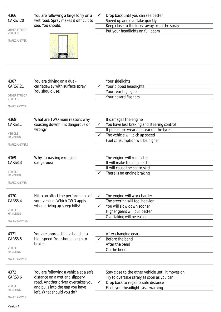| 4366<br>CARS7.20<br>OTHER TYPE OF<br><b>VEHICLES</b><br><b>MARK 1 ANSWER</b> | You are following a large lorry on a<br>wet road. Spray makes it difficult to<br>see. You should:                                                                             |              | Drop back until you can see better<br>Speed up and overtake quickly<br>Keep close to the lorry away from the spray<br>Put your headlights on full beam                              |
|------------------------------------------------------------------------------|-------------------------------------------------------------------------------------------------------------------------------------------------------------------------------|--------------|-------------------------------------------------------------------------------------------------------------------------------------------------------------------------------------|
| 4367<br>CARS7.21<br>OTHER TYPE OF<br><b>VEHICLES</b><br><b>MARK 1 ANSWER</b> | You are driving on a dual-<br>carriageway with surface spray.<br>You should use:                                                                                              |              | Your sidelights<br>Your dipped headlights<br>Your rear fog lights<br>Your hazard flashers                                                                                           |
| 4368<br>CARS8.1<br>VEHICLE<br>HANDLING<br><b>MARK 2 ANSWERS</b>              | What are TWO main reasons why<br>coasting downhill is dangerous or<br>wrong?                                                                                                  |              | It damages the engine<br>You have less braking and steering control<br>It puts more wear and tear on the tyres<br>The vehicle will pick up speed<br>Fuel consumption will be higher |
| 4369<br>CARS8.3<br>VEHICLE<br>HANDLING<br><b>MARK 1 ANSWER</b>               | Why is coasting wrong or<br>dangerous?                                                                                                                                        |              | The engine will run faster<br>It will make the engine stall<br>It will cause the car to skid<br>There is no engine braking                                                          |
| 4370<br>CARS8.4<br>VEHICLE<br><b>HANDLING</b><br><b>MARK 2 ANSWERS</b>       | Hills can affect the performance of<br>your vehicle. Which TWO apply<br>when driving up steep hills?                                                                          | ✓            | The engine will work harder<br>The steering will feel heavier<br>You will slow down sooner<br>Higher gears will pull better<br>Overtaking will be easier                            |
| 4371<br>CARS8.5<br>VEHICLE<br>HANDLING<br>MARK 1 ANSWER                      | You are approaching a bend at a<br>high speed. You should begin to<br>brake.                                                                                                  |              | After changing gears<br>Before the bend<br>After the bend<br>On the bend                                                                                                            |
| 4372<br>CARS8.6<br>VEHICLE<br>HANDLING<br><b>MARK 1 ANSWER</b>               | You are following a vehicle at a safe<br>distance on a wet and slippery<br>road. Another driver overtakes you<br>and pulls into the gap you have<br>left. What should you do? | $\checkmark$ | Stay close to the other vehicle until it moves on<br>Try to overtake safely as soon as you can<br>Drop back to regain a safe distance<br>Flash your headlights as a warning         |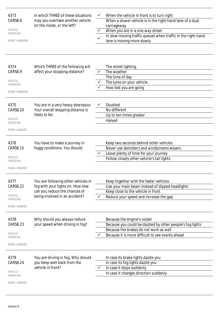| 4373<br>CARS8.8<br><b>VEHICLE</b><br><b>HANDLING</b><br><b>MARK 3 ANSWERS</b><br>4374 | In which THREE of these situations<br>may you overtake another vehicle<br>on the inside, or the left?<br>Which THREE of the following will  | ✓ | When the vehicle in front is to turn right<br>When a slower vehicle is in the right-hand lane of a dual<br>carriageway<br>When you are in a one-way street<br>In slow-moving traffic queues when traffic in the right-hand<br>lane is moving more slowly<br>The street lighting |
|---------------------------------------------------------------------------------------|---------------------------------------------------------------------------------------------------------------------------------------------|---|---------------------------------------------------------------------------------------------------------------------------------------------------------------------------------------------------------------------------------------------------------------------------------|
| CARS8.9<br><b>VEHICLE</b><br><b>HANDLING</b><br><b>MARK 3 ANSWERS</b>                 | affect your stopping distance?                                                                                                              |   | The weather<br>The time of day<br>The tyres on your vehicle<br>How fast you are going                                                                                                                                                                                           |
| 4375<br><b>CARS8.10</b><br><b>VEHICLE</b><br><b>HANDLING</b><br><b>MARK 1 ANSWER</b>  | You are in a very heavy downpour.<br>Your overall stopping distance is<br>likely to be:                                                     |   | Doubled<br>No different<br>Up to ten times greater<br>Halved                                                                                                                                                                                                                    |
| 4376<br>CARS8.15<br><b>VEHICLE</b><br><b>HANDLING</b><br><b>MARK 1 ANSWER</b>         | You have to make a journey in<br>foggy conditions. You should:                                                                              |   | Keep two seconds behind other vehicles<br>Never use demisters and windscreens wipers.<br>Leave plenty of time for your journey<br>Follow closely other vehicle's tail lights                                                                                                    |
| 4377<br><b>CARS8.22</b><br>VEHICLE<br><b>HANDLING</b><br><b>MARK 1 ANSWER</b>         | You are following other vehicles in<br>fog with your lights on. How else<br>can you reduce the chances of<br>being involved in an accident? |   | Keep together with the faster vehicles<br>Use your main beam instead of dipped headlights<br>Keep close to the vehicle in front<br>Reduce your speed and increase the gap                                                                                                       |
| 4378<br>CARS8.23<br><b>VEHICLE</b><br>HANDLING<br><b>MARK 1 ANSWER</b>                | Why should you always reduce<br>your speed when driving in fog?                                                                             |   | Because the engine's colder<br>Because you could be dazzled by other people's fog lights<br>Because the brakes do not work as well<br>Because it is more difficult to see events ahead                                                                                          |
| 4379<br><b>CARS8.24</b><br><b>VEHICLE</b><br>HANDLING<br>MARK 1 ANSWER                | You are driving in fog. Why should<br>you keep well back from the<br>vehicle in front?                                                      |   | In case its brake lights dazzle you<br>In case its fog lights dazzle you<br>In case it stops suddenly<br>In case it changes direction suddenly                                                                                                                                  |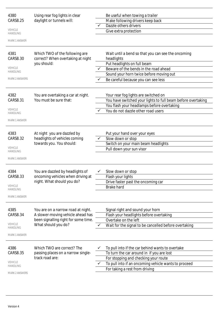| 4380                              | Using rear fog lights in clear                                      |   | Be useful when towing a trailer                                  |
|-----------------------------------|---------------------------------------------------------------------|---|------------------------------------------------------------------|
| CARS8.25                          | daylight or tunnels will:                                           |   | Make following drivers keep back                                 |
|                                   |                                                                     |   | Dazzle others drivers                                            |
| <b>VEHICLE</b><br><b>HANDLING</b> |                                                                     |   | Give extra protection                                            |
|                                   |                                                                     |   |                                                                  |
| <b>MARK 1 ANSWER</b>              |                                                                     |   |                                                                  |
|                                   |                                                                     |   |                                                                  |
| 4381<br>CARS8.30                  | Which TWO of the following are<br>correct? When overtaking at night |   | Wait until a bend so that you can see the oncoming<br>headlights |
|                                   | you should:                                                         |   | Put headlights on full beam                                      |
| <b>VEHICLE</b>                    |                                                                     |   | Beware of the bends in the road ahead                            |
| <b>HANDLING</b>                   |                                                                     |   | Sound your horn twice before moving out                          |
| <b>MARK 2 ANSWERS</b>             |                                                                     |   | Be careful because you can see less                              |
|                                   |                                                                     |   |                                                                  |
|                                   |                                                                     |   |                                                                  |
| 4382                              | You are overtaking a car at night.                                  |   | Your rear fog lights are switched on                             |
| CARS8.31                          | You must be sure that:                                              |   | You have switched your lights to full beam before overtaking     |
| <b>VEHICLE</b>                    |                                                                     |   | You flash your headlamps before overtaking                       |
| <b>HANDLING</b>                   |                                                                     |   | You do not dazzle other road users                               |
| <b>MARK 1 ANSWER</b>              |                                                                     |   |                                                                  |
|                                   |                                                                     |   |                                                                  |
| 4383                              | At night you are dazzled by                                         |   | Put your hand over your eyes                                     |
| CARS8.32                          | headlights of vehicles coming                                       |   | Slow down or stop                                                |
|                                   | towards you. You should:                                            |   | Switch on your main beam headlights                              |
| <b>VEHICLE</b>                    |                                                                     |   | Pull down your sun visor                                         |
| <b>HANDLING</b>                   |                                                                     |   |                                                                  |
| <b>MARK 1 ANSWER</b>              |                                                                     |   |                                                                  |
|                                   |                                                                     |   |                                                                  |
| 4384                              | You are dazzled by headlights of                                    |   | Slow down or stop                                                |
| CARS8.33                          | oncoming vehicles when driving at                                   |   | Flash your lights                                                |
| <b>VEHICLE</b>                    | night. What should you do?                                          |   | Drive faster past the oncoming car                               |
| HANDLING                          |                                                                     |   | <b>Brake hard</b>                                                |
| <b>MARK 1 ANSWER</b>              |                                                                     |   |                                                                  |
|                                   |                                                                     |   |                                                                  |
| 4385                              | You are on a narrow road at night.                                  |   | Signal right and sound your horn                                 |
| CARS8.34                          | A slower-moving vehicle ahead has                                   |   | Flash your headlights before overtaking                          |
|                                   | been signalling right for some time.                                |   | Overtake on the left                                             |
| VEHICLE<br><b>HANDLING</b>        | What should you do?                                                 | ✓ | Wait for the signal to be cancelled before overtaking            |
| <b>MARK 1 ANSWER</b>              |                                                                     |   |                                                                  |
|                                   |                                                                     |   |                                                                  |
| 4386                              | Which TWO are correct? The                                          |   | To pull into if the car behind wants to overtake                 |
| CARS8.35                          | passing places on a narrow single-                                  |   | To turn the car around in if you are lost                        |
|                                   | track road are:                                                     |   | For stopping and checking your route                             |
| VEHICLE<br>HANDLING               |                                                                     |   | To pull into if an oncoming vehicle wants to proceed             |
|                                   |                                                                     |   | For taking a rest from driving                                   |
| <b>MARK 2 ANSWERS</b>             |                                                                     |   |                                                                  |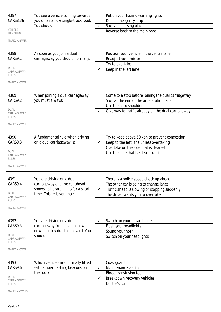| 4387<br>CARS8.36<br><b>VEHICLE</b><br><b>HANDLING</b><br><b>MARK 1 ANSWER</b><br>4388<br>CARS9.1<br><b>DUAL</b><br>CARRIAGEWAY<br><b>RULES</b> | You see a vehicle coming towards<br>you on a narrow single-track road.<br>You should:<br>As soon as you join a dual<br>carriageway you should normally: | Put on your hazard warning lights<br>Do an emergency stop<br>Stop at a passing place<br>✓<br>Reverse back to the main road<br>Position your vehicle in the centre lane<br>Readjust your mirrors<br>Try to overtake<br>Keep in the left lane |
|------------------------------------------------------------------------------------------------------------------------------------------------|---------------------------------------------------------------------------------------------------------------------------------------------------------|---------------------------------------------------------------------------------------------------------------------------------------------------------------------------------------------------------------------------------------------|
| <b>MARK 1 ANSWER</b><br>4389<br>CARS9.2<br><b>DUAL</b><br>CARRIAGEWAY<br><b>RULES</b><br><b>MARK 1 ANSWER</b>                                  | When joining a dual carriageway<br>you must always:                                                                                                     | Come to a stop before joining the dual carriageway<br>Stop at the end of the acceleration lane<br>Use the hard shoulder<br>Give way to traffic already on the dual carriageway                                                              |
| 4390<br>CARS9.3<br><b>DUAL</b><br>CARRIAGEWAY<br><b>RULES</b><br><b>MARK 1 ANSWER</b>                                                          | A fundamental rule when driving<br>on a dual carriageway is:                                                                                            | Try to keep above 50 kph to prevent congestion<br>Keep to the left lane unless overtaking<br>Overtake on the side that is clearest<br>Use the lane that has least traffic                                                                   |
| 4391<br>CARS9.4<br><b>DUAL</b><br>CARRIAGEWAY<br><b>RULES</b><br><b>MARK 1 ANSWER</b>                                                          | You are driving on a dual<br>carriageway and the car ahead<br>shows its hazard lights for a short<br>time. This tells you that:                         | There is a police speed check up ahead<br>The other car is going to change lanes<br>Traffic ahead is slowing or stopping suddenly<br>✓<br>The driver wants you to overtake                                                                  |
| 4392<br>CARS9.5<br><b>DUAL</b><br>CARRIAGEWAY<br><b>RULES</b><br><b>MARK 1 ANSWER</b>                                                          | You are driving on a dual<br>carriageway. You have to slow<br>down quickly due to a hazard. You<br>should:                                              | Switch on your hazard lights<br>Flash your headlights<br>Sound your horn<br>Switch on your headlights                                                                                                                                       |
| 4393<br>CARS9.6<br><b>DUAL</b><br>CARRIAGEWAY<br>RULES<br><b>MARK 2 ANSWERS</b>                                                                | Which vehicles are normally fitted<br>with amber flashing beacons on<br>the roof?                                                                       | Coastguard<br>Maintenance vehicles<br>✓<br>Blood transfusion team<br>Breakdown recovery vehicles<br>Doctor's car                                                                                                                            |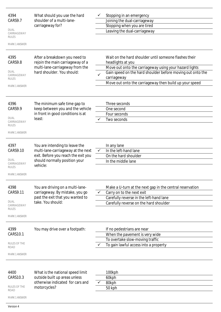| 4394<br>CARS9.7<br><b>DUAL</b><br>CARRIAGEWAY<br><b>RULES</b><br><b>MARK 1 ANSWER</b>  | What should you use the hard<br>shoulder of a multi-lane-<br>carriageway for?                                                                            |              | Stopping in an emergency<br>Joining the dual-carriageway<br>Stopping when you are tired<br>Leaving the dual-carriageway                                                                                                                                                     |
|----------------------------------------------------------------------------------------|----------------------------------------------------------------------------------------------------------------------------------------------------------|--------------|-----------------------------------------------------------------------------------------------------------------------------------------------------------------------------------------------------------------------------------------------------------------------------|
| 4395<br>CARS9.8<br><b>DUAL</b><br>CARRIAGEWAY<br>RULES<br><b>MARK 1 ANSWER</b>         | After a breakdown you need to<br>rejoin the main carriageway of a<br>multi-lane-carriageway from the<br>hard shoulder. You should:                       | ✓            | Wait on the hard shoulder until someone flashes their<br>headlights at you<br>Move out onto the carriageway using your hazard lights<br>Gain speed on the hard shoulder before moving out onto the<br>carriageway<br>Move out onto the carriageway then build up your speed |
| 4396<br>CARS9.9<br><b>DUAL</b><br>CARRIAGEWAY<br><b>RULES</b><br><b>MARK 1 ANSWER</b>  | The minimum safe time gap to<br>keep between you and the vehicle<br>in front in good conditions is at<br>least:                                          |              | Three seconds<br>One second<br>Four seconds<br>Two seconds                                                                                                                                                                                                                  |
| 4397<br>CARS9.10<br><b>DUAL</b><br>CARRIAGEWAY<br><b>RULES</b><br><b>MARK 1 ANSWER</b> | You are intending to leave the<br>multi-lane-carriageway at the next<br>exit. Before you reach the exit you<br>should normally position your<br>vehicle: | $\checkmark$ | In any lane<br>In the left-hand lane<br>On the hard shoulder<br>In the middle lane                                                                                                                                                                                          |
| 4398<br>CARS9.11<br><b>DUAL</b><br>CARRIAGEWAY<br><b>RULES</b><br><b>MARK 1 ANSWER</b> | You are driving on a multi-lane-<br>carriageway. By mistake, you go<br>past the exit that you wanted to<br>take. You should:                             |              | Make a U-turn at the next gap in the central reservation<br>Carry on to the next exit<br>Carefully reverse in the left-hand lane<br>Carefully reverse on the hard shoulder                                                                                                  |
| 4399<br>CARS10.1<br>RULES OF THE<br><b>ROAD</b><br><b>MARK 1 ANSWER</b>                | You may drive over a footpath:                                                                                                                           |              | If no pedestrians are near<br>When the pavement is very wide<br>To overtake slow-moving traffic<br>To gain lawful access into a property                                                                                                                                    |
| 4400<br>CARS10.3<br>RULES OF THE<br><b>ROAD</b><br><b>MARK 1 ANSWER</b>                | What is the national speed limit<br>outside built up areas unless<br>otherwise indicated for cars and<br>motorcycles?                                    |              | 100kph<br>60kph<br>80kph<br>50 kph                                                                                                                                                                                                                                          |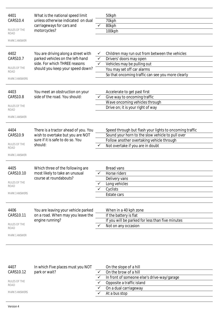| 4401<br><b>CARS10.4</b><br>RULES OF THE<br><b>ROAD</b><br><b>MARK 1 ANSWER</b><br>4402<br>CARS10.7<br>RULES OF THE | What is the national speed limit<br>unless otherwise indicated on dual<br>carriageways for cars and<br>motorcycles?<br>You are driving along a street with<br>parked vehicles on the left-hand<br>side. For which THREE reasons<br>should you keep your speed down? | ✓<br>✓<br>$\checkmark$<br>$\checkmark$ | 50kph<br>70kph<br>80kph<br>100kph<br>Children may run out from between the vehicles<br>Drivers' doors may open<br>Vehicles may be pulling out<br>You may set off car alarms                  |
|--------------------------------------------------------------------------------------------------------------------|---------------------------------------------------------------------------------------------------------------------------------------------------------------------------------------------------------------------------------------------------------------------|----------------------------------------|----------------------------------------------------------------------------------------------------------------------------------------------------------------------------------------------|
| ROAD<br><b>MARK 3 ANSWERS</b>                                                                                      |                                                                                                                                                                                                                                                                     |                                        | So that oncoming traffic can see you more clearly                                                                                                                                            |
| 4403<br><b>CARS10.8</b><br><b>RULES OF THE</b><br><b>ROAD</b><br>MARK 1 ANSWER                                     | You meet an obstruction on your<br>side of the road. You should:                                                                                                                                                                                                    |                                        | Accelerate to get past first<br>Give way to oncoming traffic<br>Wave oncoming vehicles through<br>Drive on; it is your right of way                                                          |
| 4404<br>CARS10.9<br>RULES OF THE<br>ROAD<br><b>MARK 1 ANSWER</b>                                                   | There is a tractor ahead of you. You<br>wish to overtake but you are NOT<br>sure if it is safe to do so. You<br>should:                                                                                                                                             | $\checkmark$                           | Speed through but flash your lights to oncoming traffic<br>Sound your horn to the slow vehicle to pull over<br>Follow another overtaking vehicle through<br>Not overtake if you are in doubt |
| 4405<br>CARS10.10<br>RULES OF THE<br>ROAD<br><b>MARK 3 ANSWERS</b>                                                 | Which three of the following are<br>most likely to take an unusual<br>course at roundabouts?                                                                                                                                                                        |                                        | <b>Bread vans</b><br>Horse riders<br>Delivery vans<br>Long vehicles<br>Cyclists<br>Estate cars                                                                                               |
| 4406<br>CARS10.11<br>RULES OF THE<br>ROAD<br><b>MARK 1 ANSWER</b>                                                  | You are leaving your vehicle parked<br>on a road. When may you leave the<br>engine running?                                                                                                                                                                         |                                        | When in a 40 kph zone<br>If the battery is flat<br>If you will be parked for less than five minutes<br>Not on any occasion                                                                   |

| 4407                  | In which Five places must you NOT |                       | On the slope of a hill                      |
|-----------------------|-----------------------------------|-----------------------|---------------------------------------------|
| CARS10.12             | park or wait?                     |                       | On the brow of a hill                       |
|                       |                                   |                       | In front of someone else's drive-way/garage |
| RULES OF THE<br>ROAD  |                                   |                       | Opposite a traffic island                   |
|                       |                                   | On a dual carriageway |                                             |
| <b>MARK 5 ANSWERS</b> |                                   |                       | At a bus stop                               |
|                       |                                   |                       |                                             |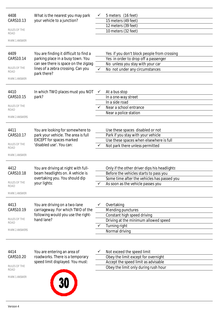| 4408<br>CARS10.13<br>RULES OF THE<br>ROAD<br><b>MARK 1 ANSWER</b>         | What is the nearest you may park<br>your vehicle to a junction?                                                                                                          |              | 5 meters (16 feet)<br>15 meters (49 feet)<br>12 meters (39 feet)<br>10 meters (32 feet)                                                                                    |  |
|---------------------------------------------------------------------------|--------------------------------------------------------------------------------------------------------------------------------------------------------------------------|--------------|----------------------------------------------------------------------------------------------------------------------------------------------------------------------------|--|
| 4409<br>CARS10.14<br>RULES OF THE<br>ROAD<br><b>MARK 1 ANSWER</b>         | You are finding it difficult to find a<br>parking place in a busy town. You<br>can see there is space on the zigzag<br>lines of a zebra crossing. Can you<br>park there? |              | Yes if you don't block people from crossing<br>Yes in order to drop off a passenger<br>No unless you stay with your car<br>No not under any circumstances                  |  |
| 4410<br>CARS10.15<br>RULES OF THE<br><b>ROAD</b><br><b>MARK 2 ANSWERS</b> | In which TWO places must you NOT<br>park?                                                                                                                                | $\checkmark$ | At a bus stop<br>In a one-way street<br>In a side road<br>Near a school entrance<br>Near a police station                                                                  |  |
| 4411<br>CARS10.17<br>RULES OF THE<br><b>ROAD</b><br><b>MARK 1 ANSWER</b>  | You are looking for somewhere to<br>park your vehicle. The area is full<br><b>EXCEPT</b> for spaces marked<br>'disabled use'. You can:                                   |              | Use these spaces disabled or not<br>Park if you stay with your vehicle<br>Use these spaces when elsewhere is full<br>Not park there unless permitted                       |  |
| 4412<br>CARS10.18<br>RULES OF THE<br>ROAD<br><b>MARK 1 ANSWER</b>         | You are driving at night with full-<br>beam headlights on. A vehicle is<br>overtaking you. You should dip<br>your lights:                                                |              | Only if the other driver dips his headlights<br>Before the vehicles starts to pass you<br>Some time after the vehicles has passed you<br>As soon as the vehicle passes you |  |
| 4413<br>CARS10.19<br>RULES OF THE<br>ROAD<br><b>MARK 2 ANSWERS</b>        | You are driving on a two-lane<br>carriageway. For which TWO of the<br>following would you use the right-<br>hand lane?                                                   |              | Overtaking<br>Mending punctures<br>Constant high speed driving<br>Driving at the minimum allowed speed<br>Turning right<br>Normal driving                                  |  |

4414 CARS10.20

RULES OF THE ROAD

MARK 1 ANSWER



You are entering an area of roadworks. There is a temporary

- $\checkmark$  Not exceed the speed limit Obey the limit except for overnight Accept the speed limit as advisable
	- Obey the limit only during rush hour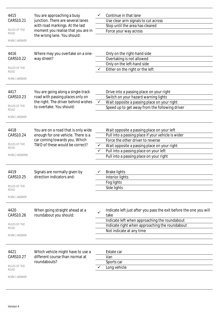| 4415                  | You are approaching a busy                                           |              | Continue in that lane                                                      |
|-----------------------|----------------------------------------------------------------------|--------------|----------------------------------------------------------------------------|
| CARS10.21             | junction. There are several lanes                                    |              | Use clear arm signals to cut across                                        |
|                       | with road markings. At the last                                      |              | Stop until the area has cleared                                            |
| RULES OF THE          | moment you realise that you are in                                   |              | Force your way across                                                      |
| ROAD                  | the wrong lane. You should:                                          |              |                                                                            |
| MARK 1 ANSWER         |                                                                      |              |                                                                            |
| 4416                  | Where may you overtake on a one-                                     |              | Only on the right-hand side                                                |
| CARS10.22             | way street?                                                          |              | Overtaking is not allowed                                                  |
|                       |                                                                      |              | Only on the left-hand side                                                 |
| RULES OF THE<br>ROAD  |                                                                      |              | Either on the right or the left                                            |
| <b>MARK 1 ANSWER</b>  |                                                                      |              |                                                                            |
| 4417                  | You are going along a single-track                                   |              | Drive into a passing place on your right                                   |
| CARS10.23             | road with passing places only on                                     |              | Switch on your hazard warning lights                                       |
|                       | the right. The driver behind wishes                                  | $\checkmark$ | Wait opposite a passing place on your right                                |
| <b>RULES OF THE</b>   | to overtake. You should:                                             |              | Speed up to get away from the following driver                             |
| ROAD                  |                                                                      |              |                                                                            |
| <b>MARK 1 ANSWER</b>  |                                                                      |              |                                                                            |
| 4418                  | You are on a road that is only wide                                  |              | Wait opposite a passing place on your left                                 |
| CARS10.24             | enough for one vehicle. There is a                                   |              | Pull into a passing place if your vehicle is wider                         |
|                       | car coming towards you. Which                                        |              | Force the other driver to reverse                                          |
| RULES OF THE          | TWO of these would be correct?                                       | $\checkmark$ | Wait opposite a passing place on your right                                |
| ROAD                  |                                                                      | ✓            | Pull into a passing place on your left                                     |
| <b>MARK 2 ANSWERS</b> |                                                                      |              | Pull into a passing place on your right                                    |
|                       |                                                                      |              |                                                                            |
|                       |                                                                      |              |                                                                            |
| 4419<br>CARS10.25     | Signals are normally given by<br>direction indicators and:           |              | <b>Brake lights</b>                                                        |
|                       |                                                                      |              | Interior lights<br>Fog lights                                              |
| RULES OF THE          |                                                                      |              | Side lights                                                                |
| ROAD                  |                                                                      |              |                                                                            |
| <b>MARK 1 ANSWER</b>  |                                                                      |              |                                                                            |
| 4420<br>CARS10.26     | When going straight ahead at a<br>roundabout you should:             | ✓            | Indicate left just after you pass the exit before the one you will<br>take |
|                       |                                                                      |              | Indicate left when approaching the roundabout                              |
| RULES OF THE<br>ROAD  |                                                                      |              | Indicate right when approaching the roundabout                             |
|                       |                                                                      |              | Not indicate at any time                                                   |
| <b>MARK 1 ANSWER</b>  |                                                                      |              |                                                                            |
|                       |                                                                      |              |                                                                            |
|                       |                                                                      |              |                                                                            |
| 4421<br>CARS10.27     | Which vehicle might have to use a<br>different course than normal at |              | Estate car<br>Van                                                          |
|                       | roundabouts?                                                         |              | Sports car                                                                 |
| RULES OF THE          |                                                                      |              | Long vehicle                                                               |
| ROAD                  |                                                                      |              |                                                                            |
| <b>MARK 1 ANSWER</b>  |                                                                      |              |                                                                            |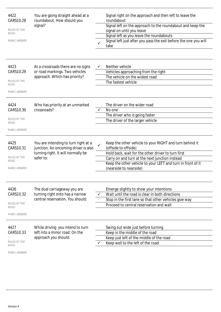| 4422<br>CARS10.28<br><b>RULES OF THE</b><br>ROAD<br><b>MARK 1 ANSWER</b> | You are going straight ahead at a<br>roundabout. How should you<br>signal?                                                      |              | Signal right on the approach and then left to leave the<br>roundabout<br>Signal left on the approach to the roundabout and keep the<br>signal on until you leave<br>Signal left as you leave the roundabouts<br>Signal left just after you pass the exit before the one you will<br>take |
|--------------------------------------------------------------------------|---------------------------------------------------------------------------------------------------------------------------------|--------------|------------------------------------------------------------------------------------------------------------------------------------------------------------------------------------------------------------------------------------------------------------------------------------------|
| 4423<br>CARS10.29<br><b>RULES OF THE</b><br>ROAD<br><b>MARK 1 ANSWER</b> | At a crossroads there are no signs<br>or road markings. Two vehicles<br>approach. Which has priority?                           | ✓            | Neither vehicle<br>Vehicles approaching from the right<br>The vehicle on the widest road<br>The fastest vehicle                                                                                                                                                                          |
| 4424<br>CARS10.30<br>RULES OF THE<br>ROAD<br><b>MARK 1 ANSWER</b>        | Who has priority at an unmarked<br>crossroads?                                                                                  |              | The driver on the wider road<br>No one<br>The driver who is going faster<br>The driver of the larger vehicle                                                                                                                                                                             |
| 4425<br>CARS10.31<br>RULES OF THE<br>ROAD<br><b>MARK 1 ANSWER</b>        | You are intending to turn right at a<br>junction. An oncoming driver is also<br>turning right. It will normally be<br>safer to: | $\checkmark$ | Keep the other vehicle to your RIGHT and turn behind it<br>(offside to offside)<br>Hold back, wait for the other driver to turn first<br>Carry on and turn at the next junction instead<br>Keep the other vehicle to your LEFT and turn in front of it<br>(nearside to nearside)         |
| 4426<br>CARS10.32<br>RULES OF THE<br>ROAD<br><b>MARK 1 ANSWER</b>        | The dual carriageway you are<br>turning right onto has a narrow<br>central reservation. You should:                             |              | Emerge slightly to show your intentions<br>Wait until the road is clear in both directions<br>Stop in the first lane so that other vehicles give way<br>Proceed to central reservation and wait                                                                                          |
| 4427<br>CARS10.33<br>RULES OF THE<br><b>ROAD</b><br><b>MARK 1 ANSWER</b> | While driving you intend to turn<br>left into a minor road. On the<br>approach you should:                                      |              | Swing out wide just before turning<br>Keep in the middle of the road<br>Keep just left of the middle of the road<br>Keep well to the left of the road                                                                                                                                    |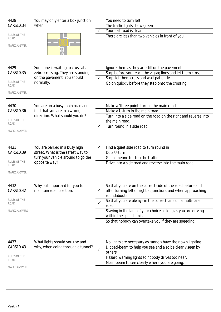| 4428<br>CARS10.34<br>RULES OF THE<br><b>ROAD</b><br><b>MARK 1 ANSWER</b>  | You may only enter a box junction<br>when:                                                                                | You need to turn left<br>The traffic lights show green<br>Your exit road is clear<br>There are less than two vehicles in front of you                                                                                                                                                                                                                                  |
|---------------------------------------------------------------------------|---------------------------------------------------------------------------------------------------------------------------|------------------------------------------------------------------------------------------------------------------------------------------------------------------------------------------------------------------------------------------------------------------------------------------------------------------------------------------------------------------------|
| 4429<br>CARS10.35<br>RULES OF THE<br><b>ROAD</b><br><b>MARK 1 ANSWER</b>  | Someone is waiting to cross at a<br>zebra crossing. They are standing<br>on the pavement. You should<br>normally:         | Ignore them as they are still on the pavement<br>Stop before you reach the zigzag lines and let them cross<br>Stop, let them cross and wait patiently<br>Go on quickly before they step onto the crossing                                                                                                                                                              |
| 4430<br>CARS10.36<br>RULES OF THE<br>ROAD<br><b>MARK 1 ANSWER</b>         | You are on a busy main road and<br>find that you are in a wrong<br>direction. What should you do?                         | Make a 'three point' turn in the main road<br>Make a U-turn in the main road<br>Turn into a side road on the road on the right and reverse into<br>the main road.<br>Turn round in a side road                                                                                                                                                                         |
| 4431<br>CARS10.39<br><b>RULES OF THE</b><br>ROAD<br><b>MARK 1 ANSWER</b>  | You are parked in a busy high<br>street. What is the safest way to<br>turn your vehicle around to go the<br>opposite way? | Find a quiet side road to turn round in<br>Do a U-turn<br>Get someone to stop the traffic<br>Drive into a side road and reverse into the main road                                                                                                                                                                                                                     |
| 4432<br>CARS10.42<br>RULES OF THE<br><b>ROAD</b><br><b>MARK 2 ANSWERS</b> | Why is it important for you to<br>maintain road position.                                                                 | So that you are on the correct side of the road before and<br>after turning left or right at junctions and when approaching<br>roundabouts<br>So that you are always in the correct lane on a multi-lane<br>road.<br>Staying in the lane of your choice as long as you are driving<br>within the speed limit.<br>So that nobody can overtake you if they are speeding. |
| 4433<br>CARS10.43<br>RULES OF THE<br>ROAD<br><b>MARK 1 ANSWER</b>         | What lights should you use and<br>why, when going through a tunnel?                                                       | No lights are necessary as tunnels have their own lighting.<br>Dipped-beam to help you see and also be clearly seen by<br>$\checkmark$<br>others.<br>Hazard warning lights so nobody drives too near.<br>Main-beam to see clearly where you are going.                                                                                                                 |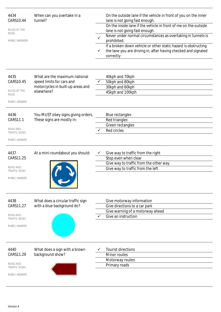| 4434<br>CARS10.44<br>RULES OF THE<br>ROAD<br><b>MARK 2 ANSWERS</b>            | When can you overtake in a<br>tunnel?                                                                         | ✓<br>✓ | On the outside lane if the vehicle in front of you on the inner<br>lane is not going fast enough.<br>On the inside lane if the vehicle in front of me on the outside<br>lane is not going fast enough.<br>Never under normal circumstances as overtaking in tunnels is<br>prohibited.<br>If a broken down vehicle or other static hazard is obstructing<br>the lane you are driving in, after having checked and signaled<br>correctly |
|-------------------------------------------------------------------------------|---------------------------------------------------------------------------------------------------------------|--------|----------------------------------------------------------------------------------------------------------------------------------------------------------------------------------------------------------------------------------------------------------------------------------------------------------------------------------------------------------------------------------------------------------------------------------------|
| 4435<br>CARS10.45<br>RULES OF THE<br>ROAD<br><b>MARK 1 ANSWER</b>             | What are the maximum national<br>speed limits for cars and<br>motorcycles in built-up areas and<br>elsewhere? |        | 40kph and 70kph<br>50kph and 80kph<br>30kph and 60kph<br>45kph and 100kph                                                                                                                                                                                                                                                                                                                                                              |
| 4436<br>CARS11.1<br>ROAD AND<br><b>TRAFFIC SIGNS</b><br><b>MARK 1 ANSWER</b>  | You MUST obey signs giving orders.<br>These signs are mostly in:                                              |        | Blue rectangles<br>Red triangles<br>Green rectangles<br>Red circles                                                                                                                                                                                                                                                                                                                                                                    |
| 4437<br>CARS11.25<br>ROAD AND<br><b>TRAFFIC SIGNS</b><br><b>MARK 1 ANSWER</b> | At a mini-roundabout you should:                                                                              |        | Give way to traffic from the right<br>Stop even when clear<br>Give way to traffic from the other way<br>Give way to traffic from the left                                                                                                                                                                                                                                                                                              |
| 4438<br>CARS11.27<br>ROAD AND<br><b>TRAFFIC SIGNS</b><br><b>MARK 1 ANSWER</b> | What does a circular traffic sign<br>with a blue background do?                                               |        | Give motorway information<br>Give directions to a car park<br>Give warning of a motorway ahead<br>Give an instruction                                                                                                                                                                                                                                                                                                                  |
| 4440<br>CARS11.29<br>ROAD AND<br><b>TRAFFIC SIGNS</b><br><b>MARK 1 ANSWER</b> | What does a sign with a brown<br>background show?                                                             |        | <b>Tourist directions</b><br>Minor routes<br>Motorway routes<br>Primary roads                                                                                                                                                                                                                                                                                                                                                          |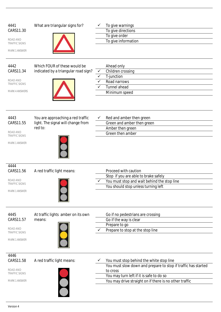| 4441<br>CARS11.30<br>ROAD AND<br><b>TRAFFIC SIGNS</b><br><b>MARK 1 ANSWER</b>  | What are triangular signs for?                                                     |                                   | To give warnings<br>To give directions<br>To give order<br>To give information                                                                                                                                              |
|--------------------------------------------------------------------------------|------------------------------------------------------------------------------------|-----------------------------------|-----------------------------------------------------------------------------------------------------------------------------------------------------------------------------------------------------------------------------|
| 4442<br>CARS11.34<br>ROAD AND<br><b>TRAFFIC SIGNS</b><br><b>MARK 4 ANSWERS</b> | Which FOUR of these would be<br>indicated by a triangular road sign?               | $\checkmark$<br>$\checkmark$<br>✓ | Ahead only<br>Children crossing<br>T-junction<br>Road narrows<br>Tunnel ahead<br>Minimum speed                                                                                                                              |
| 4443<br>CARS11.55<br>ROAD AND<br><b>TRAFFIC SIGNS</b><br>MARK 1 ANSWER         | You are approaching a red traffic<br>light. The signal will change from<br>red to: |                                   | Red and amber then green<br>Green and amber then green<br>Amber then green<br>Green then amber                                                                                                                              |
| 4444<br>CARS11.56<br>ROAD AND<br>TRAFFIC SIGNS<br><b>MARK 1 ANSWER</b>         | A red traffic light means:                                                         | $\checkmark$                      | Proceed with caution<br>Stop if you are able to brake safely<br>You must stop and wait behind the stop line<br>You should stop unless turning left                                                                          |
| 4445<br>CARS11.57<br>ROAD AND<br><b>TRAFFIC SIGNS</b><br>MARK 1 ANSWER         | At traffic lights amber on its own<br>means:                                       |                                   | Go if no pedestrians are crossing<br>Go if the way is clear<br>Prepare to go<br>Prepare to stop at the stop line                                                                                                            |
| 4446<br>CARS11.58<br>ROAD AND<br>TRAFFIC SIGNS<br>MARK 1 ANSWER                | A red traffic light means:                                                         |                                   | You must stop behind the white stop line<br>You must slow down and prepare to stop if traffic has started<br>to cross<br>You may turn left if it is safe to do so<br>You may drive straight on if there is no other traffic |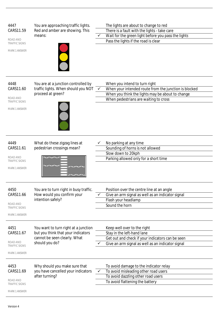| 4447<br>CARS11.59<br>ROAD AND<br>TRAFFIC SIGNS<br><b>MARK 1 ANSWER</b>        | You are approaching traffic lights.<br>Red and amber are showing. This<br>means:                                             | The lights are about to change to red<br>There is a fault with the lights - take care<br>Wait for the green light before you pass the lights<br>Pass the lights if the road is clear |
|-------------------------------------------------------------------------------|------------------------------------------------------------------------------------------------------------------------------|--------------------------------------------------------------------------------------------------------------------------------------------------------------------------------------|
| 4448<br>CARS11.60<br>ROAD AND<br><b>TRAFFIC SIGNS</b><br><b>MARK 1 ANSWER</b> | You are at a junction controlled by<br>traffic lights. When should you NOT<br>proceed at green?                              | When you intend to turn right<br>When your intended route from the junction is blocked<br>When you think the lights may be about to change<br>When pedestrians are waiting to cross  |
| 4449<br>CARS11.61<br>ROAD AND<br><b>TRAFFIC SIGNS</b><br><b>MARK 1 ANSWER</b> | What do these zigzag lines at<br>pedestrian crossings mean?                                                                  | No parking at any time<br>Sounding of horns is not allowed<br>Slow down to 20kph<br>Parking allowed only for a short time                                                            |
| 4450<br>CARS11.66<br>ROAD AND<br>TRAFFIC SIGNS<br><b>MARK 1 ANSWER</b>        | You are to turn right in busy traffic.<br>How would you confirm your<br>intention safely?                                    | Position over the centre line at an angle<br>Give an arm signal as well as an indicator signal<br>Flash your headlamp<br>Sound the horn                                              |
| 4451<br>CARS11.67<br>ROAD AND<br><b>TRAFFIC SIGNS</b><br>MARK 1 ANSWER        | You want to turn right at a junction<br>but you think that your indicators<br>cannot be seen clearly. What<br>should you do? | Keep well over to the right<br>Stay in the left-hand lane<br>Get out and check if your indicators can be seen<br>Give an arm signal as well as an indicator signal                   |
| 4453<br>CARS11.69<br>ROAD AND<br>TRAFFIC SIGNS<br><b>MARK 1 ANSWER</b>        | Why should you make sure that<br>you have cancelled your indicators<br>after turning?                                        | To avoid damage to the indicator relay<br>To avoid misleading other road users<br>$\checkmark$<br>To avoid dazzling other road users<br>To avoid flattening the battery              |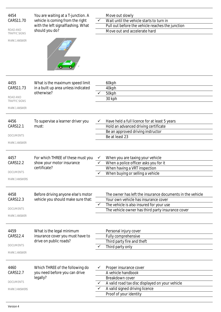| 4454<br>CARS11.70<br>ROAD AND<br><b>TRAFFIC SIGNS</b><br><b>MARK 1 ANSWER</b> | You are waiting at a T-junction. A<br>vehicle is coming from the right<br>with the left signalflashing. What<br>should you do? | $\checkmark$ | Move out slowly<br>Wait until the vehicle starts to turn in<br>Pull out before the vehicle reaches the junction<br>Move out and accelerate hard                                                    |
|-------------------------------------------------------------------------------|--------------------------------------------------------------------------------------------------------------------------------|--------------|----------------------------------------------------------------------------------------------------------------------------------------------------------------------------------------------------|
| 4455<br>CARS11.73<br>ROAD AND<br>TRAFFIC SIGNS<br><b>MARK 1 ANSWER</b>        | What is the maximum speed limit<br>in a built up area unless indicated<br>otherwise?                                           |              | 60kph<br>40kph<br>50kph<br>30 kph                                                                                                                                                                  |
| 4456<br>CARS12.1<br><b>DOCUMENTS</b><br><b>MARK 1 ANSWER</b>                  | To supervise a learner driver you<br>must:                                                                                     |              | Have held a full licence for at least 5 years<br>Hold an advanced driving certificate<br>Be an approved driving instructor<br>Be at least 23                                                       |
| 4457<br><b>CARS12.2</b><br><b>DOCUMENTS</b><br><b>MARK 3 ANSWERS</b>          | For which THREE of these must you<br>show your motor insurance<br>certificate?                                                 |              | When you are taxing your vehicle<br>When a police officer asks you for it<br>When having a VRT inspection<br>When buying or selling a vehicle                                                      |
| 4458<br><b>CARS12.3</b><br><b>DOCUMENTS</b><br><b>MARK 1 ANSWER</b>           | Before driving anyone else's motor<br>vehicle you should make sure that:                                                       |              | The owner has left the insurance documents in the vehicle<br>Your own vehicle has insurance cover<br>The vehicle is also insured for your use<br>The vehicle owner has third party insurance cover |
| 4459<br>CARS12.4<br><b>DOCUMENTS</b><br><b>MARK 1 ANSWER</b>                  | What is the legal minimum<br>insurance cover you must have to<br>drive on public roads?                                        |              | Personal injury cover<br>Fully comprehensive<br>Third party fire and theft<br>Third party only                                                                                                     |
| 4460<br>CARS12.7<br><b>DOCUMENTS</b><br><b>MARK 3 ANSWERS</b>                 | Which THREE of the following do<br>you need before you can drive<br>legally?                                                   | $\checkmark$ | Proper insurance cover<br>A vehicle handbook<br>Breakdown cover<br>A valid road tax disc displayed on your vehicle<br>A valid signed driving licence<br>Proof of your identity                     |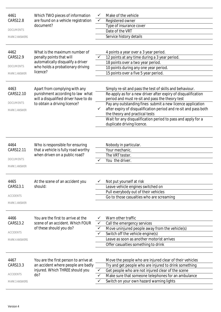| 4461<br><b>CARS12.8</b><br><b>DOCUMENTS</b><br><b>MARK 2 ANSWERS</b><br>4462<br>CARS12.9 | Which TWO pieces of information<br>are found on a vehicle registration<br>document?<br>What is the maximum number of<br>penalty points that will |                                   | Make of the vehicle<br>Registered owner<br>Type of insurance cover<br>Date of the VRT<br>Service history details<br>4 points a year over a 3 year period.<br>12 points at any time during a 3 year period.                                                                                                                                                                                                                                     |
|------------------------------------------------------------------------------------------|--------------------------------------------------------------------------------------------------------------------------------------------------|-----------------------------------|------------------------------------------------------------------------------------------------------------------------------------------------------------------------------------------------------------------------------------------------------------------------------------------------------------------------------------------------------------------------------------------------------------------------------------------------|
| <b>DOCUMENTS</b><br>MARK 1 ANSWER                                                        | automatically disqualify a driver<br>who holds a probationary driving<br>licence?                                                                |                                   | 18 points over a two year period.<br>10 points during any one year period.<br>15 points over a five 5 year period.                                                                                                                                                                                                                                                                                                                             |
| 4463<br>CARS12.10<br><b>DOCUMENTS</b><br><b>MARK 1 ANSWER</b>                            | Apart from complying with any<br>punishment according to law what<br>will a disqualified driver have to do<br>to obtain a driving licence?       | ✓                                 | Simply re-sit and pass the test of skills and behaviour.<br>Re-apply as for a new driver after expiry of disqualification<br>period and must re-sit and pass the theory test<br>Pay any outstanding fines submit a new licence application<br>after expiry of disqualification period and re-sit and pass both<br>the theory and practical tests<br>Wait for any disqualification period to pass and apply for a<br>duplicate driving licence. |
| 4464<br>CARS12.11<br><b>DOCUMENTS</b><br><b>MARK 1 ANSWER</b>                            | Who is responsible for ensuring<br>that a vehicle is fully road worthy<br>when driven on a public road?                                          |                                   | Nobody in particular.<br>Your mechanic.<br>The VRT tester.<br>You the driver.                                                                                                                                                                                                                                                                                                                                                                  |
| 4465<br>CARS13.1<br><b>ACCIDENTS</b><br><b>MARK 1 ANSWER</b>                             | At the scene of an accident you<br>should:                                                                                                       |                                   | Not put yourself at risk<br>Leave vehicle engines switched on<br>Pull everybody out of their vehicles<br>Go to those casualties who are screaming                                                                                                                                                                                                                                                                                              |
| 4466<br>CARS13.2<br><b>ACCIDENTS</b><br><b>MARK 4 ANSWERS</b>                            | You are the first to arrive at the<br>scene of an accident. Which FOUR<br>of these should you do?                                                | ✓<br>$\checkmark$<br>$\checkmark$ | Warn other traffic<br>Call the emergency services<br>Move uninjured people away from the vehicle(s)<br>Switch off the vehicle engine(s)<br>Leave as soon as another motorist arrives<br>Offer casualties something to drink                                                                                                                                                                                                                    |
| 4467<br>CARS13.3<br><b>ACCIDENTS</b><br><b>MARK 3 ANSWERS</b>                            | You are the first person to arrive at<br>an accident where people are badly<br>injured. Which THREE should you<br>do?                            |                                   | Move the people who are injured clear of their vehicles<br>Try and get people who are injured to drink something<br>Get people who are not injured clear of the scene<br>Make sure that someone telephones for an ambulance<br>Switch on your own hazard warning lights                                                                                                                                                                        |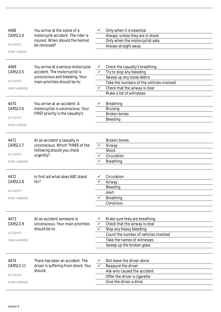| 4468                  | You arrive at the scene of a                   |              | Only when it is essential                          |
|-----------------------|------------------------------------------------|--------------|----------------------------------------------------|
| CARS13.4              | motorcycle accident. The rider is              |              | Always unless they are in shock                    |
|                       | injured. When should the helmet                |              | Only when the motorcyclist asks                    |
| <b>ACCIDENTS</b>      | be removed?                                    |              | Always straight away                               |
| <b>MARK 1 ANSWER</b>  |                                                |              |                                                    |
| 4469                  | You arrive at a serious motorcycle             |              | Check the casualty's breathing                     |
| CARS13.5              | accident. The motorcyclist is                  | ✓            | Try to stop any bleeding                           |
|                       | unconscious and bleeding. Your                 |              | Sweep up any loose debris                          |
| <b>ACCIDENTS</b>      | main priorities should be to:                  |              | Take the numbers of the vehicles involved          |
| <b>MARK 3 ANSWERS</b> |                                                |              | Check that the airway is clear                     |
|                       |                                                |              | Make a list of witnesses                           |
|                       |                                                |              |                                                    |
| 4470                  | You arrive at an accident. A                   |              | <b>Breathing</b>                                   |
| CARS13.6              | motorcyclist is unconscious. Your              |              | <b>Bruising</b>                                    |
|                       | FIRST priority is the casualty's               |              | <b>Broken bones</b>                                |
| <b>ACCIDENTS</b>      |                                                |              | Bleeding                                           |
| <b>MARK 1 ANSWER</b>  |                                                |              |                                                    |
| 4471                  | At an accident a casualty is                   |              | <b>Broken bones</b>                                |
| CARS13.7              | unconscious. Which THREE of the                | ✓            | Airway                                             |
|                       | following should you check                     |              | <b>Shock</b>                                       |
| <b>ACCIDENTS</b>      | urgently?                                      |              | Circulation                                        |
| <b>MARK 3 ANSWERS</b> |                                                |              | <b>Breathing</b>                                   |
|                       |                                                |              |                                                    |
| 4472                  | In first aid what does ABC stand               |              | Circulation                                        |
| CARS13.8              | for?                                           |              | Airway                                             |
|                       |                                                |              | Bleeding                                           |
| <b>ACCIDENTS</b>      |                                                |              | Alert                                              |
| <b>MARK 3 ANSWERS</b> |                                                |              | <b>Breathing</b>                                   |
|                       |                                                |              | Conscious                                          |
|                       |                                                |              |                                                    |
| 4473                  | At an accident someone is                      |              | Make sure they are breathing                       |
| CARS13.9              | unconscious. Your main priorities              | ✓            | Check that the airway is clear                     |
|                       | should be to:                                  |              | Stop any heavy bleeding                            |
| <b>ACCIDENTS</b>      |                                                |              | Count the number of vehicles involved              |
| <b>MARK 3 ANSWERS</b> |                                                |              | Take the names of witnesses                        |
|                       |                                                |              | Sweep up the broken glass                          |
|                       |                                                |              |                                                    |
|                       |                                                |              |                                                    |
| 4474                  | There has been an accident. The                |              | Not leave the driver alone                         |
| CARS13.11             | driver is suffering from shock. You<br>should: | $\checkmark$ | Reassure the driver<br>Ask who caused the accident |
| <b>ACCIDENTS</b>      |                                                |              | Offer the driver a cigarette                       |
| <b>MARK 2 ANSWERS</b> |                                                |              | Give the driver a drink                            |
|                       |                                                |              |                                                    |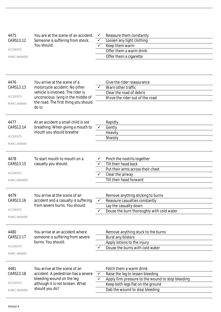| 4475<br>CARS13.12<br><b>ACCIDENTS</b><br><b>MARK 3 ANSWERS</b> | You are at the scene of an accident.<br>Someone is suffering from shock.<br>You should:                                                                                                    | ✓<br>✓<br>✓ | Reassure them constantly<br>Loosen any tight clothing<br>Keep them warm<br>Offer them a warm drink<br>Offer them a cigarette                                                            |
|----------------------------------------------------------------|--------------------------------------------------------------------------------------------------------------------------------------------------------------------------------------------|-------------|-----------------------------------------------------------------------------------------------------------------------------------------------------------------------------------------|
| 4476<br>CARS13.13<br><b>ACCIDENTS</b><br><b>MARK 1 ANSWER</b>  | You arrive at the scene of a<br>motorcycle accident. No other<br>vehicle is involved. The rider is<br>unconscious lying in the middle of<br>the road. The first thing you should<br>do is: | ✓           | Give the rider reassurance<br>Warn other traffic<br>Clear the road of debris<br>Move the rider out of the road                                                                          |
| 4477<br>CARS13.14<br><b>ACCIDENTS</b><br><b>MARK 1 ANSWER</b>  | At an accident a small child is not<br>breathing. When giving a mouth to<br>mouth you should breathe                                                                                       |             | Rapidly<br>Gently<br>Heavily<br>Sharply                                                                                                                                                 |
| 4478<br>CARS13.15<br><b>ACCIDENTS</b><br><b>MARK 3 ANSWERS</b> | To start mouth to mouth on a<br>casualty you should:                                                                                                                                       |             | Pinch the nostrils together<br>Tilt their head back<br>Put their arms across their chest<br>Clear the airway<br>Tilt their head forward                                                 |
| 4479<br>CARS13.16<br><b>ACCIDENTS</b><br><b>MARK 2 ANSWERS</b> | You arrive at the scene of an<br>accident and a casualty is suffering<br>from severe burns. You should:                                                                                    | ✓<br>✓      | Remove anything sticking to burns<br>Reassure casualties constantly<br>Lay the casualty down<br>Douse the burn thoroughly with cold water                                               |
| 4480<br>CARS13.17<br><b>ACCIDENTS</b><br><b>MARK 1 ANSWER</b>  | You arrive at an accident where<br>someone is suffering from severe<br>burns. You should:                                                                                                  |             | Remove anything stuck to the burns<br><b>Burst any blisters</b><br>Apply lotions to the injury<br>Douse the burns with cold water                                                       |
| 4481<br>CARS13.18<br><b>ACCIDENTS</b><br><b>MARK 2 ANSWERS</b> | You arrive at the scene of an<br>accident. A pedestrian has a severe<br>bleeding wound on the leg<br>although it is not broken. What<br>should you do?                                     | ✓           | Fetch them a warm drink<br>Raise the leg to lessen bleeding<br>Apply firm pressure to the wound to stop bleeding<br>Keep both legs flat on the ground<br>Dab the wound to stop bleeding |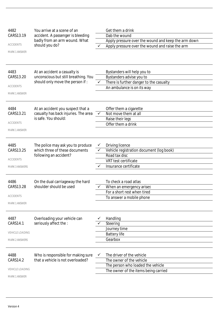| 4482                   | You arrive at a scene of an          |              | Get them a drink                                    |
|------------------------|--------------------------------------|--------------|-----------------------------------------------------|
| CARS13.19              | accident. A passenger is bleeding    |              | Dab the wound                                       |
|                        | badly from an arm wound. What        |              | Apply pressure over the wound and keep the arm down |
| <b>ACCIDENTS</b>       | should you do?                       |              | Apply pressure over the wound and raise the arm     |
| <b>MARK 1 ANSWER</b>   |                                      |              |                                                     |
|                        |                                      |              |                                                     |
| 4483                   | At an accident a casualty is         |              | Bystanders will help you to                         |
| CARS13.20              | unconscious but still breathing. You |              | Bystanders advise you to                            |
|                        | should only move the person if:      | $\checkmark$ | There is further danger to the casualty             |
| <b>ACCIDENTS</b>       |                                      |              | An ambulance is on its way                          |
| <b>MARK 1 ANSWER</b>   |                                      |              |                                                     |
| 4484                   | At an accident you suspect that a    |              | Offer them a cigarette                              |
| CARS13.21              | casualty has back injuries. The area | ✓            | Not move them at all                                |
|                        | is safe. You should:                 |              | Raise their legs                                    |
| <b>ACCIDENTS</b>       |                                      |              | Offer them a drink                                  |
| <b>MARK 1 ANSWER</b>   |                                      |              |                                                     |
| 4485                   | The police may ask you to produce    |              | Driving licence                                     |
| CARS13.25              | which three of these documents       |              | Vehicle registration document (log book)            |
|                        | following an accident?               |              | Road tax disc                                       |
| <b>ACCIDENTS</b>       |                                      |              | VRT test certificate                                |
| <b>MARK 3 ANSWERS</b>  |                                      |              | Insurance certificate                               |
|                        |                                      |              |                                                     |
| 4486                   | On the dual carriageway the hard     |              | To check a road atlas                               |
| CARS13.28              | shoulder should be used              |              | When an emergency arises                            |
|                        |                                      |              | For a short rest when tired                         |
| <b>ACCIDENTS</b>       |                                      |              | To answer a mobile phone                            |
| <b>MARK 1 ANSWER</b>   |                                      |              |                                                     |
| 4487                   | Overloading your vehicle can         |              | Handling                                            |
| CARS14.1               | seriously affect the :               |              | Steering                                            |
|                        |                                      |              | Journey time                                        |
| <b>VEHICLE LOADING</b> |                                      |              | <b>Battery life</b>                                 |
| <b>MARK 2 ANSWERS</b>  |                                      |              | Gearbox                                             |
|                        |                                      |              |                                                     |
| 4488                   | Who is responsible for making sure   | ✔            | The driver of the vehicle                           |
| CARS14.2               | that a vehicle is not overloaded?    |              | The owner of the vehicle                            |
|                        |                                      |              | The person who loaded the vehicle                   |
| <b>VEHICLE LOADING</b> |                                      |              | The owner of the items being carried                |
| MARK 1 ANSWER          |                                      |              |                                                     |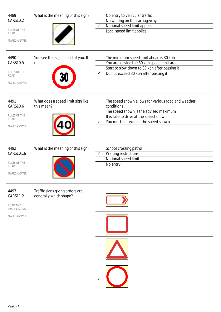| 4489<br><b>CARS10.2</b><br>RULES OF THE<br><b>ROAD</b><br><b>MARK 1 ANSWER</b><br>4490<br><b>CARS10.5</b><br>RULES OF THE<br><b>ROAD</b><br><b>MARK 1 ANSWER</b> | What is the meaning of this sign?<br>You see this sign ahead of you. It<br>means:    | No entry to vehicular traffic<br>No waiting on the carriageway<br>National speed limit applies<br>Local speed limit applies<br>The minimum speed limit ahead is 30 kph<br>You are leaving the 30 kph speed limit area<br>Start to slow down to 30 kph after passing it<br>Do not exceed 30 kph after passing it<br>$\checkmark$ |
|------------------------------------------------------------------------------------------------------------------------------------------------------------------|--------------------------------------------------------------------------------------|---------------------------------------------------------------------------------------------------------------------------------------------------------------------------------------------------------------------------------------------------------------------------------------------------------------------------------|
| 4491<br>CARS10.6<br>RULES OF THE<br><b>ROAD</b><br>MARK 1 ANSWER<br>4492<br>CARS10.16<br>RULES OF THE<br><b>ROAD</b><br><b>MARK 1 ANSWER</b>                     | What does a speed limit sign like<br>this mean?<br>What is the meaning of this sign? | The speed shown allows for various road and weather<br>conditions<br>The speed shown is the advised maximum<br>It is safe to drive at the speed shown<br>You must not exceed the speed shown<br>School crossing patrol<br><b>Waiting restrictions</b><br>National speed limit<br>No entry                                       |
| 4493<br>CARS11.2<br>ROAD AND<br><b>TRAFFIC SIGNS</b><br><b>MARK 1 ANSWER</b>                                                                                     | Traffic signs giving orders are<br>generally which shape?                            |                                                                                                                                                                                                                                                                                                                                 |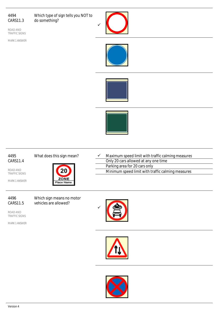Which type of sign tells you NOT to do something?

ROAD AND TRAFFIC SIGNS

MARK 1 ANSWER









#### 4495 CARS11.4

What does this sign mean?



ROAD AND TRAFFIC SIGNS

MARK 1 ANSWER



| ✓ | Maximum speed limit with traffic calming measures |
|---|---------------------------------------------------|
|   | Only 20 cars allowed at any one time              |
|   | Parking area for 20 cars only                     |
|   | Minimum speed limit with traffic calming measures |
|   |                                                   |

4496 CARS11.5 Which sign means no motor vehicles are allowed?

ROAD AND TRAFFIC SIGNS





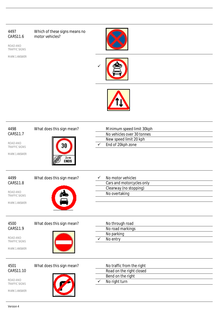Which of these signs means no motor vehicles?

ROAD AND TRAFFIC SIGNS







| 4498<br><b>CARS11.7</b><br>ROAD AND<br><b>TRAFFIC SIGNS</b><br><b>MARK 1 ANSWER</b> | What does this sign mean?<br>NDS | Minimum speed limit 30kph<br>No vehicles over 30 tonnes<br>New speed limit 20 kph<br>End of 20kph zone |
|-------------------------------------------------------------------------------------|----------------------------------|--------------------------------------------------------------------------------------------------------|
| 4499<br><b>CARS11.8</b><br>ROAD AND<br><b>TRAFFIC SIGNS</b><br><b>MARK 1 ANSWER</b> | What does this sign mean?        | No motor vehicles<br>Cars and motorcycles only<br>Clearway (no stopping)<br>No overtaking              |
| 4500<br>CARS11.9<br>ROAD AND<br><b>TRAFFIC SIGNS</b><br><b>MARK 1 ANSWER</b>        | What does this sign mean?        | No through road<br>No road markings<br>No parking<br>No entry                                          |
| 4501<br>CARS11.10<br>ROAD AND<br><b>TRAFFIC SIGNS</b><br><b>MARK 1 ANSWER</b>       | What does this sign mean?        | No traffic from the right<br>Road on the right closed<br>Bend on the right<br>No right turn            |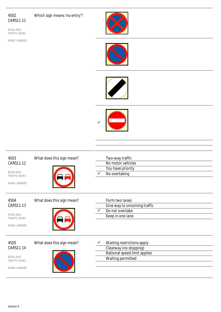Which sign means 'no entry'?

ROAD AND TRAFFIC SIGNS

MARK 1 ANSWER









| 4503<br>CARS11.12<br>ROAD AND<br><b>TRAFFIC SIGNS</b><br><b>MARK 1 ANSWER</b> | What does this sign mean? | Two-way traffic<br>No motor vehicles<br>You have priority<br>No overtaking                                |
|-------------------------------------------------------------------------------|---------------------------|-----------------------------------------------------------------------------------------------------------|
| 4504<br>CARS11.13<br>ROAD AND<br><b>TRAFFIC SIGNS</b><br><b>MARK 1 ANSWER</b> | What does this sign mean? | Form two lanes<br>Give way to oncoming traffic<br>Do not overtake<br>Keep in one lane                     |
| 4505<br>CARS11.14<br>ROAD AND<br><b>TRAFFIC SIGNS</b><br><b>MARK 1 ANSWER</b> | What does this sign mean? | Waiting restrictions apply<br>Clearway (no stopping)<br>National speed limit applies<br>Waiting permitted |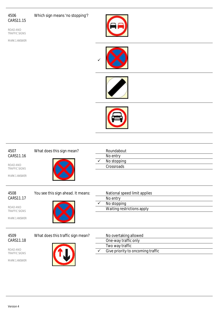Which sign means 'no stopping'?

ROAD AND TRAFFIC SIGNS









| 4507<br>CARS11.16<br>ROAD AND<br><b>TRAFFIC SIGNS</b><br><b>MARK 1 ANSWER</b> | What does this sign mean?          | Roundabout<br>No entry<br>No stopping<br>Crossroads                                                   |
|-------------------------------------------------------------------------------|------------------------------------|-------------------------------------------------------------------------------------------------------|
| 4508<br>CARS11.17<br>ROAD AND<br><b>TRAFFIC SIGNS</b><br><b>MARK 1 ANSWER</b> | You see this sign ahead. It means: | National speed limit applies<br>No entry<br>No stopping<br>Waiting restrictions apply                 |
| 4509<br>CARS11.18<br>ROAD AND<br><b>TRAFFIC SIGNS</b><br><b>MARK 1 ANSWER</b> | What does this traffic sign mean?  | No overtaking allowed<br>One-way traffic only<br>Two way traffic<br>Give priority to oncoming traffic |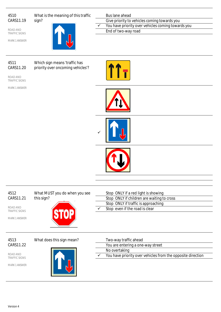What is the meaning of this traffic sign?

ROAD AND TRAFFIC SIGNS

MARK 1 ANSWER



Which sign means 'traffic has

Bus lane ahead Give priority to vehicles coming towards you  $\checkmark$  You have priority over vehicles coming towards you End of two-way road

# 4511 CARS11.20

priority over oncoming vehicles'?

ROAD AND TRAFFIC SIGNS

MARK 1 ANSWER











# 4513 CARS11.22

ROAD AND TRAFFIC SIGNS

MARK 1 ANSWER



What does this sign mean?

| Two-way traffic ahead             |
|-----------------------------------|
| You are entering a one-way street |
| No overtaking                     |
|                                   |

 $\checkmark$  You have priority over vehicles from the opposite direction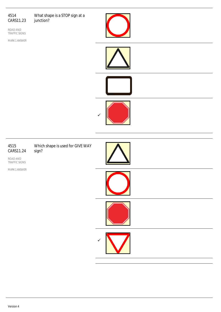#### 4514 CARS11.23 What shape is a STOP sign at a junction?

ROAD AND TRAFFIC SIGNS



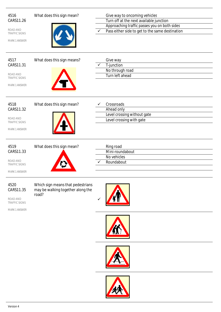ROAD AND TRAFFIC SIGNS

MARK 1 ANSWER



# What does this sign mean? Give way to oncoming vehicles Turn off at the next available junction Approaching traffic passes you on both sides

 $\overline{\smash{0}}$  Pass either side to get to the same destination

4520 CARS11.35

ROAD AND TRAFFIC SIGNS MARK 1 ANSWER Which sign means that pedestrians may be walking together along the road?







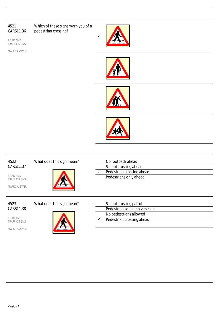# 4521 CARS11.36 ROAD AND TRAFFIC SIGNS MARK 1 ANSWER Which of these signs warn you of a pedestrian crossing?  $\checkmark$ 4522 CARS11.37 ROAD AND TRAFFIC SIGNS MARK 1 ANSWER What does this sign mean? No footpath ahead School crossing ahead  $\checkmark$  Pedestrian crossing ahead Pedestrians only ahead 4523 CARS11.38 ROAD AND TRAFFIC SIGNS MARK 1 ANSWER What does this sign mean? School crossing patrol Pedestrian zone - no vehicles No pedestrians allowed  $\checkmark$  Pedestrian crossing ahead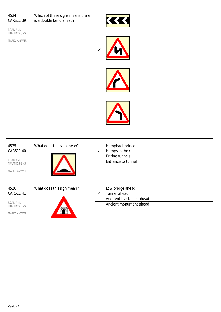Which of these signs means there is a double bend ahead?

ROAD AND TRAFFIC SIGNS









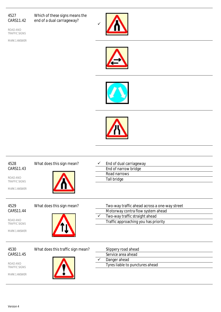Which of these signs means the end of a dual carriageway?

ROAD AND TRAFFIC SIGNS









| 4528<br>CARS11.43<br>ROAD AND<br><b>TRAFFIC SIGNS</b><br><b>MARK 1 ANSWER</b> | What does this sign mean?         | End of dual carriageway<br>End of narrow bridge<br>Road narrows<br>Tall bridge                                                                               |
|-------------------------------------------------------------------------------|-----------------------------------|--------------------------------------------------------------------------------------------------------------------------------------------------------------|
| 4529<br>CARS11.44<br>ROAD AND<br><b>TRAFFIC SIGNS</b><br><b>MARK 1 ANSWER</b> | What does this sign mean?         | Two-way traffic ahead across a one-way street<br>Motorway contra flow system ahead<br>Two-way traffic straight ahead<br>Traffic approaching you has priority |
| 4530<br>CARS11.45<br>ROAD AND<br><b>TRAFFIC SIGNS</b><br><b>MARK 1 ANSWER</b> | What does this traffic sign mean? | Slippery road ahead<br>Service area ahead<br>Danger ahead<br>Tyres liable to punctures ahead                                                                 |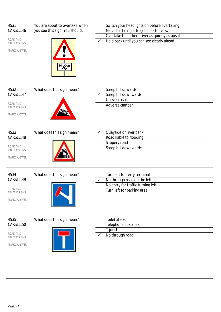| 4531<br>CARS11.46<br>ROAD AND<br><b>TRAFFIC SIGNS</b><br><b>MARK 1 ANSWER</b> | You are about to overtake when<br>you see this sign. You should:<br><b>Hidden</b><br>dip. | Switch your headlights on before overtaking<br>Move to the right to get a better view<br>Overtake the other driver as quickly as possible<br>Hold back until you can see clearly ahead |
|-------------------------------------------------------------------------------|-------------------------------------------------------------------------------------------|----------------------------------------------------------------------------------------------------------------------------------------------------------------------------------------|
| 4532<br>CARS11.47<br>ROAD AND<br><b>TRAFFIC SIGNS</b><br><b>MARK 1 ANSWER</b> | What does this sign mean?                                                                 | Steep hill upwards<br>Steep hill downwards<br>Uneven road<br>Adverse camber                                                                                                            |
| 4533<br>CARS11.48<br>ROAD AND<br><b>TRAFFIC SIGNS</b><br><b>MARK 1 ANSWER</b> | What does this sign mean?                                                                 | Quayside or river bank<br>Road liable to flooding<br>Slippery road<br>Steep hill downwards                                                                                             |
| 4534<br>CARS11.49<br>ROAD AND<br><b>TRAFFIC SIGNS</b><br>MARK 1 ANSWER        | What does this sign mean?                                                                 | Turn left for ferry terminal<br>No through road on the left<br>No entry for traffic turning left<br>Turn left for parking area                                                         |
| 4535<br>CARS11.50<br>ROAD AND<br><b>TRAFFIC SIGNS</b><br>MARK 1 ANSWER        | What does this sign mean?                                                                 | Toilet ahead<br>Telephone box ahead<br>T-junction<br>No through road                                                                                                                   |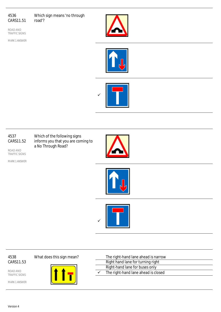Which sign means 'no through road'?

ROAD AND TRAFFIC SIGNS

MARK 1 ANSWER







#### 4537 CARS11.52

Which of the following signs informs you that you are coming to a No Through Road?

ROAD AND TRAFFIC SIGNS

MARK 1 ANSWER







4538 CARS11.53

ROAD AND TRAFFIC SIGNS

MARK 1 ANSWER



What does this sign mean?

|   | The right-hand lane ahead is narrow |
|---|-------------------------------------|
|   | Right hand lane for turning right   |
|   | Right-hand lane for buses only      |
| ✓ | The right-hand lane ahead is closed |
|   |                                     |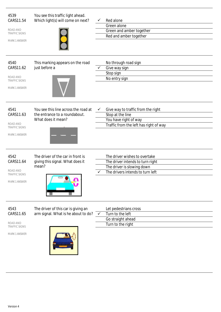| 4539<br>CARS11.54<br>ROAD AND<br><b>TRAFFIC SIGNS</b><br>MARK 1 ANSWER        | You see this traffic light ahead.<br>Which light(s) will come on next?                      | ✓            | Red alone<br>Green alone<br>Green and amber together<br>Red and amber together                                                      |
|-------------------------------------------------------------------------------|---------------------------------------------------------------------------------------------|--------------|-------------------------------------------------------------------------------------------------------------------------------------|
| 4540<br>CARS11.62<br>ROAD AND<br><b>TRAFFIC SIGNS</b><br>MARK 1 ANSWER        | This marking appears on the road<br>just before a                                           |              | No through road sign<br>Give way sign<br>Stop sign<br>No entry sign                                                                 |
| 4541<br>CARS11.63<br>ROAD AND<br><b>TRAFFIC SIGNS</b><br>MARK 1 ANSWER        | You see this line across the road at<br>the entrance to a roundabout.<br>What does it mean? | ✓            | Give way to traffic from the right<br>Stop at the line<br>You have right of way<br>Traffic from the left has right of way           |
| 4542<br>CARS11.64<br>ROAD AND<br><b>TRAFFIC SIGNS</b><br><b>MARK 1 ANSWER</b> | The driver of the car in front is<br>giving this signal. What does it<br>mean?<br>- 4       |              | The driver wishes to overtake<br>The driver intends to turn right<br>The driver is slowing down<br>The drivers intends to turn left |
| 4543<br>CARS11.65<br>ROAD AND<br><b>TRAFFIC SIGNS</b><br><b>MARK 1 ANSWER</b> | The driver of this car is giving an<br>arm signal. What is he about to do?                  | $\checkmark$ | Let pedestrians cross<br>Turn to the left<br>Go straight ahead<br>Turn to the right                                                 |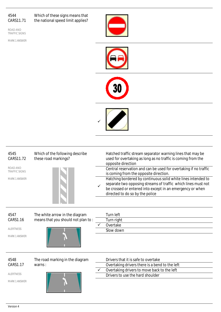Which of these signs means that the national speed limit applies?

ROAD AND TRAFFIC SIGNS

MARK 1 ANSWER









| 4545<br>CARS11.72<br>ROAD AND<br><b>TRAFFIC SIGNS</b><br><b>MARK 1 ANSWER</b> | Which of the following describe<br>these road markings?              | Hatched traffic stream separator warning lines that may be<br>used for overtaking as long as no traffic is coming from the<br>opposite direction<br>Central reservation and can be used for overtaking if no traffic<br>is coming from the opposite direction.<br>Hatching bordered by continuous solid white lines intended to<br>separate two opposing streams of traffic which lines must not<br>be crossed or entered into except in an emergency or when<br>directed to do so by the police |
|-------------------------------------------------------------------------------|----------------------------------------------------------------------|--------------------------------------------------------------------------------------------------------------------------------------------------------------------------------------------------------------------------------------------------------------------------------------------------------------------------------------------------------------------------------------------------------------------------------------------------------------------------------------------------|
| 4547<br>CARS1.16<br><b>ALERTNESS</b><br><b>MARK 1 ANSWER</b>                  | The white arrow in the diagram<br>means that you should not plan to: | Turn left<br>Turn right<br>Overtake<br>Slow down                                                                                                                                                                                                                                                                                                                                                                                                                                                 |
| 4548<br>CARS1.17<br><b>ALERTNESS</b><br><b>MARK 1 ANSWER</b>                  | The road marking in the diagram<br>warns:                            | Drivers that it is safe to overtake<br>Overtaking drivers there is a bend to the left<br>Overtaking drivers to move back to the left<br>Drivers to use the hard shoulder                                                                                                                                                                                                                                                                                                                         |

 $-6 -$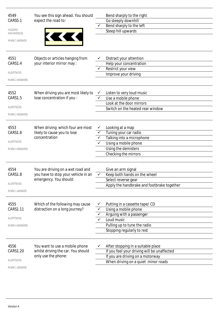| 4549<br>CARS5.1<br><b>HAZARD</b><br>AWARENESS<br><b>MARK 1 ANSWER</b><br>4551 | You see this sign ahead. You should<br>expect the road to:<br>Objects or articles hanging from     |                   | Bend sharply to the right<br>Go steeply downhill<br>Bend sharply to the left<br>Steep hill upwards<br>Distract your attention                                  |
|-------------------------------------------------------------------------------|----------------------------------------------------------------------------------------------------|-------------------|----------------------------------------------------------------------------------------------------------------------------------------------------------------|
| CARS1.4                                                                       | your interior mirror may :                                                                         |                   | Help your concentration                                                                                                                                        |
| ALERTNESS                                                                     |                                                                                                    |                   | Restrict your view                                                                                                                                             |
|                                                                               |                                                                                                    |                   | Improve your driving                                                                                                                                           |
| <b>MARK 2 ANSWERS</b>                                                         |                                                                                                    |                   |                                                                                                                                                                |
| 4552<br>CARS1.5<br><b>ALERTNESS</b><br><b>MARK 2 ANSWERS</b>                  | When driving you are most likely to<br>lose concentration if you :                                 | $\checkmark$<br>✓ | Listen to very loud music<br>Use a mobile phone<br>Look at the door mirrors<br>Switch on the heated rear window                                                |
| 4553<br>CARS1.6<br>ALERTNESS<br>MARK 4 ANSWERS                                | When driving which four are most<br>likely to cause you to lose<br>concentration                   | ✓<br>✓            | Looking at a map<br>Tuning your car radio<br>Talking into a microphone<br>Using a mobile phone<br>Using the demisters<br>Checking the mirrors                  |
| 4554<br>CARS1.8<br><b>ALERTNESS</b><br><b>MARK 1 ANSWER</b>                   | You are driving on a wet road and<br>you have to stop your vehicle in an<br>emergency. You should: | ✓                 | Give an arm signal<br>Keep both hands on the wheel<br>Select reverse gear<br>Apply the handbrake and footbrake together                                        |
| 4555<br>CARS1.11<br><b>ALERTNESS</b><br><b>MARK 4 ANSWERS</b>                 | Which of the following may cause<br>distraction on a long journey?                                 |                   | Putting in a cassette tape/ CD<br>Using a mobile phone<br>Arguing with a passenger<br>Loud music<br>Pulling up to tune the radio<br>Stopping regularly to rest |
| 4556<br>CARS1.20<br><b>ALERTNESS</b><br>MARK 1 ANSWER                         | You want to use a mobile phone<br>whilst driving the car. You should<br>only use the phone:        |                   | After stopping in a suitable place<br>If you feel your driving will be unaffected<br>If you are driving on a motorway<br>When driving on a quiet minor roads   |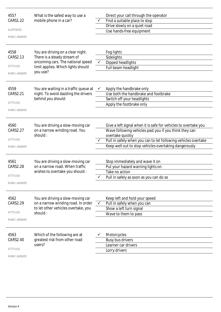| 4557<br>CARS1.22<br><b>ALERTNESS</b><br><b>MARK 1 ANSWER</b><br>4558 | What is the safest way to use a<br>mobile phone in a car?<br>You are driving on a clear night.                            |              | Direct your call through the operator<br>Find a suitable place to stop<br>Drive slowly on a quiet road<br>Use hands-free equipment<br>Fog lights                                                                                                                         |
|----------------------------------------------------------------------|---------------------------------------------------------------------------------------------------------------------------|--------------|--------------------------------------------------------------------------------------------------------------------------------------------------------------------------------------------------------------------------------------------------------------------------|
| CARS2.13<br>ATTITUDE<br>MARK 1 ANSWER                                | There is a steady stream of<br>oncoming cars. The national speed<br>limit applies. Which lights should<br>you use?        |              | Sidelights<br>Dipped headlights<br>Full beam headlight                                                                                                                                                                                                                   |
| 4559<br>CARS2.21<br><b>ATTITUDE</b><br><b>MARK 1 ANSWER</b>          | You are waiting in a traffic queue at<br>night. To avoid dazzling the drivers<br>behind you should:                       | ✓            | Apply the handbrake only<br>Use both the handbrake and footbrake<br>Switch off your headlights<br>Apply the footbrake only                                                                                                                                               |
| 4560<br>CARS2.27<br><b>ATTITUDE</b><br><b>MARK 1 ANSWER</b>          | You are driving a slow-moving car<br>on a narrow winding road. You<br>should:                                             |              | Give a left signal when it is safe for vehicles to overtake you<br>Wave following vehicles past you if you think they can<br>overtake quickly<br>Pull in safely when you can to let following vehicles overtake<br>Keep well out to stop vehicles overtaking dangerously |
| 4561<br><b>CARS2.28</b><br>ATTITUDE<br><b>MARK 1 ANSWER</b>          | You are driving a slow-moving car<br>on a narrow road. When traffic<br>wishes to overtake you should :                    |              | Stop immediately and wave it on<br>Put your hazard warning lights on<br>Take no action<br>Pull in safely as soon as you can do so                                                                                                                                        |
| 4562<br>CARS2.29<br><b>ATTITUDE</b><br><b>MARK 1 ANSWER</b>          | You are driving a slow-moving car<br>on a narrow winding road. In order<br>to let other vehicles overtake, you<br>should: | $\checkmark$ | Keep left and hold your speed<br>Pull in safely when you can<br>Show a left turn signal<br>Wave to them to pass                                                                                                                                                          |
| 4563<br>CARS2.40<br><b>ATTITUDE</b><br><b>MARK 1 ANSWER</b>          | Which of the following are at<br>greatest risk from other road<br>users?                                                  |              | Motorcycles<br>Busy bus drivers<br>Learner car drivers<br>Lorry drivers                                                                                                                                                                                                  |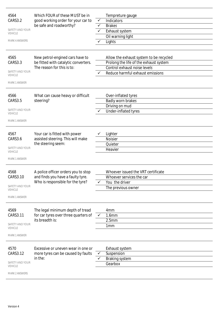| 4564<br>CARS3.2<br>SAFETY AND YOUR<br>VEHICLE<br><b>MARK 4 ANSWERS</b><br>4565<br>CARS3.3<br>SAFETY AND YOUR<br><b>VEHICLE</b><br><b>MARK 1 ANSWER</b> | Which FOUR of these MUST be in<br>good working order for your car to<br>be safe and roadworthy?<br>New petrol-engined cars have to<br>be fitted with catalytic converters.<br>The reason for this is to: | ✓<br>✓<br>✓  | Tempreture gauge<br>Indicators<br><b>Brakes</b><br>Exhaust system<br>Oil warning light<br>Lights<br>Allow the exhaust system to be recycled<br>Prolong the life of the exhaust system<br>Control exhaust noise levels<br>Reduce harmful exhaust emissions |
|--------------------------------------------------------------------------------------------------------------------------------------------------------|----------------------------------------------------------------------------------------------------------------------------------------------------------------------------------------------------------|--------------|-----------------------------------------------------------------------------------------------------------------------------------------------------------------------------------------------------------------------------------------------------------|
| 4566<br>CARS3.5<br>SAFETY AND YOUR<br><b>VEHICLE</b><br><b>MARK 1 ANSWER</b>                                                                           | What can cause heavy or difficult<br>steering?                                                                                                                                                           |              | Over-inflated tyres<br>Badly worn brakes<br>Driving on mud<br>Under-inflated tyres                                                                                                                                                                        |
| 4567<br>CARS3.6<br>SAFETY AND YOUR<br><b>VEHICLE</b><br><b>MARK 1 ANSWER</b>                                                                           | Your car is fitted with power<br>assisted steering. This will make<br>the steering seem:                                                                                                                 |              | Lighter<br><b>Noisier</b><br>Quieter<br>Heavier                                                                                                                                                                                                           |
| 4568<br>CARS3.10<br>SAFETY AND YOUR<br><b>VEHICLE</b><br><b>MARK 1 ANSWER</b>                                                                          | A police officer orders you to stop<br>and finds you have a faulty tyre.<br>Who is responsible for the tyre?                                                                                             |              | Whoever issued the VRT certificate<br>Whoever services the car<br>You the driver<br>The previous owner                                                                                                                                                    |
| 4569<br>CARS3.11<br>SAFETY AND YOUR<br><b>VEHICLE</b><br><b>MARK 1 ANSWER</b>                                                                          | The legal minimum depth of tread<br>for car tyres over three quarters of<br>its breadth is:                                                                                                              | $\checkmark$ | 4 <sub>mm</sub><br>1.6mm<br>2.5mm<br>1 <sub>mm</sub>                                                                                                                                                                                                      |
| 4570<br>CARS3.12<br>SAFETY AND YOUR<br><b>VEHICLE</b><br><b>MARK 2 ANSWERS</b>                                                                         | Excessive or uneven wear in one or<br>more tyres can be caused by faults<br>in the:                                                                                                                      | ✓            | Exhaust system<br>Suspension<br>Braking system<br>Gearbox                                                                                                                                                                                                 |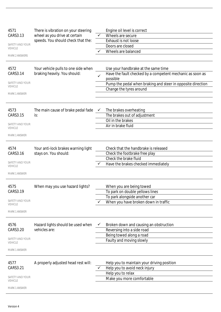| 4571                              | There is vibration on your steering                |              | Engine oil level is correct                                 |
|-----------------------------------|----------------------------------------------------|--------------|-------------------------------------------------------------|
| CARS3.13                          | wheel as you drive at certain                      | ✓            | Wheels are secure                                           |
|                                   | speeds. You should check that the:                 |              | Exhaust is not loose                                        |
| SAFETY AND YOUR<br>VEHICLE        |                                                    |              | Doors are closed                                            |
|                                   |                                                    | ✓            | Wheels are balanced                                         |
| <b>MARK 2 ANSWERS</b>             |                                                    |              |                                                             |
| 4572                              | Your vehicle pulls to one side when                |              | Use your handbrake at the same time                         |
| CARS3.14                          | braking heavily. You should:                       |              | Have the fault checked by a competent mechanic as soon as   |
|                                   |                                                    | $\checkmark$ | possible                                                    |
| SAFETY AND YOUR                   |                                                    |              | Pump the pedal when braking and steer in opposite direction |
| <b>VEHICLE</b>                    |                                                    |              | Change the tyres around                                     |
| <b>MARK 1 ANSWER</b>              |                                                    |              |                                                             |
|                                   |                                                    |              |                                                             |
| 4573                              | The main cause of brake pedal fade                 | v.           | The brakes overheating                                      |
| CARS3.15                          | is:                                                |              | The brakes out of adjustment                                |
|                                   |                                                    |              | Oil in the brakes                                           |
| SAFETY AND YOUR                   |                                                    |              | Air in brake fluid                                          |
| VEHICLE                           |                                                    |              |                                                             |
| <b>MARK 1 ANSWER</b>              |                                                    |              |                                                             |
|                                   |                                                    |              |                                                             |
| 4574                              | Your anti-lock brakes warning light                |              | Check that the handbrake is released                        |
| CARS3.16                          | stays on. You should:                              |              | Check the footbrake free play                               |
| SAFETY AND YOUR                   |                                                    |              | Check the brake fluid                                       |
| <b>VEHICLE</b>                    |                                                    |              | Have the brakes checked immediately                         |
| MARK 1 ANSWER                     |                                                    |              |                                                             |
|                                   |                                                    |              |                                                             |
| 4575                              | When may you use hazard lights?                    |              | When you are being towed                                    |
| CARS3.19                          |                                                    |              | To park on double yellows lines                             |
|                                   |                                                    |              | To park alongside another car                               |
| SAFETY AND YOUR<br>VEHICLE        |                                                    |              | When you have broken down in traffic                        |
|                                   |                                                    |              |                                                             |
| MARK 1 ANSWER                     |                                                    |              |                                                             |
|                                   |                                                    |              |                                                             |
| 4576<br>CARS3.20                  | Hazard lights should be used when<br>vehicles are: |              | Broken down and causing an obstruction                      |
|                                   |                                                    |              | Reversing into a side road                                  |
| SAFETY AND YOUR                   |                                                    |              | Being towed along a road                                    |
| VEHICLE                           |                                                    |              | Faulty and moving slowly                                    |
| <b>MARK 1 ANSWER</b>              |                                                    |              |                                                             |
|                                   |                                                    |              |                                                             |
| 4577                              | A properly adjusted head rest will:                |              | Help you to maintain your driving position                  |
| CARS3.21                          |                                                    |              | Help you to avoid neck injury                               |
|                                   |                                                    |              | Help you to relax                                           |
| SAFETY AND YOUR<br><b>VEHICLE</b> |                                                    |              | Make you more comfortable                                   |
| <b>MARK 1 ANSWER</b>              |                                                    |              |                                                             |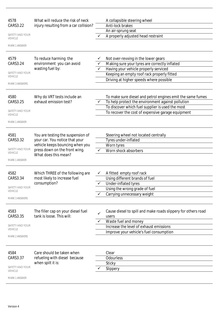| CARS3.22<br>Anti-lock brakes<br>injury resulting from a car collision?<br>An air-sprung seat<br>SAFETY AND YOUR<br>A properly adjusted head restraint<br><b>VEHICLE</b><br><b>MARK 1 ANSWER</b><br>4579<br>To reduce harming the<br>Not over-revving in the lower gears<br>Making sure your tyres are correctly inflated<br>environment you can avoid<br>CARS3.24<br>wasting fuel by:<br>Having your vehicle properly serviced<br>SAFETY AND YOUR<br>Keeping an empty roof rack properly fitted<br><b>VEHICLE</b><br>Driving at higher speeds where possible<br><b>MARK 3 ANSWERS</b><br>4580<br>To make sure diesel and petrol engines emit the same fumes<br>Why do VRT tests include an<br>exhaust emission test?<br>To help protect the environment against pollution<br>CARS3.25<br>To discover which fuel supplier is used the most<br>SAFETY AND YOUR<br>To recover the cost of expensive garage equipment<br><b>VEHICLE</b><br><b>MARK 1 ANSWER</b><br>4581<br>You are testing the suspension of<br>Steering wheel not located centrally<br>your car. You notice that your<br>Tyres under-inflated<br>CARS3.32<br>vehicle keeps bouncing when you<br>Worn tyres<br>SAFETY AND YOUR<br>press down on the front wing.<br>Worn shock absorbers<br><b>VEHICLE</b><br>What does this mean?<br><b>MARK 1 ANSWER</b><br>4582<br>Which THREE of the following are<br>A fitted empty roof rack<br>Using different brands of fuel<br>CARS3.34<br>most likely to increase fuel<br>consumption?<br>✓<br>Under-inflated tyres<br>SAFETY AND YOUR<br>Using the wrong grade of fuel<br><b>VEHICLE</b><br>Carrying unnecessary weight<br><b>MARK 3 ANSWERS</b><br>4583<br>The filler cap on your diesel fuel<br>Cause diesel to spill and make roads slippery for others road<br>tank is loose. This will:<br>CARS3.35<br>users<br>Waste fuel and money<br>SAFETY AND YOUR<br>Increase the level of exhaust emissions<br><b>VEHICLE</b><br>Improve your vehicle's fuel consumption<br><b>MARK 2 ANSWERS</b><br>4584<br>Care should be taken when<br>Clear<br>CARS3.37<br>refueling with diesel because<br>Odourless<br>when spilt it is:<br>Sticky<br>SAFETY AND YOUR<br>Slippery<br><b>VEHICLE</b><br><b>MARK 1 ANSWER</b> | 4578 | What will reduce the risk of neck | A collapsible steering wheel |
|---------------------------------------------------------------------------------------------------------------------------------------------------------------------------------------------------------------------------------------------------------------------------------------------------------------------------------------------------------------------------------------------------------------------------------------------------------------------------------------------------------------------------------------------------------------------------------------------------------------------------------------------------------------------------------------------------------------------------------------------------------------------------------------------------------------------------------------------------------------------------------------------------------------------------------------------------------------------------------------------------------------------------------------------------------------------------------------------------------------------------------------------------------------------------------------------------------------------------------------------------------------------------------------------------------------------------------------------------------------------------------------------------------------------------------------------------------------------------------------------------------------------------------------------------------------------------------------------------------------------------------------------------------------------------------------------------------------------------------------------------------------------------------------------------------------------------------------------------------------------------------------------------------------------------------------------------------------------------------------------------------------------------------------------------------------------------------------------------------------------------------------------------------------------------------------------------------------------|------|-----------------------------------|------------------------------|
|                                                                                                                                                                                                                                                                                                                                                                                                                                                                                                                                                                                                                                                                                                                                                                                                                                                                                                                                                                                                                                                                                                                                                                                                                                                                                                                                                                                                                                                                                                                                                                                                                                                                                                                                                                                                                                                                                                                                                                                                                                                                                                                                                                                                                     |      |                                   |                              |
|                                                                                                                                                                                                                                                                                                                                                                                                                                                                                                                                                                                                                                                                                                                                                                                                                                                                                                                                                                                                                                                                                                                                                                                                                                                                                                                                                                                                                                                                                                                                                                                                                                                                                                                                                                                                                                                                                                                                                                                                                                                                                                                                                                                                                     |      |                                   |                              |
|                                                                                                                                                                                                                                                                                                                                                                                                                                                                                                                                                                                                                                                                                                                                                                                                                                                                                                                                                                                                                                                                                                                                                                                                                                                                                                                                                                                                                                                                                                                                                                                                                                                                                                                                                                                                                                                                                                                                                                                                                                                                                                                                                                                                                     |      |                                   |                              |
|                                                                                                                                                                                                                                                                                                                                                                                                                                                                                                                                                                                                                                                                                                                                                                                                                                                                                                                                                                                                                                                                                                                                                                                                                                                                                                                                                                                                                                                                                                                                                                                                                                                                                                                                                                                                                                                                                                                                                                                                                                                                                                                                                                                                                     |      |                                   |                              |
|                                                                                                                                                                                                                                                                                                                                                                                                                                                                                                                                                                                                                                                                                                                                                                                                                                                                                                                                                                                                                                                                                                                                                                                                                                                                                                                                                                                                                                                                                                                                                                                                                                                                                                                                                                                                                                                                                                                                                                                                                                                                                                                                                                                                                     |      |                                   |                              |
|                                                                                                                                                                                                                                                                                                                                                                                                                                                                                                                                                                                                                                                                                                                                                                                                                                                                                                                                                                                                                                                                                                                                                                                                                                                                                                                                                                                                                                                                                                                                                                                                                                                                                                                                                                                                                                                                                                                                                                                                                                                                                                                                                                                                                     |      |                                   |                              |
|                                                                                                                                                                                                                                                                                                                                                                                                                                                                                                                                                                                                                                                                                                                                                                                                                                                                                                                                                                                                                                                                                                                                                                                                                                                                                                                                                                                                                                                                                                                                                                                                                                                                                                                                                                                                                                                                                                                                                                                                                                                                                                                                                                                                                     |      |                                   |                              |
|                                                                                                                                                                                                                                                                                                                                                                                                                                                                                                                                                                                                                                                                                                                                                                                                                                                                                                                                                                                                                                                                                                                                                                                                                                                                                                                                                                                                                                                                                                                                                                                                                                                                                                                                                                                                                                                                                                                                                                                                                                                                                                                                                                                                                     |      |                                   |                              |
|                                                                                                                                                                                                                                                                                                                                                                                                                                                                                                                                                                                                                                                                                                                                                                                                                                                                                                                                                                                                                                                                                                                                                                                                                                                                                                                                                                                                                                                                                                                                                                                                                                                                                                                                                                                                                                                                                                                                                                                                                                                                                                                                                                                                                     |      |                                   |                              |
|                                                                                                                                                                                                                                                                                                                                                                                                                                                                                                                                                                                                                                                                                                                                                                                                                                                                                                                                                                                                                                                                                                                                                                                                                                                                                                                                                                                                                                                                                                                                                                                                                                                                                                                                                                                                                                                                                                                                                                                                                                                                                                                                                                                                                     |      |                                   |                              |
|                                                                                                                                                                                                                                                                                                                                                                                                                                                                                                                                                                                                                                                                                                                                                                                                                                                                                                                                                                                                                                                                                                                                                                                                                                                                                                                                                                                                                                                                                                                                                                                                                                                                                                                                                                                                                                                                                                                                                                                                                                                                                                                                                                                                                     |      |                                   |                              |
|                                                                                                                                                                                                                                                                                                                                                                                                                                                                                                                                                                                                                                                                                                                                                                                                                                                                                                                                                                                                                                                                                                                                                                                                                                                                                                                                                                                                                                                                                                                                                                                                                                                                                                                                                                                                                                                                                                                                                                                                                                                                                                                                                                                                                     |      |                                   |                              |
|                                                                                                                                                                                                                                                                                                                                                                                                                                                                                                                                                                                                                                                                                                                                                                                                                                                                                                                                                                                                                                                                                                                                                                                                                                                                                                                                                                                                                                                                                                                                                                                                                                                                                                                                                                                                                                                                                                                                                                                                                                                                                                                                                                                                                     |      |                                   |                              |
|                                                                                                                                                                                                                                                                                                                                                                                                                                                                                                                                                                                                                                                                                                                                                                                                                                                                                                                                                                                                                                                                                                                                                                                                                                                                                                                                                                                                                                                                                                                                                                                                                                                                                                                                                                                                                                                                                                                                                                                                                                                                                                                                                                                                                     |      |                                   |                              |
|                                                                                                                                                                                                                                                                                                                                                                                                                                                                                                                                                                                                                                                                                                                                                                                                                                                                                                                                                                                                                                                                                                                                                                                                                                                                                                                                                                                                                                                                                                                                                                                                                                                                                                                                                                                                                                                                                                                                                                                                                                                                                                                                                                                                                     |      |                                   |                              |
|                                                                                                                                                                                                                                                                                                                                                                                                                                                                                                                                                                                                                                                                                                                                                                                                                                                                                                                                                                                                                                                                                                                                                                                                                                                                                                                                                                                                                                                                                                                                                                                                                                                                                                                                                                                                                                                                                                                                                                                                                                                                                                                                                                                                                     |      |                                   |                              |
|                                                                                                                                                                                                                                                                                                                                                                                                                                                                                                                                                                                                                                                                                                                                                                                                                                                                                                                                                                                                                                                                                                                                                                                                                                                                                                                                                                                                                                                                                                                                                                                                                                                                                                                                                                                                                                                                                                                                                                                                                                                                                                                                                                                                                     |      |                                   |                              |
|                                                                                                                                                                                                                                                                                                                                                                                                                                                                                                                                                                                                                                                                                                                                                                                                                                                                                                                                                                                                                                                                                                                                                                                                                                                                                                                                                                                                                                                                                                                                                                                                                                                                                                                                                                                                                                                                                                                                                                                                                                                                                                                                                                                                                     |      |                                   |                              |
|                                                                                                                                                                                                                                                                                                                                                                                                                                                                                                                                                                                                                                                                                                                                                                                                                                                                                                                                                                                                                                                                                                                                                                                                                                                                                                                                                                                                                                                                                                                                                                                                                                                                                                                                                                                                                                                                                                                                                                                                                                                                                                                                                                                                                     |      |                                   |                              |
|                                                                                                                                                                                                                                                                                                                                                                                                                                                                                                                                                                                                                                                                                                                                                                                                                                                                                                                                                                                                                                                                                                                                                                                                                                                                                                                                                                                                                                                                                                                                                                                                                                                                                                                                                                                                                                                                                                                                                                                                                                                                                                                                                                                                                     |      |                                   |                              |
|                                                                                                                                                                                                                                                                                                                                                                                                                                                                                                                                                                                                                                                                                                                                                                                                                                                                                                                                                                                                                                                                                                                                                                                                                                                                                                                                                                                                                                                                                                                                                                                                                                                                                                                                                                                                                                                                                                                                                                                                                                                                                                                                                                                                                     |      |                                   |                              |
|                                                                                                                                                                                                                                                                                                                                                                                                                                                                                                                                                                                                                                                                                                                                                                                                                                                                                                                                                                                                                                                                                                                                                                                                                                                                                                                                                                                                                                                                                                                                                                                                                                                                                                                                                                                                                                                                                                                                                                                                                                                                                                                                                                                                                     |      |                                   |                              |
|                                                                                                                                                                                                                                                                                                                                                                                                                                                                                                                                                                                                                                                                                                                                                                                                                                                                                                                                                                                                                                                                                                                                                                                                                                                                                                                                                                                                                                                                                                                                                                                                                                                                                                                                                                                                                                                                                                                                                                                                                                                                                                                                                                                                                     |      |                                   |                              |
|                                                                                                                                                                                                                                                                                                                                                                                                                                                                                                                                                                                                                                                                                                                                                                                                                                                                                                                                                                                                                                                                                                                                                                                                                                                                                                                                                                                                                                                                                                                                                                                                                                                                                                                                                                                                                                                                                                                                                                                                                                                                                                                                                                                                                     |      |                                   |                              |
|                                                                                                                                                                                                                                                                                                                                                                                                                                                                                                                                                                                                                                                                                                                                                                                                                                                                                                                                                                                                                                                                                                                                                                                                                                                                                                                                                                                                                                                                                                                                                                                                                                                                                                                                                                                                                                                                                                                                                                                                                                                                                                                                                                                                                     |      |                                   |                              |
|                                                                                                                                                                                                                                                                                                                                                                                                                                                                                                                                                                                                                                                                                                                                                                                                                                                                                                                                                                                                                                                                                                                                                                                                                                                                                                                                                                                                                                                                                                                                                                                                                                                                                                                                                                                                                                                                                                                                                                                                                                                                                                                                                                                                                     |      |                                   |                              |
|                                                                                                                                                                                                                                                                                                                                                                                                                                                                                                                                                                                                                                                                                                                                                                                                                                                                                                                                                                                                                                                                                                                                                                                                                                                                                                                                                                                                                                                                                                                                                                                                                                                                                                                                                                                                                                                                                                                                                                                                                                                                                                                                                                                                                     |      |                                   |                              |
|                                                                                                                                                                                                                                                                                                                                                                                                                                                                                                                                                                                                                                                                                                                                                                                                                                                                                                                                                                                                                                                                                                                                                                                                                                                                                                                                                                                                                                                                                                                                                                                                                                                                                                                                                                                                                                                                                                                                                                                                                                                                                                                                                                                                                     |      |                                   |                              |
|                                                                                                                                                                                                                                                                                                                                                                                                                                                                                                                                                                                                                                                                                                                                                                                                                                                                                                                                                                                                                                                                                                                                                                                                                                                                                                                                                                                                                                                                                                                                                                                                                                                                                                                                                                                                                                                                                                                                                                                                                                                                                                                                                                                                                     |      |                                   |                              |
|                                                                                                                                                                                                                                                                                                                                                                                                                                                                                                                                                                                                                                                                                                                                                                                                                                                                                                                                                                                                                                                                                                                                                                                                                                                                                                                                                                                                                                                                                                                                                                                                                                                                                                                                                                                                                                                                                                                                                                                                                                                                                                                                                                                                                     |      |                                   |                              |
|                                                                                                                                                                                                                                                                                                                                                                                                                                                                                                                                                                                                                                                                                                                                                                                                                                                                                                                                                                                                                                                                                                                                                                                                                                                                                                                                                                                                                                                                                                                                                                                                                                                                                                                                                                                                                                                                                                                                                                                                                                                                                                                                                                                                                     |      |                                   |                              |
|                                                                                                                                                                                                                                                                                                                                                                                                                                                                                                                                                                                                                                                                                                                                                                                                                                                                                                                                                                                                                                                                                                                                                                                                                                                                                                                                                                                                                                                                                                                                                                                                                                                                                                                                                                                                                                                                                                                                                                                                                                                                                                                                                                                                                     |      |                                   |                              |
|                                                                                                                                                                                                                                                                                                                                                                                                                                                                                                                                                                                                                                                                                                                                                                                                                                                                                                                                                                                                                                                                                                                                                                                                                                                                                                                                                                                                                                                                                                                                                                                                                                                                                                                                                                                                                                                                                                                                                                                                                                                                                                                                                                                                                     |      |                                   |                              |
|                                                                                                                                                                                                                                                                                                                                                                                                                                                                                                                                                                                                                                                                                                                                                                                                                                                                                                                                                                                                                                                                                                                                                                                                                                                                                                                                                                                                                                                                                                                                                                                                                                                                                                                                                                                                                                                                                                                                                                                                                                                                                                                                                                                                                     |      |                                   |                              |
|                                                                                                                                                                                                                                                                                                                                                                                                                                                                                                                                                                                                                                                                                                                                                                                                                                                                                                                                                                                                                                                                                                                                                                                                                                                                                                                                                                                                                                                                                                                                                                                                                                                                                                                                                                                                                                                                                                                                                                                                                                                                                                                                                                                                                     |      |                                   |                              |
|                                                                                                                                                                                                                                                                                                                                                                                                                                                                                                                                                                                                                                                                                                                                                                                                                                                                                                                                                                                                                                                                                                                                                                                                                                                                                                                                                                                                                                                                                                                                                                                                                                                                                                                                                                                                                                                                                                                                                                                                                                                                                                                                                                                                                     |      |                                   |                              |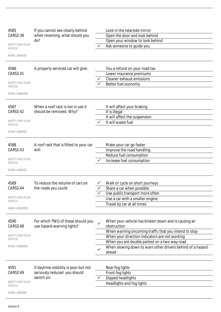| 4585                              | If you cannot see clearly behind                                | Look in the nearside mirror                                         |
|-----------------------------------|-----------------------------------------------------------------|---------------------------------------------------------------------|
| CARS3.39                          | when reversing what should you                                  | Open the door and look behind                                       |
|                                   | do?                                                             | Open your window to look behind                                     |
| SAFETY AND YOUR<br><b>VEHICLE</b> |                                                                 | Ask someone to quide you                                            |
| <b>MARK 1 ANSWER</b>              |                                                                 |                                                                     |
|                                   |                                                                 |                                                                     |
| 4586                              | A properly serviced car will give:                              | You a refund on your road tax                                       |
| CARS3.41                          |                                                                 | Lower insurance premiums                                            |
|                                   |                                                                 | Cleaner exhaust emissions                                           |
| SAFETY AND YOUR<br><b>VEHICLE</b> |                                                                 | Better fuel economy                                                 |
| <b>MARK 2 ANSWERS</b>             |                                                                 |                                                                     |
| 4587                              | When a roof rack is not in use it                               | It will affect your braking                                         |
| CARS3.42                          | should be removed. Why?                                         | It is illegal                                                       |
|                                   |                                                                 | It will affect the suspension                                       |
| SAFETY AND YOUR<br><b>VEHICLE</b> |                                                                 | It will waste fuel                                                  |
| <b>MARK 1 ANSWER</b>              |                                                                 |                                                                     |
|                                   |                                                                 |                                                                     |
| 4588                              | A roof rack that is fitted to your car                          | Make your car go faster                                             |
| CARS3.43                          | will:                                                           | Improve the road handling                                           |
|                                   |                                                                 | Reduce fuel consumption                                             |
| SAFETY AND YOUR<br><b>VEHICLE</b> |                                                                 | Increase fuel consumption                                           |
| <b>MARK 1 ANSWER</b>              |                                                                 |                                                                     |
|                                   |                                                                 |                                                                     |
| 4589                              | To reduce the volume of cars on                                 | Walk or cycle on short journeys                                     |
| CARS3.44                          | the roads you could:                                            | Share a car when possible                                           |
| SAFETY AND YOUR                   |                                                                 | Use public transport more often                                     |
| <b>VEHICLE</b>                    |                                                                 | Use a car with a smaller engine                                     |
| <b>MARK 3 ANSWERS</b>             |                                                                 | Travel by car at all times                                          |
|                                   |                                                                 |                                                                     |
| 4590<br>CARS3.48                  | For which TWO of these should you<br>use hazard-warning lights? | When your vehicle has broken down and is causing an<br>obstruction  |
|                                   |                                                                 | When warning oncoming traffic that you intend to stop               |
| SAFETY AND YOUR                   |                                                                 | When your direction indicators are not working                      |
| VEHICLE                           |                                                                 | When you are double parked on a two-way road                        |
| <b>MARK 2 ANSWERS</b>             |                                                                 | When slowing down to warn other drivers behind of a hazard<br>ahead |
|                                   |                                                                 |                                                                     |
| 4591                              | If daytime visibility is poor but not                           | Rear fog lights                                                     |
| CARS3.49                          | seriously reduced you should                                    | Front fog lights                                                    |
|                                   | switch on:                                                      | Dipped headlights                                                   |
| SAFETY AND YOUR<br><b>VEHICLE</b> |                                                                 | Headlights and fog lights                                           |
| <b>MARK 1 ANSWER</b>              |                                                                 |                                                                     |
|                                   |                                                                 |                                                                     |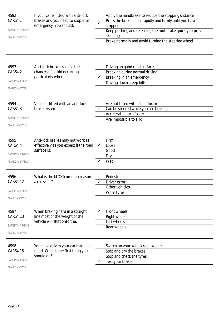| 4592<br>CARS4.1<br><b>SAFETY MARGINS</b><br><b>MARK 1 ANSWER</b><br>4593<br>CARS4.2<br><b>SAFETY MARGINS</b> | If your car is fitted with anti-lock<br>brakes and you need to stop in an<br>emergency. You should:<br>Anti-lock brakes reduce the<br>chances of a skid occurring<br>particularly when: | $\checkmark$ | Apply the handbrake to reduce the stopping distance<br>Press the brake pedal rapidly and firmly until you have<br>stopped<br>Keep pushing and releasing the foot brake quickly to prevent<br>skidding<br>Brake normally and avoid turning the steering wheel<br>Driving on good road surfaces<br>Breaking during normal driving<br>Breaking in an emergency<br>Driving down steep hills |
|--------------------------------------------------------------------------------------------------------------|-----------------------------------------------------------------------------------------------------------------------------------------------------------------------------------------|--------------|-----------------------------------------------------------------------------------------------------------------------------------------------------------------------------------------------------------------------------------------------------------------------------------------------------------------------------------------------------------------------------------------|
| <b>MARK 1 ANSWER</b>                                                                                         |                                                                                                                                                                                         |              |                                                                                                                                                                                                                                                                                                                                                                                         |
| 4594<br>CARS4.3<br><b>SAFETY MARGINS</b><br><b>MARK 1 ANSWER</b>                                             | Vehicles fitted with an anti-lock<br>brake system:                                                                                                                                      |              | Are not fitted with a handbrake<br>Can be steered while you are braking<br>Accelerate much faster<br>Are impossible to skid                                                                                                                                                                                                                                                             |
| 4595<br>CARS4.4<br><b>SAFETY MARGINS</b><br><b>MARK 2 ANSWERS</b>                                            | Anti-lock brakes may not work as<br>effectively as you expect if the road<br>surface is:                                                                                                | $\checkmark$ | Firm<br>Loose<br>Good<br>Dry<br>Wet                                                                                                                                                                                                                                                                                                                                                     |
| 4596<br>CARS4.12<br><b>SAFETY MARGINS</b><br><b>MARK 1 ANSWER</b>                                            | What is the MOST common reason<br>a car skids?                                                                                                                                          |              | Pedestrians<br>Driver error<br>Other vehicles<br>Worn tyres                                                                                                                                                                                                                                                                                                                             |
| 4597<br>CARS4.13<br><b>SAFETY MARGINS</b><br><b>MARK 1 ANSWER</b>                                            | When braking hard in a straight<br>line most of the weight of the<br>vehicle will shift onto the:                                                                                       |              | Front wheels<br><b>Right wheels</b><br>Left wheels<br>Rear wheels                                                                                                                                                                                                                                                                                                                       |
| 4598<br>CARS4.15<br><b>SAFETY MARGINS</b><br>MARK 1 ANSWER                                                   | You have driven your car through a<br>flood. What is the first thing you<br>should do?                                                                                                  |              | Switch on your windscreen wipers<br>Stop and dry the brakes<br>Stop and check the tyres<br>Test your brakes                                                                                                                                                                                                                                                                             |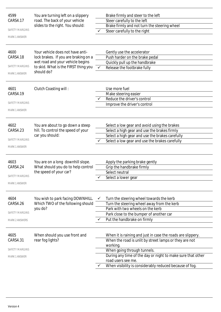| 4599<br>CARS4.17<br><b>SAFETY MARGINS</b><br><b>MARK 1 ANSWER</b><br>4600<br><b>CARS4.18</b><br>SAFETY MARGINS | You are turning left on a slippery<br>road. The back of your vehicle<br>slides to the right. You should:<br>Your vehicle does not have anti-<br>lock brakes. If you are braking on a<br>wet road and your vehicle begins<br>to skid. What is the FIRST thing you | $\checkmark$ | Brake firmly and steer to the left<br>Steer carefully to the left<br>Brake firmly and not turn the steering wheel<br>Steer carefully to the right<br>Gently use the accelerator<br>Push harder on the brake pedal<br>Quickly pull up the handbrake<br>Release the footbrake fully                                |
|----------------------------------------------------------------------------------------------------------------|------------------------------------------------------------------------------------------------------------------------------------------------------------------------------------------------------------------------------------------------------------------|--------------|------------------------------------------------------------------------------------------------------------------------------------------------------------------------------------------------------------------------------------------------------------------------------------------------------------------|
| MARK 1 ANSWER                                                                                                  | should do?                                                                                                                                                                                                                                                       |              |                                                                                                                                                                                                                                                                                                                  |
| 4601<br>CARS4.19<br><b>SAFETY MARGINS</b><br><b>MARK 1 ANSWER</b>                                              | Clutch Coasting will:                                                                                                                                                                                                                                            |              | Use more fuel<br>Make steering easier<br>Reduce the driver's control<br>Improve the driver's control                                                                                                                                                                                                             |
| 4602<br>CARS4.23<br>SAFETY MARGINS<br><b>MARK 1 ANSWER</b>                                                     | You are about to go down a steep<br>hill. To control the speed of your<br>car you should:                                                                                                                                                                        |              | Select a low gear and avoid using the brakes<br>Select a high gear and use the brakes firmly<br>Select a high gear and use the brakes carefully<br>Select a low gear and use the brakes carefully                                                                                                                |
| 4603<br>CARS4.24<br><b>SAFETY MARGINS</b><br><b>MARK 1 ANSWER</b>                                              | You are on a long downhill slope.<br>What should you do to help control<br>the speed of your car?                                                                                                                                                                | ∕            | Apply the parking brake gently<br>Grip the handbrake firmly<br>Select neutral<br>Select a lower gear                                                                                                                                                                                                             |
| 4604<br>CARS4.26<br><b>SAFETY MARGINS</b><br><b>MARK 2 ANSWERS</b>                                             | You wish to park facing DOWNHILL.<br>Which TWO of the following should<br>you do?                                                                                                                                                                                |              | Turn the steering wheel towards the kerb<br>Turn the steering wheel away from the kerb<br>Park with two wheels on the kerb<br>Park close to the bumper of another car<br>Put the handbrake on firmly                                                                                                             |
| 4605<br>CARS4.31<br><b>SAFETY MARGINS</b><br><b>MARK 1 ANSWER</b>                                              | When should you use front and<br>rear fog lights?                                                                                                                                                                                                                |              | When it is raining and just in case the roads are slippery.<br>When the road is unlit by street lamps or they are not<br>working.<br>When going through tunnels.<br>During any time of the day or night to make sure that other<br>road users see me.<br>When visibility is considerably reduced because of fog. |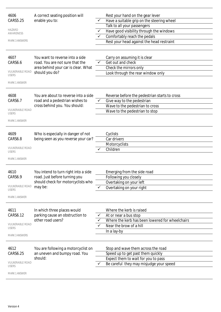| 4606<br>CARS5.25<br><b>HAZARD</b><br>AWARENESS<br><b>MARK 3 ANSWERS</b><br>4607     | A correct seating position will<br>enable you to:<br>You want to reverse into a side                                   | ✓      | Rest your hand on the gear lever<br>Have a suitable grip on the steering wheel<br>Talk to all your passengers<br>Have good visibility through the windows<br>Comfortably reach the pedals<br>Rest your head against the head restraint<br>Carry on assuming it is clear |
|-------------------------------------------------------------------------------------|------------------------------------------------------------------------------------------------------------------------|--------|-------------------------------------------------------------------------------------------------------------------------------------------------------------------------------------------------------------------------------------------------------------------------|
| CARS6.6<br><b>VULNERABLE ROAD</b><br><b>USERS</b><br><b>MARK 1 ANSWER</b>           | road. You are not sure that the<br>area behind your car is clear. What<br>should you do?                               |        | Get out and check<br>Check the mirrors only<br>Look through the rear window only                                                                                                                                                                                        |
| 4608<br>CARS6.7<br><b>VULNERABLE ROAD</b><br><b>USERS</b><br><b>MARK 1 ANSWER</b>   | You are about to reverse into a side<br>road and a pedestrian wishes to<br>cross behind you. You should:               | ✓      | Reverse before the pedestrian starts to cross<br>Give way to the pedestrian<br>Wave to the pedestrian to cross<br>Wave to the pedestrian to stop                                                                                                                        |
| 4609<br>CARS6.8<br><b>VULNERABLE ROAD</b><br><b>USERS</b><br><b>MARK 1 ANSWER</b>   | Who is especially in danger of not<br>being seen as you reverse your car?                                              |        | Cyclists<br>Car drivers<br>Motorcyclists<br>Children                                                                                                                                                                                                                    |
| 4610<br>CARS6.9<br><b>VULNERABLE ROAD</b><br><b>USERS</b><br><b>MARK 1 ANSWER</b>   | You intend to turn right into a side<br>road. Just before turning you<br>should check for motorcyclists who<br>may be: | ✓      | Emerging from the side road<br>Following you closely<br>Overtaking on your left<br>Overtaking on your right                                                                                                                                                             |
| 4611<br>CARS6.12<br><b>VULNERABLE ROAD</b><br><b>USERS</b><br><b>MARK 3 ANSWERS</b> | In which three places would<br>parking cause an obstruction to<br>other road users?                                    | ✓<br>✓ | Where the kerb is raised<br>At or near a bus stop<br>Where the kerb has been lowered for wheelchairs<br>Near the brow of a hill<br>In a lay-by                                                                                                                          |
| 4612<br>CARS6.25<br><b>VULNERABLE ROAD</b><br><b>USERS</b><br><b>MARK 1 ANSWER</b>  | You are following a motorcyclist on<br>an uneven and bumpy road. You<br>should:                                        |        | Stop and wave them across the road<br>Speed up to get past them quickly<br>Expect them to wait for you to pass<br>Be careful they may misjudge your speed                                                                                                               |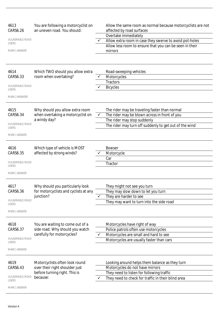| 4613<br>CARS6.26                       | You are following a motorcyclist on<br>an uneven road. You should: |              | Allow the same room as normal because motorcyclists are not<br>affected by road surfaces                           |
|----------------------------------------|--------------------------------------------------------------------|--------------|--------------------------------------------------------------------------------------------------------------------|
| <b>VULNERABLE ROAD</b>                 |                                                                    |              | Overtake immediately                                                                                               |
| <b>USERS</b>                           |                                                                    |              | Allow extra room in case they swerve to avoid pot-holes<br>Allow less room to ensure that you can be seen in their |
| <b>MARK 1 ANSWER</b>                   |                                                                    |              | mirrors                                                                                                            |
|                                        |                                                                    |              |                                                                                                                    |
| 4614<br>CARS6.33                       | Which TWO should you allow extra<br>room when overtaking?          | ✓            | Road-sweeping vehicles                                                                                             |
|                                        |                                                                    |              | Motorcycles<br><b>Tractors</b>                                                                                     |
| <b>VULNERABLE ROAD</b><br><b>USERS</b> |                                                                    |              | <b>Bicycles</b>                                                                                                    |
| <b>MARK 2 ANSWERS</b>                  |                                                                    |              |                                                                                                                    |
| 4615                                   | Why should you allow extra room                                    |              | The rider may be traveling faster than normal                                                                      |
| CARS6.34                               | when overtaking a motorcyclist on                                  | ✓            | The rider may be blown across in front of you                                                                      |
| <b>VULNERABLE ROAD</b>                 | a windy day?                                                       |              | The rider may stop suddenly                                                                                        |
| <b>USERS</b>                           |                                                                    |              | The rider may turn off suddenly to get out of the wind                                                             |
| <b>MARK 1 ANSWER</b>                   |                                                                    |              |                                                                                                                    |
| 4616                                   | Which type of vehicle is MOST                                      |              | <b>Bowser</b>                                                                                                      |
| CARS6.35                               | affected by strong winds?                                          |              | Motorcycle                                                                                                         |
| <b>VULNERABLE ROAD</b>                 |                                                                    |              | Car                                                                                                                |
| <b>USERS</b>                           |                                                                    |              | Tractor                                                                                                            |
| MARK 1 ANSWER                          |                                                                    |              |                                                                                                                    |
| 4617                                   | Why should you particularly look                                   |              | They might not see you turn                                                                                        |
| CARS6.36                               | for motorcyclists and cyclists at any                              |              | They may slow down to let you turn                                                                                 |
|                                        | junction?                                                          |              | They are harder to see                                                                                             |
| <b>VULNERABLE ROAD</b><br><b>USERS</b> |                                                                    |              | They may want to turn into the side road                                                                           |
| <b>MARK 1 ANSWER</b>                   |                                                                    |              |                                                                                                                    |
| 4618                                   | You are waiting to come out of a                                   |              | Motorcycles have right of way                                                                                      |
| CARS6.37                               | side road. Why should you watch                                    |              | Police patrols often use motorcycles                                                                               |
|                                        | carefully for motorcycles?                                         | $\checkmark$ | Motorcycles are small and hard to see                                                                              |
| <b>VULNERABLE ROAD</b><br><b>USERS</b> |                                                                    |              | Motorcycles are usually faster than cars                                                                           |
| <b>MARK 1 ANSWER</b>                   |                                                                    |              |                                                                                                                    |
| 4619                                   | Motorcyclists often look round                                     |              | Looking around helps them balance as they turn                                                                     |
| CARS6.43                               | over their right shoulder just                                     |              | Motorcycles do not have mirrors                                                                                    |
|                                        | before turning right. This is                                      |              | They need to listen for following traffic                                                                          |
| <b>VULNERABLE ROAD</b><br><b>USERS</b> | because:                                                           |              | They need to check for traffic in their blind area                                                                 |
| <b>MARK 1 ANSWER</b>                   |                                                                    |              |                                                                                                                    |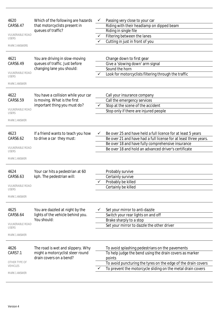| 4620<br>CARS6.47                       | Which of the following are hazards<br>that motorcyclists present in | $\checkmark$ | Passing very close to your car<br>Riding with their headlamp on dipped beam |
|----------------------------------------|---------------------------------------------------------------------|--------------|-----------------------------------------------------------------------------|
|                                        | queues of traffic?                                                  |              | Riding in single file                                                       |
| <b>VULNERABLE ROAD</b><br><b>USERS</b> |                                                                     | $\checkmark$ | Filtering between the lanes                                                 |
|                                        |                                                                     |              | Cutting in just in front of you                                             |
| <b>MARK 3 ANSWERS</b>                  |                                                                     |              |                                                                             |
| 4621                                   | You are driving in slow-moving                                      |              | Change down to first gear                                                   |
| CARS6.49                               | queues of traffic. Just before                                      |              | Give a 'slowing down' arm signal                                            |
|                                        | changing lane you should:                                           |              | Sound the horn                                                              |
| <b>VULNERABLE ROAD</b><br><b>USERS</b> |                                                                     |              | Look for motorcyclists filtering through the traffic                        |
| <b>MARK 1 ANSWER</b>                   |                                                                     |              |                                                                             |
| 4622                                   | You have a collision while your car                                 |              | Call your insurance company                                                 |
| CARS6.59                               | is moving. What is the first                                        |              | Call the emergency services                                                 |
|                                        | important thing you must do?                                        |              | Stop at the scene of the accident                                           |
| <b>VULNERABLE ROAD</b><br><b>USERS</b> |                                                                     |              | Stop only if there are injured people                                       |
| <b>MARK 1 ANSWER</b>                   |                                                                     |              |                                                                             |
| 4623                                   | If a friend wants to teach you how                                  | ✓            | Be over 25 and have held a full licence for at least 5 years                |
| CARS6.62                               | to drive a car they must:                                           |              | Be over 21 and have had a full license for at least three years.            |
|                                        |                                                                     |              | Be over 18 and have fully comprehensive insurance                           |
| <b>VULNERABLE ROAD</b><br><b>USERS</b> |                                                                     |              | Be over 18 and hold an advanced driver's certificate                        |
| MARK 1 ANSWER                          |                                                                     |              |                                                                             |
| 4624                                   | Your car hits a pedestrian at 60                                    |              | Probably survive                                                            |
| CARS6.63                               | kph. The pedestrian will:                                           |              | Certainly survive                                                           |
|                                        |                                                                     |              | Probably be killed                                                          |
| <b>VULNERABLE ROAD</b>                 |                                                                     |              | Certainly be killed                                                         |
| USERS<br><b>MARK 1 ANSWER</b>          |                                                                     |              |                                                                             |
|                                        |                                                                     |              |                                                                             |
| 4625                                   | You are dazzled at night by the                                     |              | Set your mirror to anti-dazzle                                              |
| CARS6.64                               | lights of the vehicle behind you.                                   |              | Switch your rear lights on and off                                          |
|                                        | You should:                                                         |              | Brake sharply to a stop                                                     |
| <b>VULNERABLE ROAD</b><br>USERS        |                                                                     |              | Set your mirror to dazzle the other driver                                  |
| <b>MARK 1 ANSWER</b>                   |                                                                     |              |                                                                             |
| 4626                                   | The road is wet and slippery. Why                                   |              | To avoid splashing pedestrians on the pavements                             |
| CARS7.1                                | might a motorcyclist steer round                                    |              | To help judge the bend using the drain covers as marker                     |
| OTHER TYPE OF                          | drain covers on a bend?                                             |              | points                                                                      |
| <b>VEHICLES</b>                        |                                                                     |              | To avoid puncturing the tyres on the edge of the drain covers               |
| <b>MARK 1 ANSWER</b>                   |                                                                     |              | To prevent the motorcycle sliding on the metal drain covers                 |
|                                        |                                                                     |              |                                                                             |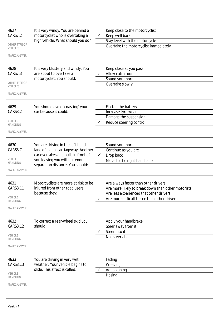| 4627<br>Keep close to the motorcyclist<br>It is very windy. You are behind a                           |  |
|--------------------------------------------------------------------------------------------------------|--|
| CARS7.2<br>motorcyclist who is overtaking a<br>Keep well back<br>$\checkmark$                          |  |
| high vehicle. What should you do?<br>Stay level with the motorcycle                                    |  |
| OTHER TYPE OF<br>Overtake the motorcyclist immediately<br><b>VEHICLES</b>                              |  |
| <b>MARK 1 ANSWER</b>                                                                                   |  |
| 4628<br>It is very blustery and windy. You<br>Keep close as you pass                                   |  |
| are about to overtake a<br>CARS7.3<br>Allow extra room                                                 |  |
| motorcyclist. You should:<br>Sound your horn                                                           |  |
| OTHER TYPE OF<br>Overtake slowly<br>VEHICLES                                                           |  |
| <b>MARK 1 ANSWER</b>                                                                                   |  |
| 4629<br>You should avoid 'coasting' your<br>Flatten the battery                                        |  |
| CARS8.2<br>car because it could:<br>Increase tyre wear                                                 |  |
| Damage the suspension                                                                                  |  |
| VEHICLE<br>Reduce steering control<br>HANDLING                                                         |  |
| <b>MARK 1 ANSWER</b>                                                                                   |  |
| 4630<br>You are driving in the left-hand<br>Sound your horn                                            |  |
| lane of a dual carriageway. Another<br>CARS8.7<br>Continue as you are                                  |  |
| car overtakes and pulls in front of<br>$\checkmark$<br>Drop back                                       |  |
| VEHICLE<br>you leaving you without enough<br>Move to the right-hand lane<br>HANDLING                   |  |
| separation distance. You should:<br><b>MARK 1 ANSWER</b>                                               |  |
|                                                                                                        |  |
| 4631<br>Are always faster than other drivers<br>Motorcyclists are more at risk to be                   |  |
| injured from other road users<br><b>CARS8.11</b><br>Are more likely to break down than other motorists |  |
| because they:<br>Are less experienced that other drivers<br>VEHICLE                                    |  |
| Are more difficult to see than other drivers<br><b>HANDLING</b>                                        |  |
| <b>MARK 1 ANSWER</b>                                                                                   |  |
| 4632<br>To correct a rear-wheel skid you<br>Apply your handbrake                                       |  |
| CARS8.12<br>should:<br>Steer away from it                                                              |  |
| Steer into it                                                                                          |  |
| VEHICLE<br>Not steer at all<br><b>HANDLING</b>                                                         |  |
| MARK 1 ANSWER                                                                                          |  |
| 4633<br>You are driving in very wet<br>Fading                                                          |  |
| CARS8.13<br>weather. Your vehicle begins to<br>Weaving                                                 |  |
| slide. This affect is called:<br>Aquaplaning                                                           |  |
| VEHICLE<br>Hosing<br><b>HANDLING</b>                                                                   |  |
|                                                                                                        |  |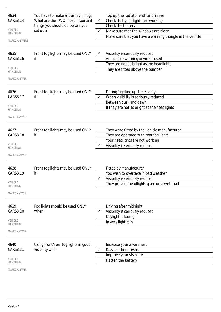| 4634                              | You have to make a journey in fog.  |              | Top up the radiator with antifreeze                       |
|-----------------------------------|-------------------------------------|--------------|-----------------------------------------------------------|
| CARS8.14                          | What are the TWO most important     | $\checkmark$ | Check that your lights are working                        |
|                                   | things you should do before you     |              | Check the battery                                         |
| <b>VEHICLE</b><br><b>HANDLING</b> | set out?                            |              | Make sure that the windows are clean                      |
|                                   |                                     |              | Make sure that you have a warning triangle in the vehicle |
| <b>MARK 2 ANSWERS</b>             |                                     |              |                                                           |
| 4635                              | Front fog lights may be used ONLY   |              | Visibility is seriously reduced                           |
| <b>CARS8.16</b>                   | if:                                 |              | An audible warning device is used                         |
|                                   |                                     |              | They are not as bright as the headlights                  |
| <b>VEHICLE</b><br><b>HANDLING</b> |                                     |              | They are fitted above the bumper                          |
| <b>MARK 1 ANSWER</b>              |                                     |              |                                                           |
| 4636                              | Front fog lights may be used ONLY   |              | During 'lighting up' times only                           |
| CARS8.17                          | if:                                 |              | When visibility is seriously reduced                      |
|                                   |                                     |              | Between dusk and dawn                                     |
| <b>VEHICLE</b><br><b>HANDLING</b> |                                     |              | If they are not as bright as the headlights               |
| <b>MARK 1 ANSWER</b>              |                                     |              |                                                           |
|                                   |                                     |              |                                                           |
| 4637                              | Front fog lights may be used ONLY   |              | They were fitted by the vehicle manufacturer              |
| <b>CARS8.18</b>                   | if:                                 |              | They are operated with rear fog lights                    |
|                                   |                                     |              | Your headlights are not working                           |
| <b>VEHICLE</b><br>HANDLING        |                                     |              | Visibility is seriously reduced                           |
| <b>MARK 1 ANSWER</b>              |                                     |              |                                                           |
|                                   |                                     |              |                                                           |
| 4638                              | Front fog lights may be used ONLY   |              | Fitted by manufacturer                                    |
| <b>CARS8.19</b>                   | if:                                 |              | You wish to overtake in bad weather                       |
|                                   |                                     | ✓            | Visibility is seriously reduced                           |
| <b>VEHICLE</b><br>HANDLING        |                                     |              | They prevent headlights glare on a wet road               |
| <b>MARK 1 ANSWER</b>              |                                     |              |                                                           |
|                                   |                                     |              |                                                           |
| 4639                              | Fog lights should be used ONLY      |              | Driving after midnight                                    |
| CARS8.20                          | when:                               |              | Visibility is seriously reduced                           |
|                                   |                                     |              | Daylight is fading                                        |
| <b>VEHICLE</b><br>HANDLING        |                                     |              | In very light rain                                        |
| <b>MARK 1 ANSWER</b>              |                                     |              |                                                           |
|                                   |                                     |              |                                                           |
| 4640                              | Using front/rear fog lights in good |              | Increase your awareness                                   |
| CARS8.21                          | visibility will:                    |              | Dazzle other drivers                                      |
| <b>VEHICLE</b>                    |                                     |              | Improve your visibility                                   |
| HANDLING                          |                                     |              | Flatten the battery                                       |
| MARK 1 ANSWER                     |                                     |              |                                                           |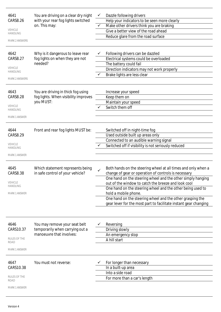| 4641<br>CARS8.26<br><b>VEHICLE</b><br><b>HANDLING</b><br><b>MARK 2 ANSWERS</b><br>4642<br><b>CARS8.27</b><br><b>VEHICLE</b><br><b>HANDLING</b><br><b>MARK 2 ANSWERS</b> | You are driving on a clear dry night<br>with your rear fog lights switched<br>on. This may:<br>Why is it dangerous to leave rear<br>fog lights on when they are not<br>needed? | $\checkmark$ | Dazzle following drivers<br>Help your indicators to be seen more clearly<br>Make other drivers think you are braking<br>Give a better view of the road ahead<br>Reduce glare from the road surface<br>Following drivers can be dazzled<br>Electrical systems could be overloaded<br>The battery could fail<br>Direction indicators may not work properly<br>Brake lights are less clear                                                                            |
|-------------------------------------------------------------------------------------------------------------------------------------------------------------------------|--------------------------------------------------------------------------------------------------------------------------------------------------------------------------------|--------------|--------------------------------------------------------------------------------------------------------------------------------------------------------------------------------------------------------------------------------------------------------------------------------------------------------------------------------------------------------------------------------------------------------------------------------------------------------------------|
| 4643<br><b>CARS8.28</b><br><b>VEHICLE</b><br><b>HANDLING</b><br><b>MARK 1 ANSWER</b>                                                                                    | You are driving in thick fog using<br>fog lights. When visibility improves<br>you MUST:                                                                                        |              | Increase your speed<br>Keep them on<br>Maintain your speed<br>Switch them off                                                                                                                                                                                                                                                                                                                                                                                      |
| 4644<br><b>CARS8.29</b><br><b>VEHICLE</b><br><b>HANDLING</b><br><b>MARK 1 ANSWER</b>                                                                                    | Front and rear fog lights MUST be:                                                                                                                                             |              | Switched off in night-time fog<br>Used outside built up areas only<br>Connected to an audible warning signal<br>Switched off if visibility is not seriously reduced                                                                                                                                                                                                                                                                                                |
| 4645<br>CARS8.38<br><b>VEHICLE</b><br><b>HANDLING</b><br><b>MARK 1 ANSWER</b>                                                                                           | Which statement represents being<br>in safe control of your vehicle?                                                                                                           |              | Both hands on the steering wheel at all times and only when a<br>change of gear or operation of controls is necessary<br>One hand on the steering wheel and the other simply hanging<br>out of the window to catch the breeze and look cool<br>One hand on the steering wheel and the other being used to<br>hold a mobile phone.<br>One hand on the steering wheel and the other grasping the<br>gear lever for the most part to facilitate instant gear changing |
| 4646<br>CARS10.37<br>RULES OF THE<br>ROAD<br><b>MARK 1 ANSWER</b>                                                                                                       | You may remove your seat belt<br>temporarily when carrying out a<br>manoeuvre that involves:                                                                                   |              | Reversing<br>Driving slowly<br>An emergency stop<br>A hill start                                                                                                                                                                                                                                                                                                                                                                                                   |
| 4647<br>CARS10.38<br>RULES OF THE<br>ROAD<br><b>MARK 1 ANSWER</b>                                                                                                       | You must not reverse:                                                                                                                                                          |              | For longer than necessary<br>In a built-up area<br>Into a side road<br>For more than a car's length                                                                                                                                                                                                                                                                                                                                                                |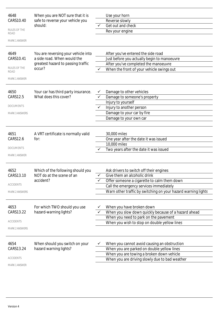| 4648<br>CARS10.40<br><b>RULES OF THE</b><br>ROAD<br><b>MARK 1 ANSWER</b><br>4649<br>CARS10.41<br>RULES OF THE<br>ROAD | When you are NOT sure that it is<br>safe to reverse your vehicle you<br>should:<br>You are reversing your vehicle into<br>a side road. When would the<br>greatest hazard to passing traffic<br>occur? | $\checkmark$ | Use your horn<br>Reverse slowly<br>Get out and check<br>Rev your engine<br>After you've entered the side road<br>Just before you actually begin to manoeuvre<br>After you've completed the manoeuvre<br>When the front of your vehicle swings out |
|-----------------------------------------------------------------------------------------------------------------------|-------------------------------------------------------------------------------------------------------------------------------------------------------------------------------------------------------|--------------|---------------------------------------------------------------------------------------------------------------------------------------------------------------------------------------------------------------------------------------------------|
| <b>MARK 1 ANSWER</b><br>4650<br>CARS12.5<br><b>DOCUMENTS</b><br><b>MARK 3 ANSWERS</b>                                 | Your car has third party insurance.<br>What does this cover?                                                                                                                                          | ✓            | Damage to other vehicles<br>Damage to someone's property<br>Injury to yourself<br>Injury to another person<br>Damage to your car by fire<br>Damage to your own car                                                                                |
| 4651<br>CARS12.6<br><b>DOCUMENTS</b><br><b>MARK 1 ANSWER</b>                                                          | A VRT certificate is normally valid<br>for:                                                                                                                                                           |              | 30,000 miles<br>One year after the date it was issued<br>10,000 miles<br>Two years after the date it was issued                                                                                                                                   |
| 4652<br>CARS13.10<br><b>ACCIDENTS</b><br><b>MARK 2 ANSWERS</b>                                                        | Which of the following should you<br>NOT do at the scene of an<br>accident?                                                                                                                           |              | Ask drivers to switch off their engines<br>Give them an alcoholic drink<br>Offer someone a cigarette to calm them down<br>Call the emergency services immediately<br>Warn other traffic by switching on your hazard warning lights                |
| 4653<br>CARS13.22<br><b>ACCIDENTS</b><br><b>MARK 2 ANSWERS</b>                                                        | For which TWO should you use<br>hazard-warning lights?                                                                                                                                                |              | When you have broken down<br>When you slow down quickly because of a hazard ahead<br>When you need to park on the pavement<br>When you wish to stop on double yellow lines                                                                        |
| 4654<br>CARS13.24<br><b>ACCIDENTS</b><br><b>MARK 1 ANSWER</b>                                                         | When should you switch on your<br>hazard warning lights?                                                                                                                                              |              | When you cannot avoid causing an obstruction<br>When you are parked on double yellow lines<br>When you are towing a broken down vehicle<br>When you are driving slowly due to bad weather                                                         |